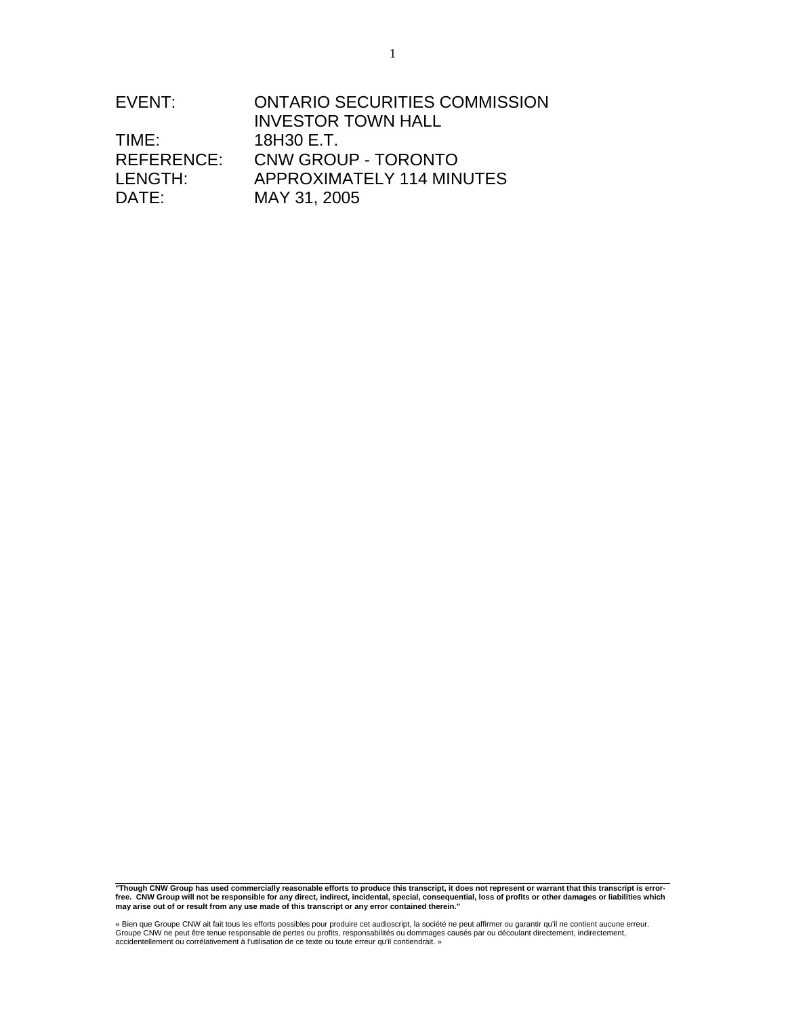| EVENT:     | <b>ONTARIO SECURITIES COMMISSION</b> |
|------------|--------------------------------------|
|            | <b>INVESTOR TOWN HALL</b>            |
| TIME:      | 18H30 E.T.                           |
| REFERENCE: | CNW GROUP - TORONTO                  |
| LENGTH:    | APPROXIMATELY 114 MINUTES            |
| DATE:      | MAY 31, 2005                         |

"Though CNW Group has used commercially reasonable efforts to produce this transcript, it does not represent or warrant that this transcript is error-<br>free. CNW Group will not be responsible for any direct, indirect, inci

« Bien que Groupe CNW ait fait tous les efforts possibles pour produire cet audioscript, la société ne peut affirmer ou garantir qu'il ne contient aucune erreur.<br>Groupe CNW ne peut être tenue responsable de pertes ou profi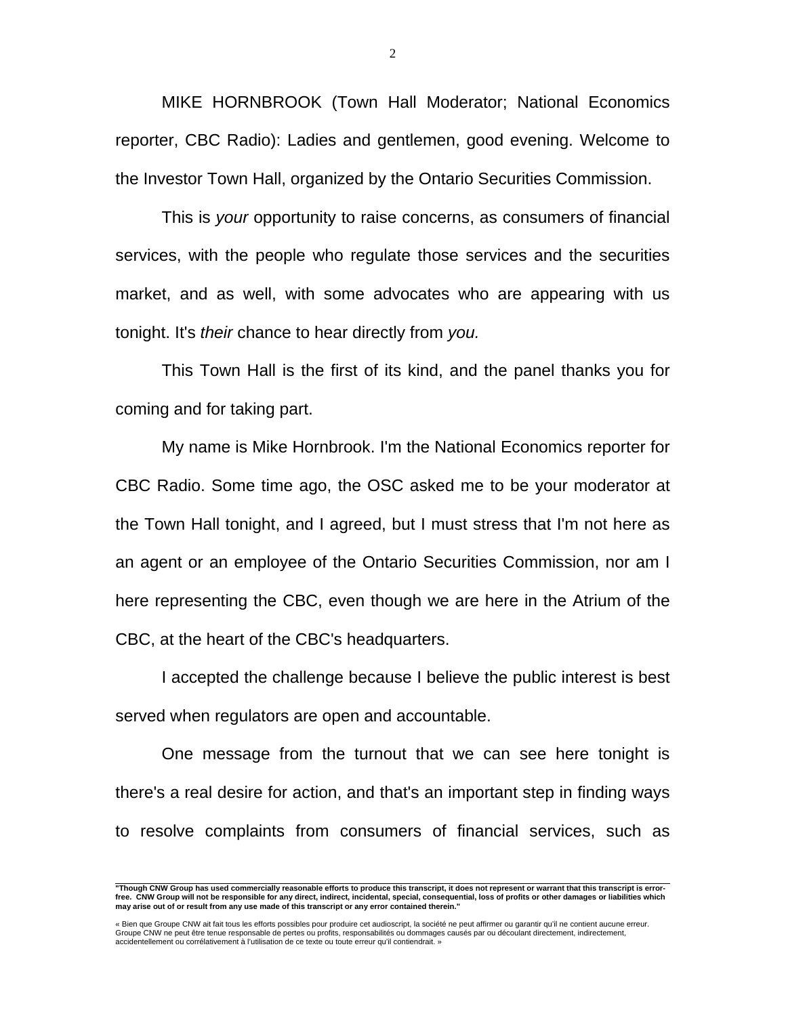MIKE HORNBROOK (Town Hall Moderator; National Economics reporter, CBC Radio): Ladies and gentlemen, good evening. Welcome to the Investor Town Hall, organized by the Ontario Securities Commission.

 This is *your* opportunity to raise concerns, as consumers of financial services, with the people who regulate those services and the securities market, and as well, with some advocates who are appearing with us tonight. It's *their* chance to hear directly from *you.*

 This Town Hall is the first of its kind, and the panel thanks you for coming and for taking part.

 My name is Mike Hornbrook. I'm the National Economics reporter for CBC Radio. Some time ago, the OSC asked me to be your moderator at the Town Hall tonight, and I agreed, but I must stress that I'm not here as an agent or an employee of the Ontario Securities Commission, nor am I here representing the CBC, even though we are here in the Atrium of the CBC, at the heart of the CBC's headquarters.

 I accepted the challenge because I believe the public interest is best served when regulators are open and accountable.

 One message from the turnout that we can see here tonight is there's a real desire for action, and that's an important step in finding ways to resolve complaints from consumers of financial services, such as

 **"Though CNW Group has used commercially reasonable efforts to produce this transcript, it does not represent or warrant that this transcript is errorfree. CNW Group will not be responsible for any direct, indirect, incidental, special, consequential, loss of profits or other damages or liabilities which may arise out of or result from any use made of this transcript or any error contained therein."** 

<sup>«</sup> Bien que Groupe CNW ait fait tous les efforts possibles pour produire cet audioscript, la société ne peut affirmer ou garantir qu'il ne contient aucune erreur.<br>Groupe CNW ne peut être tenue responsable de pertes ou profi accidentellement ou corrélativement à l'utilisation de ce texte ou toute erreur qu'il contiendrait. »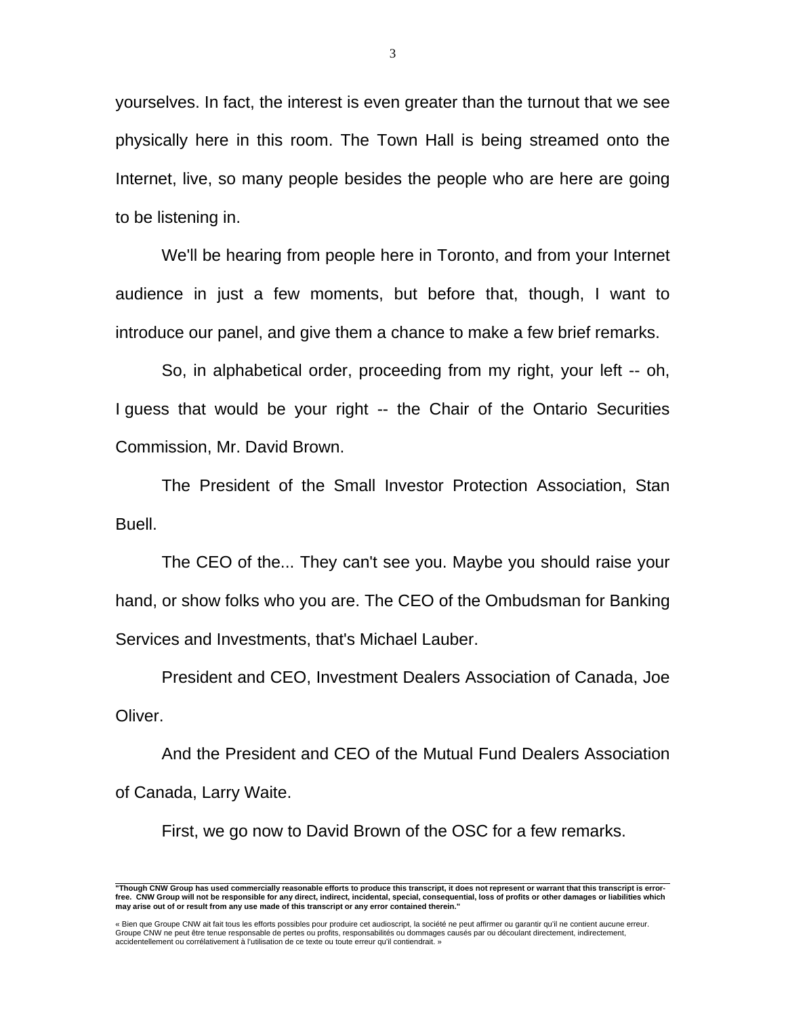yourselves. In fact, the interest is even greater than the turnout that we see physically here in this room. The Town Hall is being streamed onto the Internet, live, so many people besides the people who are here are going to be listening in.

 We'll be hearing from people here in Toronto, and from your Internet audience in just a few moments, but before that, though, I want to introduce our panel, and give them a chance to make a few brief remarks.

 So, in alphabetical order, proceeding from my right, your left -- oh, I guess that would be your right -- the Chair of the Ontario Securities Commission, Mr. David Brown.

 The President of the Small Investor Protection Association, Stan Buell.

 The CEO of the... They can't see you. Maybe you should raise your hand, or show folks who you are. The CEO of the Ombudsman for Banking Services and Investments, that's Michael Lauber.

 President and CEO, Investment Dealers Association of Canada, Joe Oliver.

 And the President and CEO of the Mutual Fund Dealers Association of Canada, Larry Waite.

First, we go now to David Brown of the OSC for a few remarks.

 **"Though CNW Group has used commercially reasonable efforts to produce this transcript, it does not represent or warrant that this transcript is errorfree. CNW Group will not be responsible for any direct, indirect, incidental, special, consequential, loss of profits or other damages or liabilities which may arise out of or result from any use made of this transcript or any error contained therein."** 

<sup>«</sup> Bien que Groupe CNW ait fait tous les efforts possibles pour produire cet audioscript, la société ne peut affirmer ou garantir qu'il ne contient aucune erreur.<br>Groupe CNW ne peut être tenue responsable de pertes ou profi accidentellement ou corrélativement à l'utilisation de ce texte ou toute erreur qu'il contiendrait. »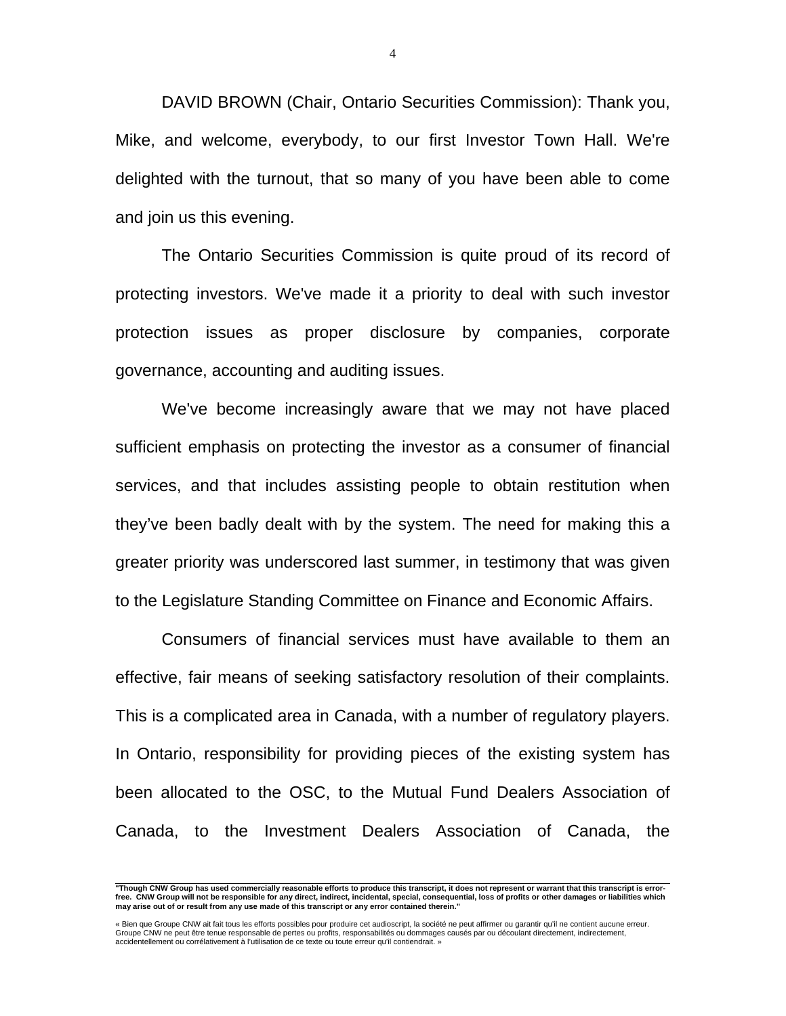DAVID BROWN (Chair, Ontario Securities Commission): Thank you, Mike, and welcome, everybody, to our first Investor Town Hall. We're delighted with the turnout, that so many of you have been able to come and join us this evening.

 The Ontario Securities Commission is quite proud of its record of protecting investors. We've made it a priority to deal with such investor protection issues as proper disclosure by companies, corporate governance, accounting and auditing issues.

 We've become increasingly aware that we may not have placed sufficient emphasis on protecting the investor as a consumer of financial services, and that includes assisting people to obtain restitution when they've been badly dealt with by the system. The need for making this a greater priority was underscored last summer, in testimony that was given to the Legislature Standing Committee on Finance and Economic Affairs.

 Consumers of financial services must have available to them an effective, fair means of seeking satisfactory resolution of their complaints. This is a complicated area in Canada, with a number of regulatory players. In Ontario, responsibility for providing pieces of the existing system has been allocated to the OSC, to the Mutual Fund Dealers Association of Canada, to the Investment Dealers Association of Canada, the

 **"Though CNW Group has used commercially reasonable efforts to produce this transcript, it does not represent or warrant that this transcript is errorfree. CNW Group will not be responsible for any direct, indirect, incidental, special, consequential, loss of profits or other damages or liabilities which may arise out of or result from any use made of this transcript or any error contained therein."** 

<sup>«</sup> Bien que Groupe CNW ait fait tous les efforts possibles pour produire cet audioscript, la société ne peut affirmer ou garantir qu'il ne contient aucune erreur.<br>Groupe CNW ne peut être tenue responsable de pertes ou profi accidentellement ou corrélativement à l'utilisation de ce texte ou toute erreur qu'il contiendrait. »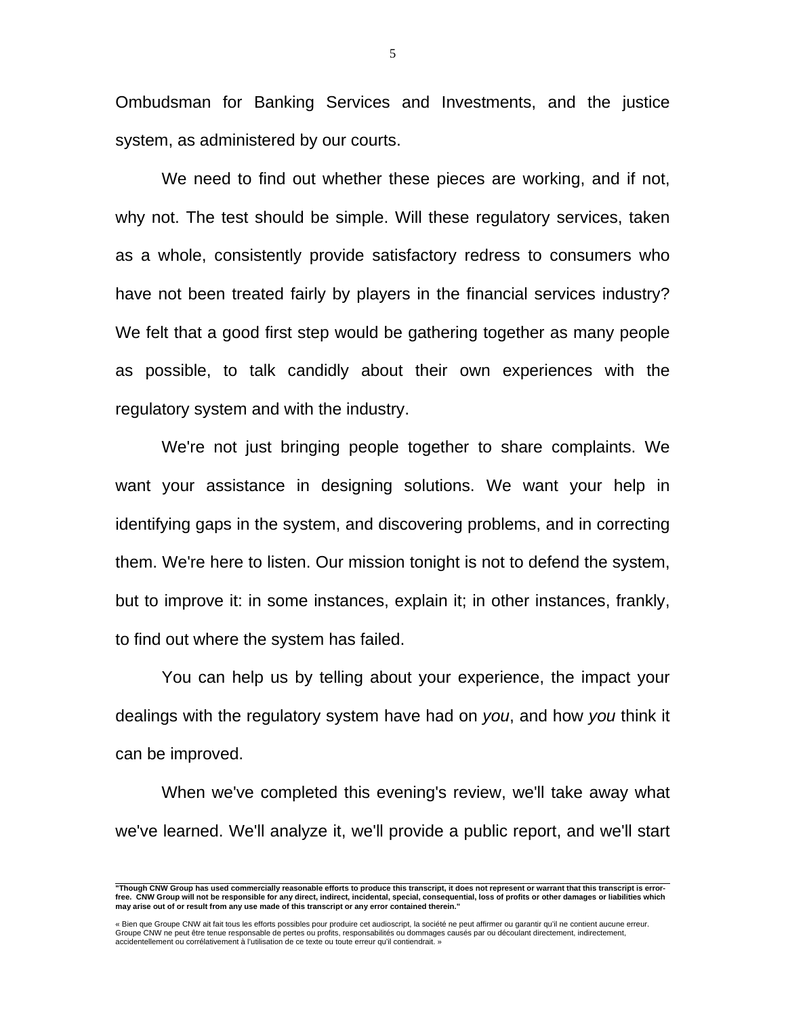Ombudsman for Banking Services and Investments, and the justice system, as administered by our courts.

 We need to find out whether these pieces are working, and if not, why not. The test should be simple. Will these regulatory services, taken as a whole, consistently provide satisfactory redress to consumers who have not been treated fairly by players in the financial services industry? We felt that a good first step would be gathering together as many people as possible, to talk candidly about their own experiences with the regulatory system and with the industry.

 We're not just bringing people together to share complaints. We want your assistance in designing solutions. We want your help in identifying gaps in the system, and discovering problems, and in correcting them. We're here to listen. Our mission tonight is not to defend the system, but to improve it: in some instances, explain it; in other instances, frankly, to find out where the system has failed.

 You can help us by telling about your experience, the impact your dealings with the regulatory system have had on *you*, and how *you* think it can be improved.

 When we've completed this evening's review, we'll take away what we've learned. We'll analyze it, we'll provide a public report, and we'll start

 **"Though CNW Group has used commercially reasonable efforts to produce this transcript, it does not represent or warrant that this transcript is errorfree. CNW Group will not be responsible for any direct, indirect, incidental, special, consequential, loss of profits or other damages or liabilities which may arise out of or result from any use made of this transcript or any error contained therein."** 

<sup>«</sup> Bien que Groupe CNW ait fait tous les efforts possibles pour produire cet audioscript, la société ne peut affirmer ou garantir qu'il ne contient aucune erreur.<br>Groupe CNW ne peut être tenue responsable de pertes ou profi accidentellement ou corrélativement à l'utilisation de ce texte ou toute erreur qu'il contiendrait. »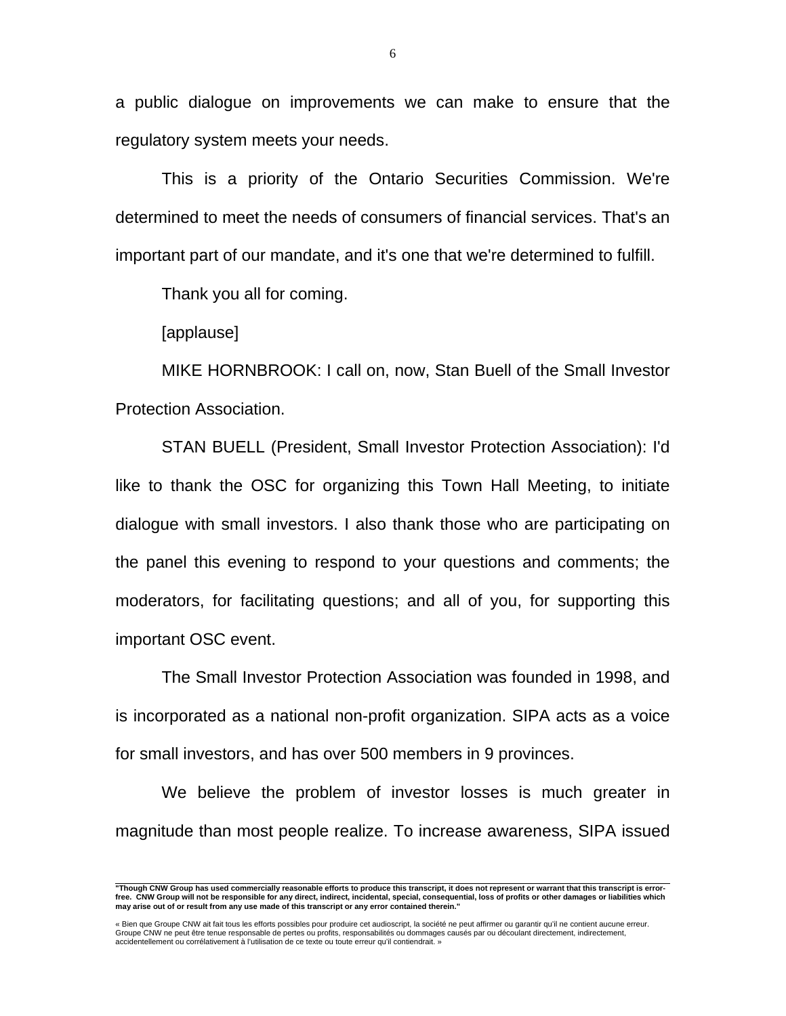a public dialogue on improvements we can make to ensure that the regulatory system meets your needs.

 This is a priority of the Ontario Securities Commission. We're determined to meet the needs of consumers of financial services. That's an important part of our mandate, and it's one that we're determined to fulfill.

Thank you all for coming.

[applause]

 MIKE HORNBROOK: I call on, now, Stan Buell of the Small Investor Protection Association.

 STAN BUELL (President, Small Investor Protection Association): I'd like to thank the OSC for organizing this Town Hall Meeting, to initiate dialogue with small investors. I also thank those who are participating on the panel this evening to respond to your questions and comments; the moderators, for facilitating questions; and all of you, for supporting this important OSC event.

 The Small Investor Protection Association was founded in 1998, and is incorporated as a national non-profit organization. SIPA acts as a voice for small investors, and has over 500 members in 9 provinces.

 We believe the problem of investor losses is much greater in magnitude than most people realize. To increase awareness, SIPA issued

 **"Though CNW Group has used commercially reasonable efforts to produce this transcript, it does not represent or warrant that this transcript is errorfree. CNW Group will not be responsible for any direct, indirect, incidental, special, consequential, loss of profits or other damages or liabilities which may arise out of or result from any use made of this transcript or any error contained therein."** 

<sup>«</sup> Bien que Groupe CNW ait fait tous les efforts possibles pour produire cet audioscript, la société ne peut affirmer ou garantir qu'il ne contient aucune erreur.<br>Groupe CNW ne peut être tenue responsable de pertes ou profi accidentellement ou corrélativement à l'utilisation de ce texte ou toute erreur qu'il contiendrait. »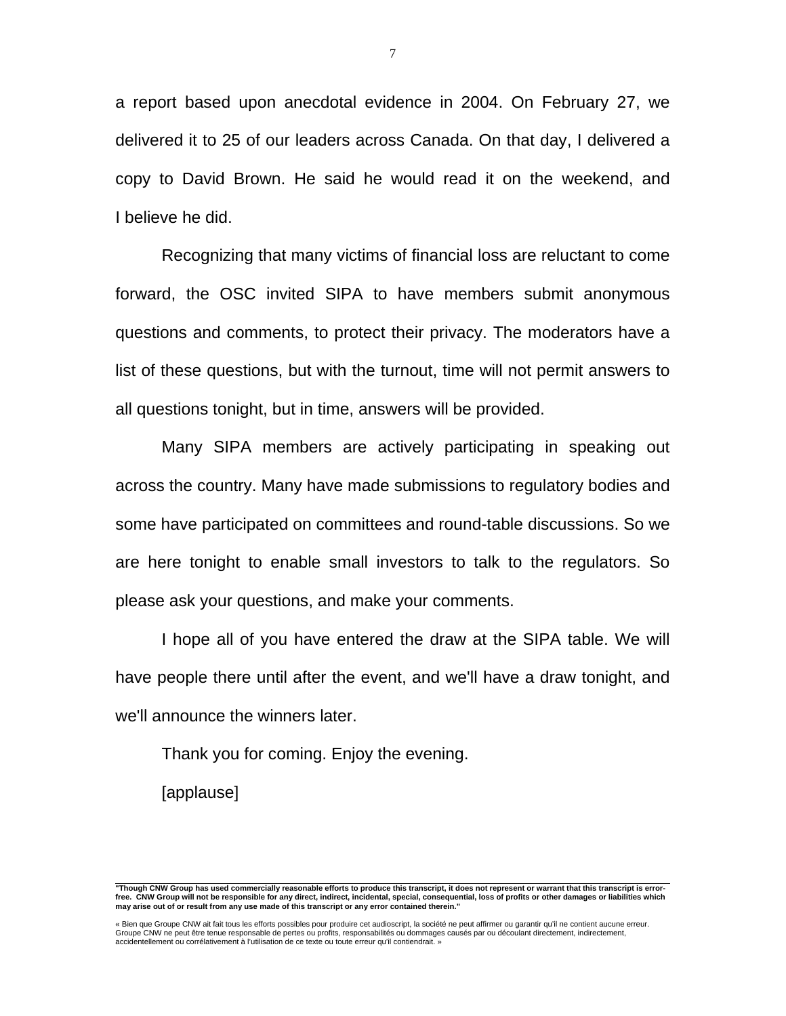a report based upon anecdotal evidence in 2004. On February 27, we delivered it to 25 of our leaders across Canada. On that day, I delivered a copy to David Brown. He said he would read it on the weekend, and I believe he did.

 Recognizing that many victims of financial loss are reluctant to come forward, the OSC invited SIPA to have members submit anonymous questions and comments, to protect their privacy. The moderators have a list of these questions, but with the turnout, time will not permit answers to all questions tonight, but in time, answers will be provided.

 Many SIPA members are actively participating in speaking out across the country. Many have made submissions to regulatory bodies and some have participated on committees and round-table discussions. So we are here tonight to enable small investors to talk to the regulators. So please ask your questions, and make your comments.

 I hope all of you have entered the draw at the SIPA table. We will have people there until after the event, and we'll have a draw tonight, and we'll announce the winners later.

Thank you for coming. Enjoy the evening.

[applause]

 **"Though CNW Group has used commercially reasonable efforts to produce this transcript, it does not represent or warrant that this transcript is errorfree. CNW Group will not be responsible for any direct, indirect, incidental, special, consequential, loss of profits or other damages or liabilities which may arise out of or result from any use made of this transcript or any error contained therein."** 

<sup>«</sup> Bien que Groupe CNW ait fait tous les efforts possibles pour produire cet audioscript, la société ne peut affirmer ou garantir qu'il ne contient aucune erreur.<br>Groupe CNW ne peut être tenue responsable de pertes ou profi accidentellement ou corrélativement à l'utilisation de ce texte ou toute erreur qu'il contiendrait. »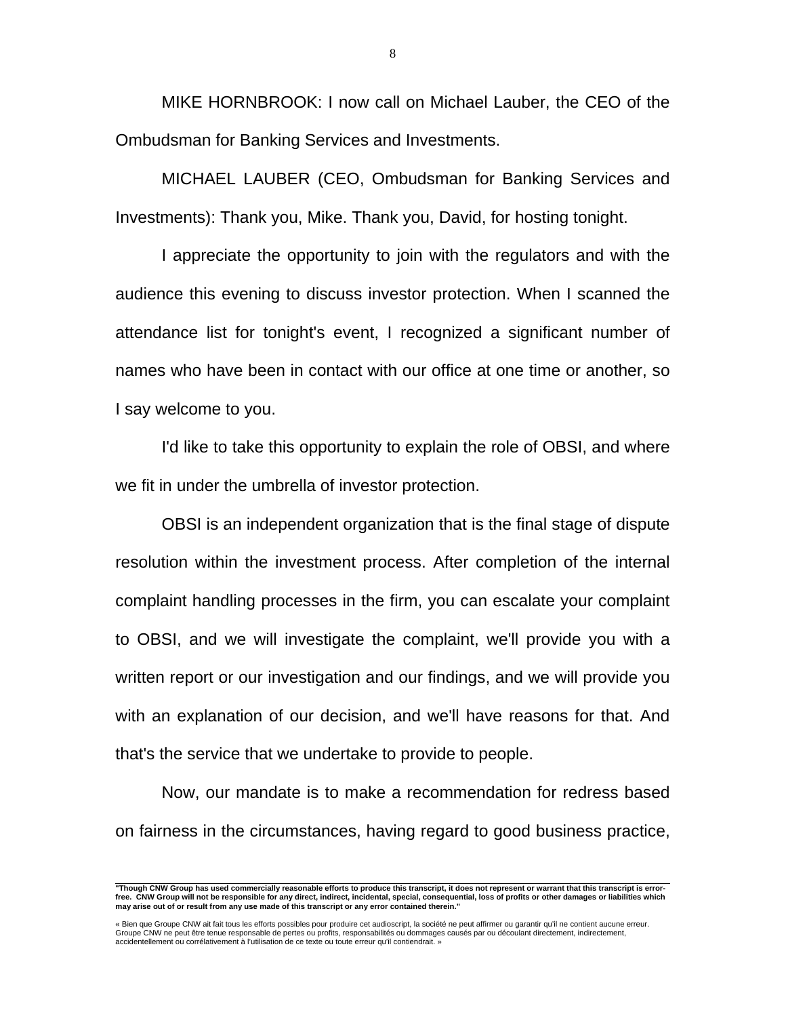MIKE HORNBROOK: I now call on Michael Lauber, the CEO of the Ombudsman for Banking Services and Investments.

 MICHAEL LAUBER (CEO, Ombudsman for Banking Services and Investments): Thank you, Mike. Thank you, David, for hosting tonight.

 I appreciate the opportunity to join with the regulators and with the audience this evening to discuss investor protection. When I scanned the attendance list for tonight's event, I recognized a significant number of names who have been in contact with our office at one time or another, so I say welcome to you.

 I'd like to take this opportunity to explain the role of OBSI, and where we fit in under the umbrella of investor protection.

 OBSI is an independent organization that is the final stage of dispute resolution within the investment process. After completion of the internal complaint handling processes in the firm, you can escalate your complaint to OBSI, and we will investigate the complaint, we'll provide you with a written report or our investigation and our findings, and we will provide you with an explanation of our decision, and we'll have reasons for that. And that's the service that we undertake to provide to people.

 Now, our mandate is to make a recommendation for redress based on fairness in the circumstances, having regard to good business practice,

 **"Though CNW Group has used commercially reasonable efforts to produce this transcript, it does not represent or warrant that this transcript is errorfree. CNW Group will not be responsible for any direct, indirect, incidental, special, consequential, loss of profits or other damages or liabilities which may arise out of or result from any use made of this transcript or any error contained therein."** 

<sup>«</sup> Bien que Groupe CNW ait fait tous les efforts possibles pour produire cet audioscript, la société ne peut affirmer ou garantir qu'il ne contient aucune erreur.<br>Groupe CNW ne peut être tenue responsable de pertes ou profi accidentellement ou corrélativement à l'utilisation de ce texte ou toute erreur qu'il contiendrait. »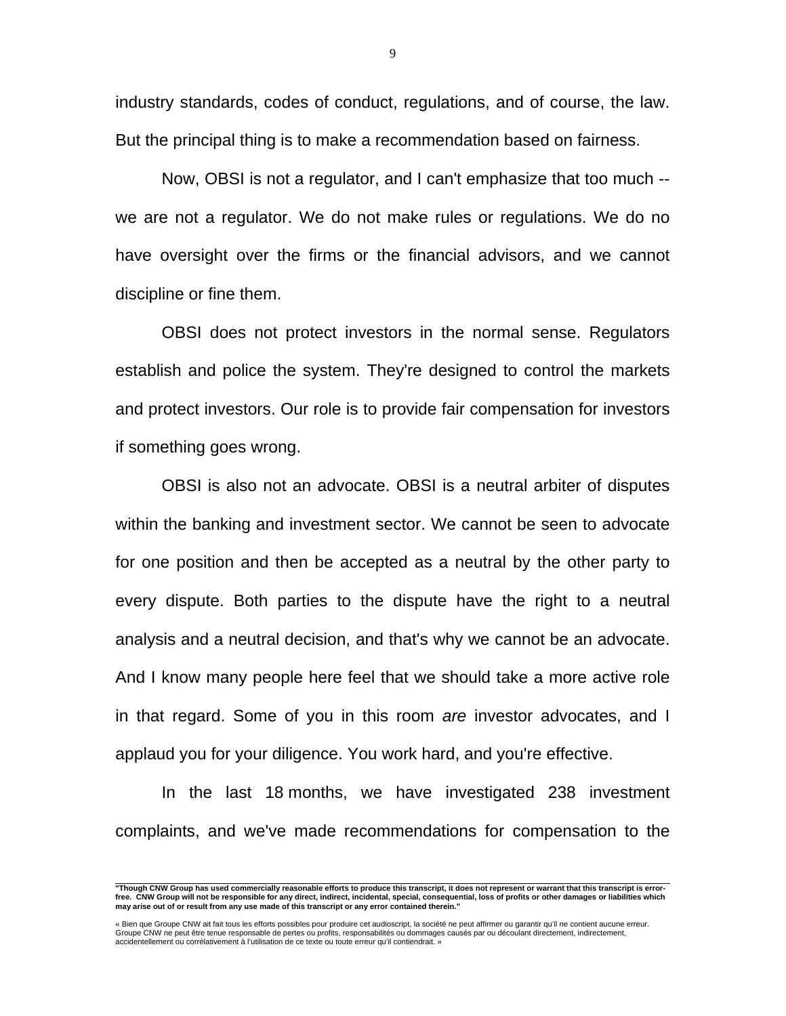industry standards, codes of conduct, regulations, and of course, the law. But the principal thing is to make a recommendation based on fairness.

 Now, OBSI is not a regulator, and I can't emphasize that too much - we are not a regulator. We do not make rules or regulations. We do no have oversight over the firms or the financial advisors, and we cannot discipline or fine them.

 OBSI does not protect investors in the normal sense. Regulators establish and police the system. They're designed to control the markets and protect investors. Our role is to provide fair compensation for investors if something goes wrong.

 OBSI is also not an advocate. OBSI is a neutral arbiter of disputes within the banking and investment sector. We cannot be seen to advocate for one position and then be accepted as a neutral by the other party to every dispute. Both parties to the dispute have the right to a neutral analysis and a neutral decision, and that's why we cannot be an advocate. And I know many people here feel that we should take a more active role in that regard. Some of you in this room *are* investor advocates, and I applaud you for your diligence. You work hard, and you're effective.

 In the last 18 months, we have investigated 238 investment complaints, and we've made recommendations for compensation to the

 **"Though CNW Group has used commercially reasonable efforts to produce this transcript, it does not represent or warrant that this transcript is errorfree. CNW Group will not be responsible for any direct, indirect, incidental, special, consequential, loss of profits or other damages or liabilities which may arise out of or result from any use made of this transcript or any error contained therein."** 

<sup>«</sup> Bien que Groupe CNW ait fait tous les efforts possibles pour produire cet audioscript, la société ne peut affirmer ou garantir qu'il ne contient aucune erreur.<br>Groupe CNW ne peut être tenue responsable de pertes ou profi accidentellement ou corrélativement à l'utilisation de ce texte ou toute erreur qu'il contiendrait. »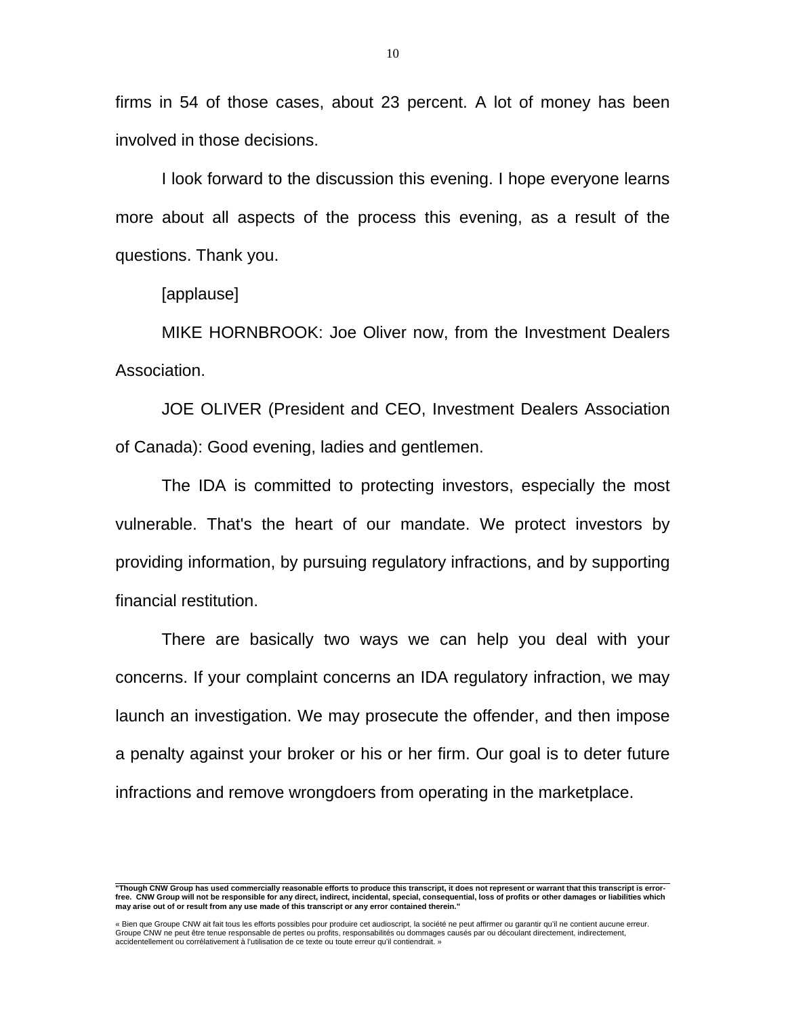firms in 54 of those cases, about 23 percent. A lot of money has been involved in those decisions.

 I look forward to the discussion this evening. I hope everyone learns more about all aspects of the process this evening, as a result of the questions. Thank you.

[applause]

 MIKE HORNBROOK: Joe Oliver now, from the Investment Dealers Association.

 JOE OLIVER (President and CEO, Investment Dealers Association of Canada): Good evening, ladies and gentlemen.

 The IDA is committed to protecting investors, especially the most vulnerable. That's the heart of our mandate. We protect investors by providing information, by pursuing regulatory infractions, and by supporting financial restitution.

 There are basically two ways we can help you deal with your concerns. If your complaint concerns an IDA regulatory infraction, we may launch an investigation. We may prosecute the offender, and then impose a penalty against your broker or his or her firm. Our goal is to deter future infractions and remove wrongdoers from operating in the marketplace.

 **"Though CNW Group has used commercially reasonable efforts to produce this transcript, it does not represent or warrant that this transcript is errorfree. CNW Group will not be responsible for any direct, indirect, incidental, special, consequential, loss of profits or other damages or liabilities which may arise out of or result from any use made of this transcript or any error contained therein."** 

<sup>«</sup> Bien que Groupe CNW ait fait tous les efforts possibles pour produire cet audioscript, la société ne peut affirmer ou garantir qu'il ne contient aucune erreur.<br>Groupe CNW ne peut être tenue responsable de pertes ou profi accidentellement ou corrélativement à l'utilisation de ce texte ou toute erreur qu'il contiendrait. »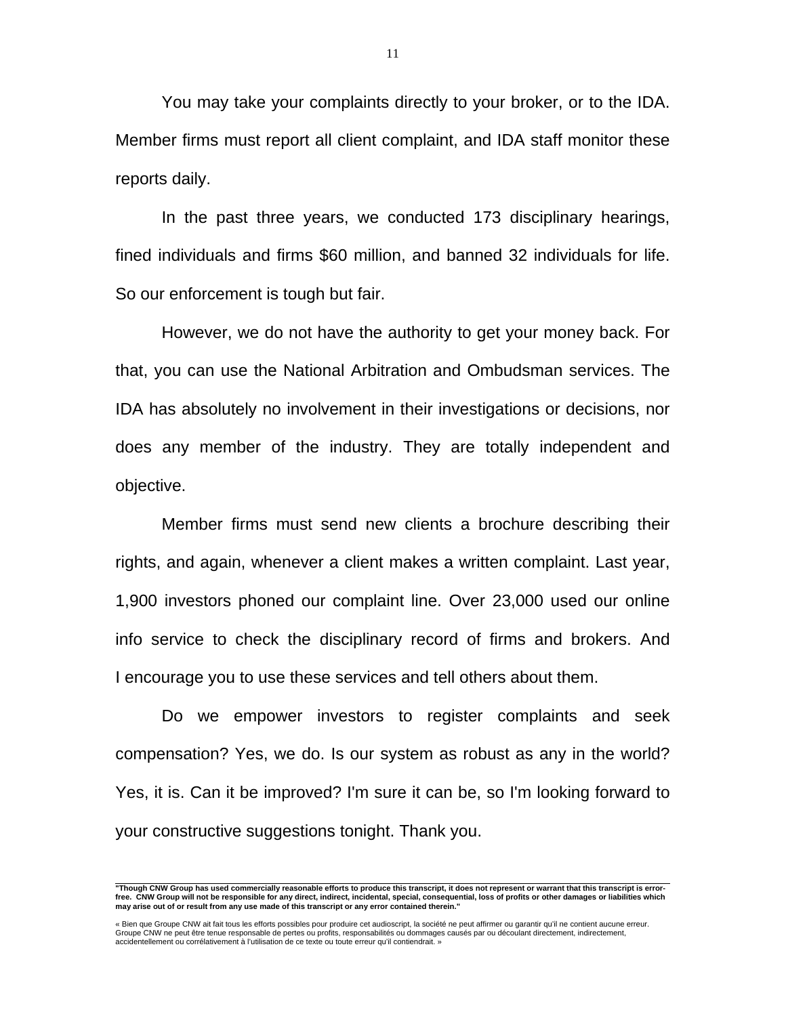You may take your complaints directly to your broker, or to the IDA. Member firms must report all client complaint, and IDA staff monitor these reports daily.

 In the past three years, we conducted 173 disciplinary hearings, fined individuals and firms \$60 million, and banned 32 individuals for life. So our enforcement is tough but fair.

 However, we do not have the authority to get your money back. For that, you can use the National Arbitration and Ombudsman services. The IDA has absolutely no involvement in their investigations or decisions, nor does any member of the industry. They are totally independent and objective.

 Member firms must send new clients a brochure describing their rights, and again, whenever a client makes a written complaint. Last year, 1,900 investors phoned our complaint line. Over 23,000 used our online info service to check the disciplinary record of firms and brokers. And I encourage you to use these services and tell others about them.

 Do we empower investors to register complaints and seek compensation? Yes, we do. Is our system as robust as any in the world? Yes, it is. Can it be improved? I'm sure it can be, so I'm looking forward to your constructive suggestions tonight. Thank you.

 **"Though CNW Group has used commercially reasonable efforts to produce this transcript, it does not represent or warrant that this transcript is errorfree. CNW Group will not be responsible for any direct, indirect, incidental, special, consequential, loss of profits or other damages or liabilities which may arise out of or result from any use made of this transcript or any error contained therein."** 

<sup>«</sup> Bien que Groupe CNW ait fait tous les efforts possibles pour produire cet audioscript, la société ne peut affirmer ou garantir qu'il ne contient aucune erreur.<br>Groupe CNW ne peut être tenue responsable de pertes ou profi accidentellement ou corrélativement à l'utilisation de ce texte ou toute erreur qu'il contiendrait. »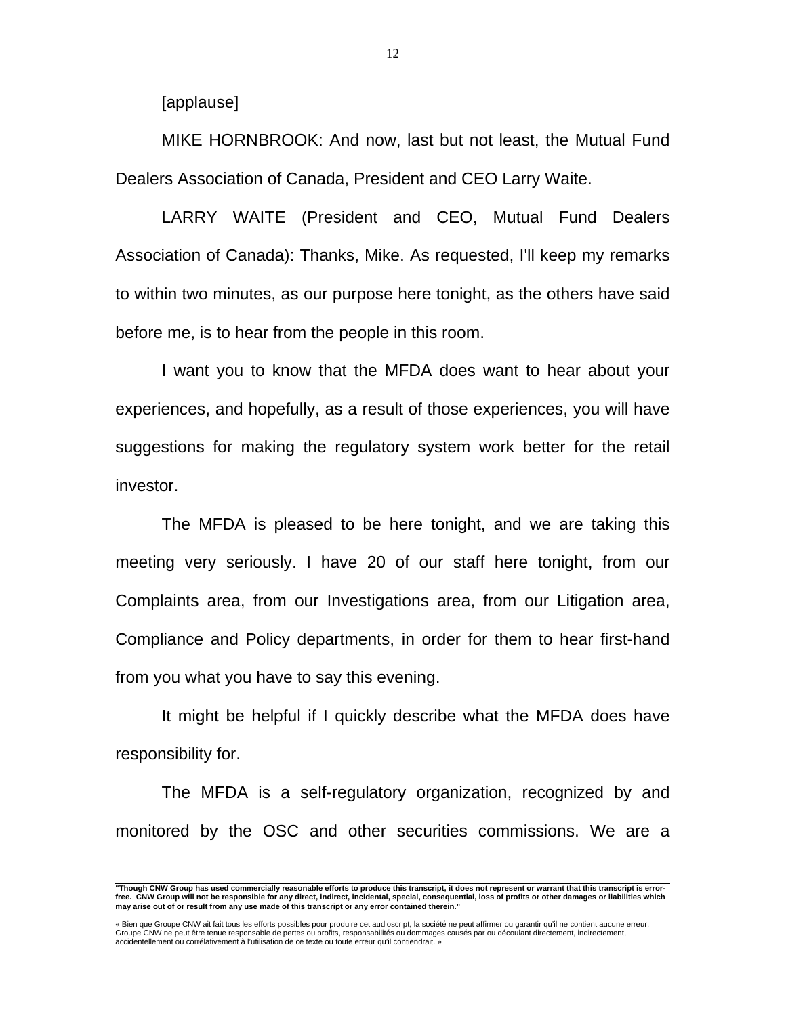[applause]

 MIKE HORNBROOK: And now, last but not least, the Mutual Fund Dealers Association of Canada, President and CEO Larry Waite.

 LARRY WAITE (President and CEO, Mutual Fund Dealers Association of Canada): Thanks, Mike. As requested, I'll keep my remarks to within two minutes, as our purpose here tonight, as the others have said before me, is to hear from the people in this room.

 I want you to know that the MFDA does want to hear about your experiences, and hopefully, as a result of those experiences, you will have suggestions for making the regulatory system work better for the retail investor.

 The MFDA is pleased to be here tonight, and we are taking this meeting very seriously. I have 20 of our staff here tonight, from our Complaints area, from our Investigations area, from our Litigation area, Compliance and Policy departments, in order for them to hear first-hand from you what you have to say this evening.

 It might be helpful if I quickly describe what the MFDA does have responsibility for.

 The MFDA is a self-regulatory organization, recognized by and monitored by the OSC and other securities commissions. We are a

 **"Though CNW Group has used commercially reasonable efforts to produce this transcript, it does not represent or warrant that this transcript is errorfree. CNW Group will not be responsible for any direct, indirect, incidental, special, consequential, loss of profits or other damages or liabilities which may arise out of or result from any use made of this transcript or any error contained therein."** 

<sup>«</sup> Bien que Groupe CNW ait fait tous les efforts possibles pour produire cet audioscript, la société ne peut affirmer ou garantir qu'il ne contient aucune erreur.<br>Groupe CNW ne peut être tenue responsable de pertes ou profi accidentellement ou corrélativement à l'utilisation de ce texte ou toute erreur qu'il contiendrait. »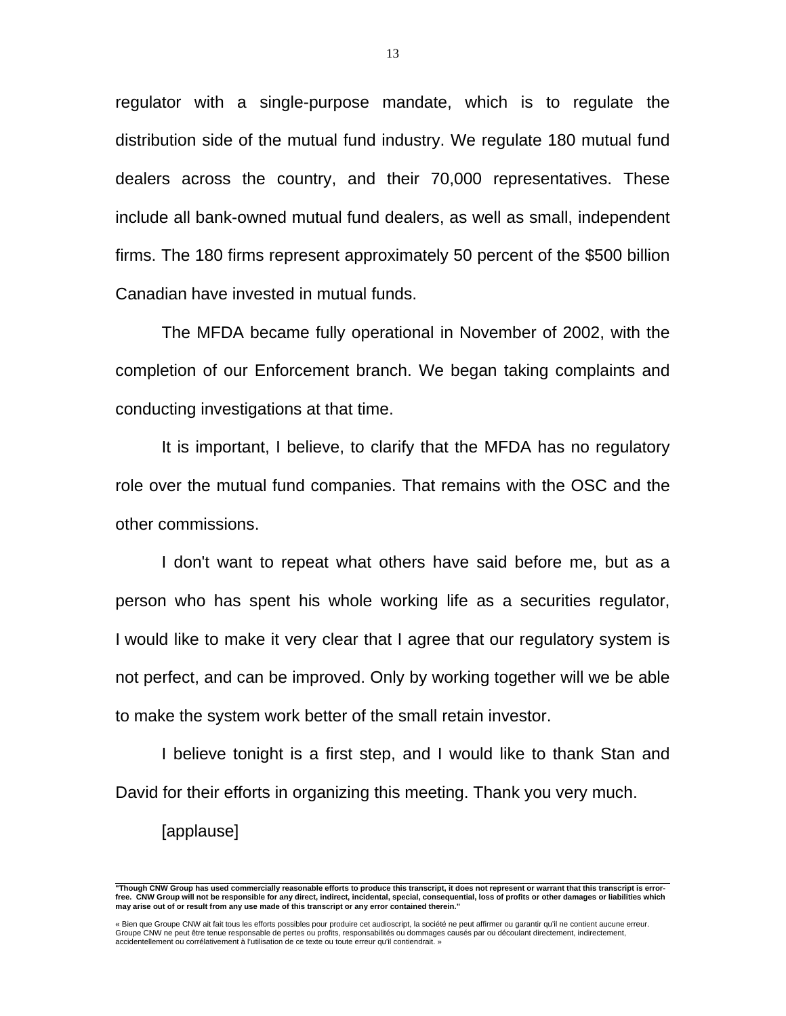regulator with a single-purpose mandate, which is to regulate the distribution side of the mutual fund industry. We regulate 180 mutual fund dealers across the country, and their 70,000 representatives. These include all bank-owned mutual fund dealers, as well as small, independent firms. The 180 firms represent approximately 50 percent of the \$500 billion Canadian have invested in mutual funds.

 The MFDA became fully operational in November of 2002, with the completion of our Enforcement branch. We began taking complaints and conducting investigations at that time.

 It is important, I believe, to clarify that the MFDA has no regulatory role over the mutual fund companies. That remains with the OSC and the other commissions.

 I don't want to repeat what others have said before me, but as a person who has spent his whole working life as a securities regulator, I would like to make it very clear that I agree that our regulatory system is not perfect, and can be improved. Only by working together will we be able to make the system work better of the small retain investor.

 I believe tonight is a first step, and I would like to thank Stan and David for their efforts in organizing this meeting. Thank you very much.

[applause]

 **"Though CNW Group has used commercially reasonable efforts to produce this transcript, it does not represent or warrant that this transcript is errorfree. CNW Group will not be responsible for any direct, indirect, incidental, special, consequential, loss of profits or other damages or liabilities which may arise out of or result from any use made of this transcript or any error contained therein."** 

<sup>«</sup> Bien que Groupe CNW ait fait tous les efforts possibles pour produire cet audioscript, la société ne peut affirmer ou garantir qu'il ne contient aucune erreur.<br>Groupe CNW ne peut être tenue responsable de pertes ou profi accidentellement ou corrélativement à l'utilisation de ce texte ou toute erreur qu'il contiendrait. »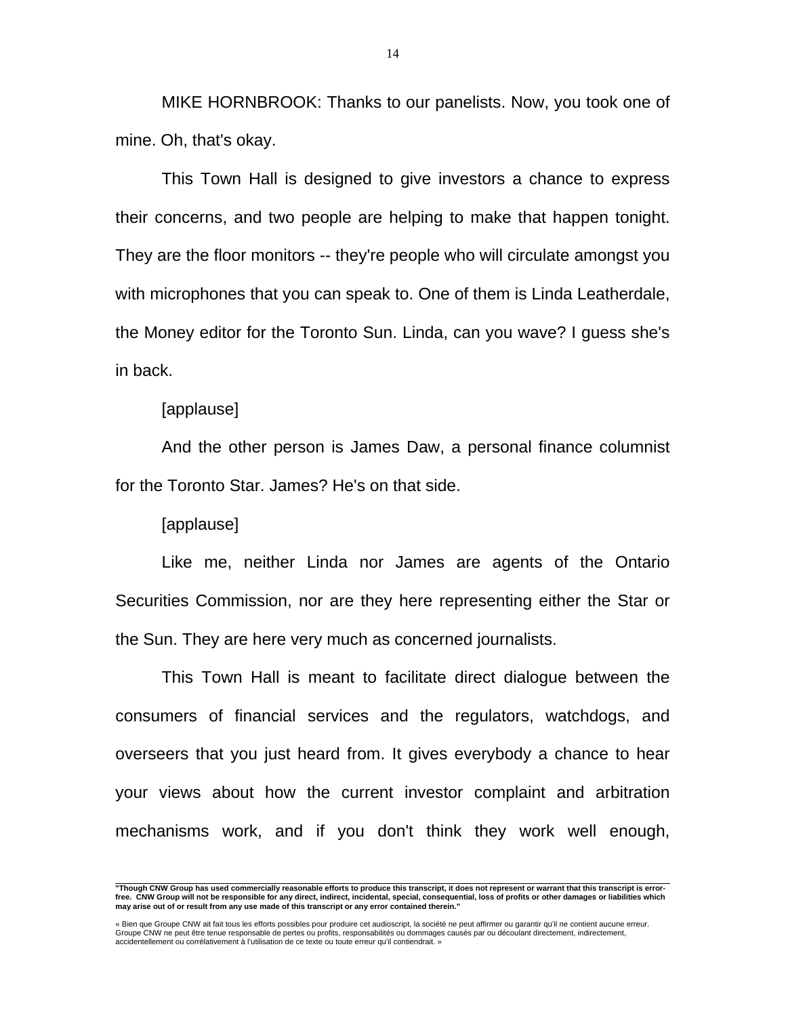MIKE HORNBROOK: Thanks to our panelists. Now, you took one of mine. Oh, that's okay.

 This Town Hall is designed to give investors a chance to express their concerns, and two people are helping to make that happen tonight. They are the floor monitors -- they're people who will circulate amongst you with microphones that you can speak to. One of them is Linda Leatherdale, the Money editor for the Toronto Sun. Linda, can you wave? I guess she's in back.

## [applause]

 And the other person is James Daw, a personal finance columnist for the Toronto Star. James? He's on that side.

[applause]

 Like me, neither Linda nor James are agents of the Ontario Securities Commission, nor are they here representing either the Star or the Sun. They are here very much as concerned journalists.

 This Town Hall is meant to facilitate direct dialogue between the consumers of financial services and the regulators, watchdogs, and overseers that you just heard from. It gives everybody a chance to hear your views about how the current investor complaint and arbitration mechanisms work, and if you don't think they work well enough,

 **"Though CNW Group has used commercially reasonable efforts to produce this transcript, it does not represent or warrant that this transcript is errorfree. CNW Group will not be responsible for any direct, indirect, incidental, special, consequential, loss of profits or other damages or liabilities which may arise out of or result from any use made of this transcript or any error contained therein."** 

<sup>«</sup> Bien que Groupe CNW ait fait tous les efforts possibles pour produire cet audioscript, la société ne peut affirmer ou garantir qu'il ne contient aucune erreur.<br>Groupe CNW ne peut être tenue responsable de pertes ou profi accidentellement ou corrélativement à l'utilisation de ce texte ou toute erreur qu'il contiendrait. »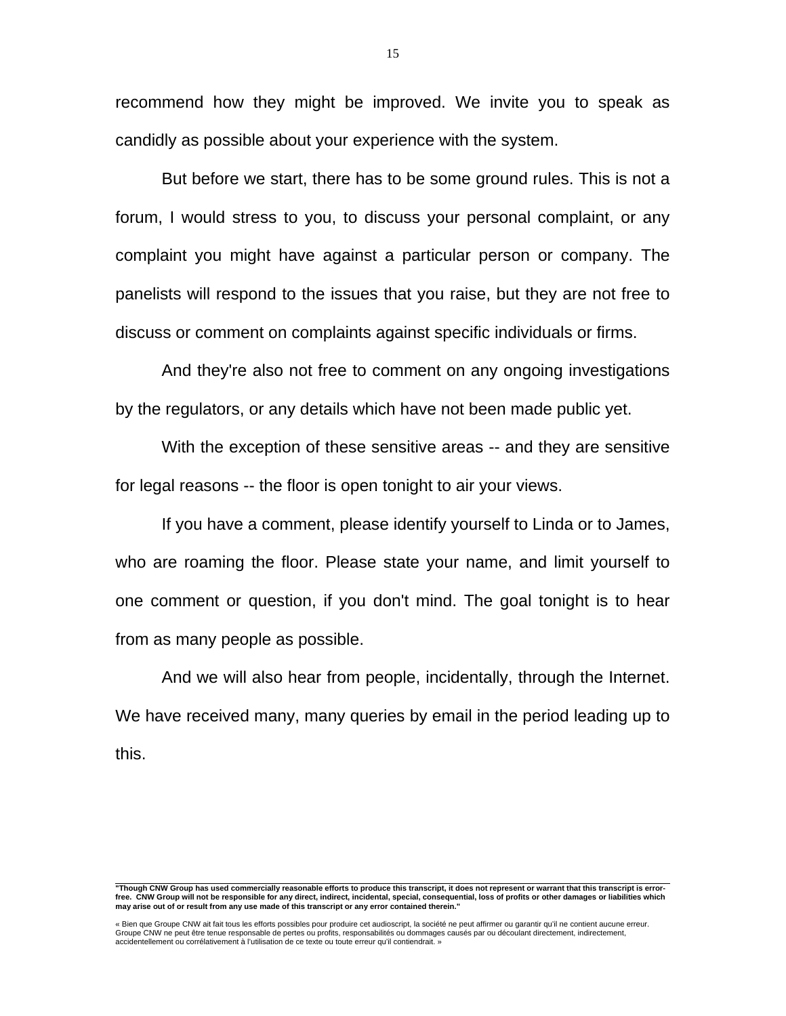recommend how they might be improved. We invite you to speak as candidly as possible about your experience with the system.

 But before we start, there has to be some ground rules. This is not a forum, I would stress to you, to discuss your personal complaint, or any complaint you might have against a particular person or company. The panelists will respond to the issues that you raise, but they are not free to discuss or comment on complaints against specific individuals or firms.

 And they're also not free to comment on any ongoing investigations by the regulators, or any details which have not been made public yet.

With the exception of these sensitive areas -- and they are sensitive for legal reasons -- the floor is open tonight to air your views.

 If you have a comment, please identify yourself to Linda or to James, who are roaming the floor. Please state your name, and limit yourself to one comment or question, if you don't mind. The goal tonight is to hear from as many people as possible.

 And we will also hear from people, incidentally, through the Internet. We have received many, many queries by email in the period leading up to this.

 **"Though CNW Group has used commercially reasonable efforts to produce this transcript, it does not represent or warrant that this transcript is errorfree. CNW Group will not be responsible for any direct, indirect, incidental, special, consequential, loss of profits or other damages or liabilities which may arise out of or result from any use made of this transcript or any error contained therein."** 

<sup>«</sup> Bien que Groupe CNW ait fait tous les efforts possibles pour produire cet audioscript, la société ne peut affirmer ou garantir qu'il ne contient aucune erreur.<br>Groupe CNW ne peut être tenue responsable de pertes ou profi accidentellement ou corrélativement à l'utilisation de ce texte ou toute erreur qu'il contiendrait. »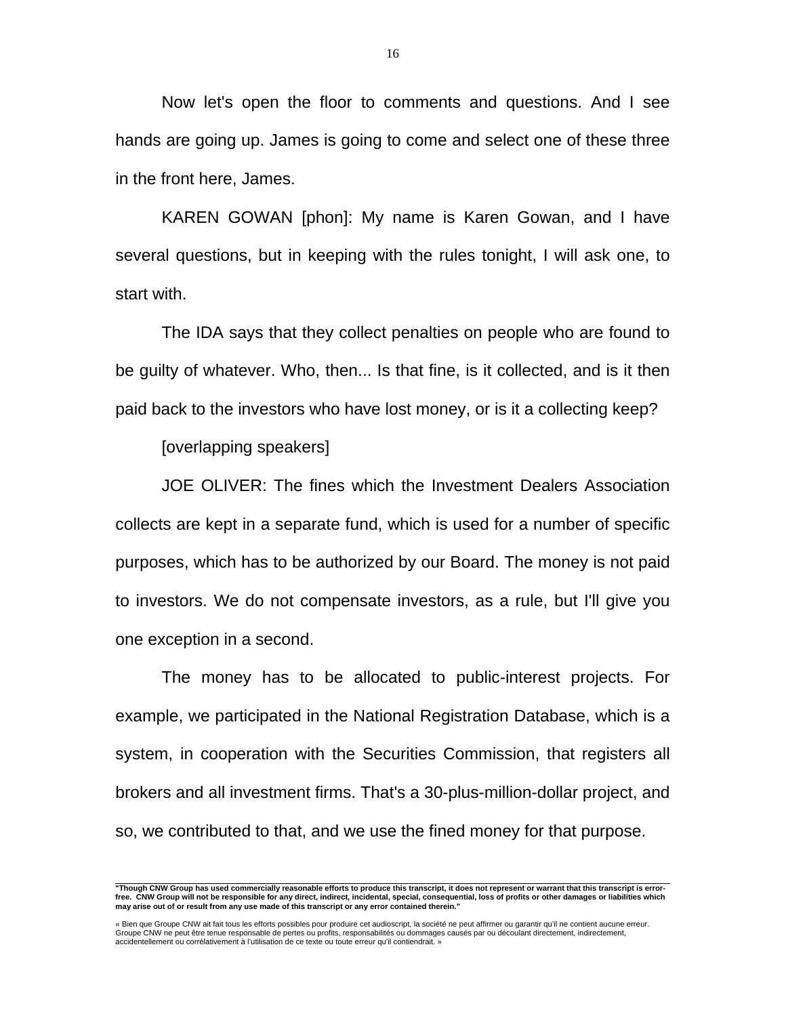Now let's open the floor to comments and questions. And I see hands are going up. James is going to come and select one of these three in the front here, James.

 KAREN GOWAN [phon]: My name is Karen Gowan, and I have several questions, but in keeping with the rules tonight, I will ask one, to start with.

 The IDA says that they collect penalties on people who are found to be guilty of whatever. Who, then... Is that fine, is it collected, and is it then paid back to the investors who have lost money, or is it a collecting keep?

[overlapping speakers]

 JOE OLIVER: The fines which the Investment Dealers Association collects are kept in a separate fund, which is used for a number of specific purposes, which has to be authorized by our Board. The money is not paid to investors. We do not compensate investors, as a rule, but I'll give you one exception in a second.

 The money has to be allocated to public-interest projects. For example, we participated in the National Registration Database, which is a system, in cooperation with the Securities Commission, that registers all brokers and all investment firms. That's a 30-plus-million-dollar project, and so, we contributed to that, and we use the fined money for that purpose.

 **"Though CNW Group has used commercially reasonable efforts to produce this transcript, it does not represent or warrant that this transcript is errorfree. CNW Group will not be responsible for any direct, indirect, incidental, special, consequential, loss of profits or other damages or liabilities which may arise out of or result from any use made of this transcript or any error contained therein."** 

<sup>«</sup> Bien que Groupe CNW ait fait tous les efforts possibles pour produire cet audioscript, la société ne peut affirmer ou garantir qu'il ne contient aucune erreur. Groupe CNW ne peut être tenue responsable de pertes ou profits, responsabilités ou dommages causés par ou découlant directement, indirectement, accidentellement ou corrélativement à l'utilisation de ce texte ou toute erreur qu'il contiendrait. »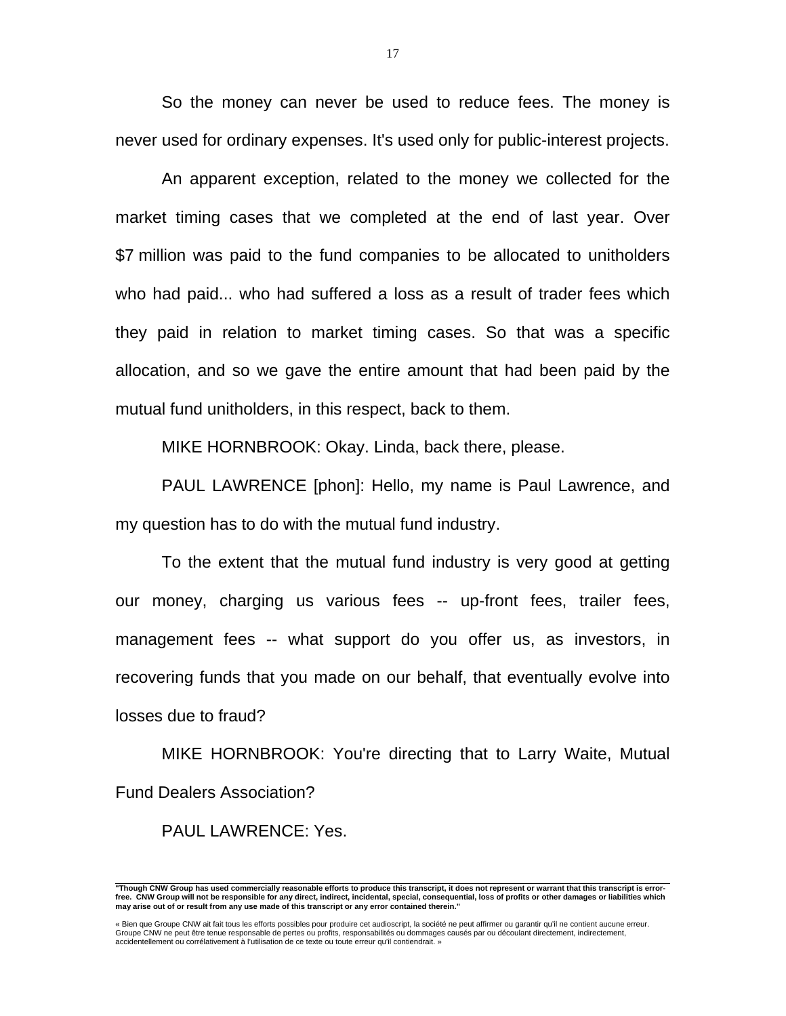So the money can never be used to reduce fees. The money is never used for ordinary expenses. It's used only for public-interest projects.

 An apparent exception, related to the money we collected for the market timing cases that we completed at the end of last year. Over \$7 million was paid to the fund companies to be allocated to unitholders who had paid... who had suffered a loss as a result of trader fees which they paid in relation to market timing cases. So that was a specific allocation, and so we gave the entire amount that had been paid by the mutual fund unitholders, in this respect, back to them.

MIKE HORNBROOK: Okay. Linda, back there, please.

 PAUL LAWRENCE [phon]: Hello, my name is Paul Lawrence, and my question has to do with the mutual fund industry.

 To the extent that the mutual fund industry is very good at getting our money, charging us various fees -- up-front fees, trailer fees, management fees -- what support do you offer us, as investors, in recovering funds that you made on our behalf, that eventually evolve into losses due to fraud?

 MIKE HORNBROOK: You're directing that to Larry Waite, Mutual Fund Dealers Association?

PAUL LAWRENCE: Yes.

 **"Though CNW Group has used commercially reasonable efforts to produce this transcript, it does not represent or warrant that this transcript is errorfree. CNW Group will not be responsible for any direct, indirect, incidental, special, consequential, loss of profits or other damages or liabilities which may arise out of or result from any use made of this transcript or any error contained therein."** 

<sup>«</sup> Bien que Groupe CNW ait fait tous les efforts possibles pour produire cet audioscript, la société ne peut affirmer ou garantir qu'il ne contient aucune erreur.<br>Groupe CNW ne peut être tenue responsable de pertes ou profi accidentellement ou corrélativement à l'utilisation de ce texte ou toute erreur qu'il contiendrait. »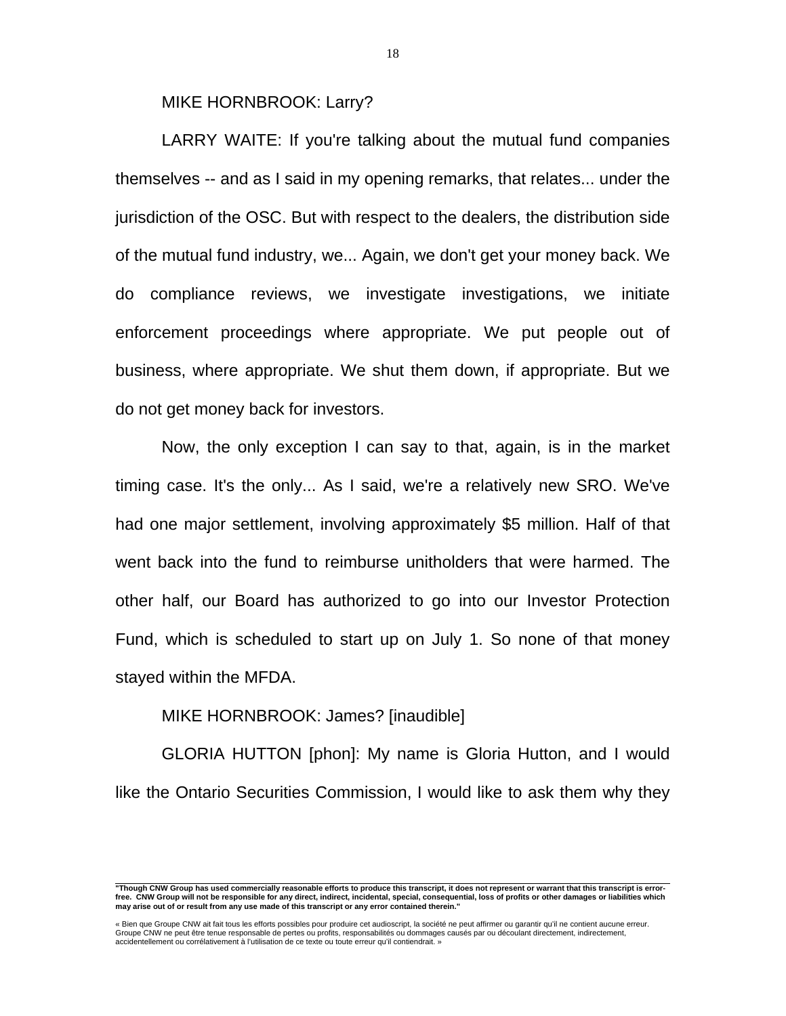MIKE HORNBROOK: Larry?

 LARRY WAITE: If you're talking about the mutual fund companies themselves -- and as I said in my opening remarks, that relates... under the jurisdiction of the OSC. But with respect to the dealers, the distribution side of the mutual fund industry, we... Again, we don't get your money back. We do compliance reviews, we investigate investigations, we initiate enforcement proceedings where appropriate. We put people out of business, where appropriate. We shut them down, if appropriate. But we do not get money back for investors.

 Now, the only exception I can say to that, again, is in the market timing case. It's the only... As I said, we're a relatively new SRO. We've had one major settlement, involving approximately \$5 million. Half of that went back into the fund to reimburse unitholders that were harmed. The other half, our Board has authorized to go into our Investor Protection Fund, which is scheduled to start up on July 1. So none of that money stayed within the MFDA.

## MIKE HORNBROOK: James? [inaudible]

 GLORIA HUTTON [phon]: My name is Gloria Hutton, and I would like the Ontario Securities Commission, I would like to ask them why they

 **"Though CNW Group has used commercially reasonable efforts to produce this transcript, it does not represent or warrant that this transcript is errorfree. CNW Group will not be responsible for any direct, indirect, incidental, special, consequential, loss of profits or other damages or liabilities which may arise out of or result from any use made of this transcript or any error contained therein."** 

<sup>«</sup> Bien que Groupe CNW ait fait tous les efforts possibles pour produire cet audioscript, la société ne peut affirmer ou garantir qu'il ne contient aucune erreur.<br>Groupe CNW ne peut être tenue responsable de pertes ou profi accidentellement ou corrélativement à l'utilisation de ce texte ou toute erreur qu'il contiendrait. »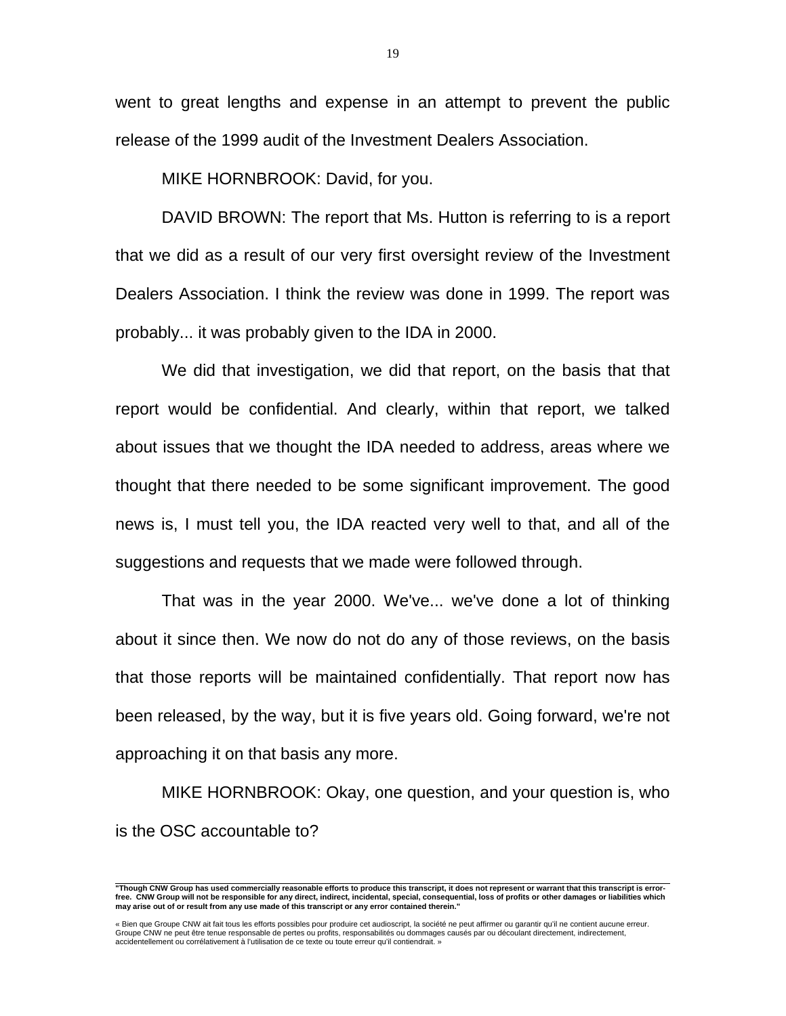went to great lengths and expense in an attempt to prevent the public release of the 1999 audit of the Investment Dealers Association.

MIKE HORNBROOK: David, for you.

 DAVID BROWN: The report that Ms. Hutton is referring to is a report that we did as a result of our very first oversight review of the Investment Dealers Association. I think the review was done in 1999. The report was probably... it was probably given to the IDA in 2000.

 We did that investigation, we did that report, on the basis that that report would be confidential. And clearly, within that report, we talked about issues that we thought the IDA needed to address, areas where we thought that there needed to be some significant improvement. The good news is, I must tell you, the IDA reacted very well to that, and all of the suggestions and requests that we made were followed through.

 That was in the year 2000. We've... we've done a lot of thinking about it since then. We now do not do any of those reviews, on the basis that those reports will be maintained confidentially. That report now has been released, by the way, but it is five years old. Going forward, we're not approaching it on that basis any more.

 MIKE HORNBROOK: Okay, one question, and your question is, who is the OSC accountable to?

 **"Though CNW Group has used commercially reasonable efforts to produce this transcript, it does not represent or warrant that this transcript is errorfree. CNW Group will not be responsible for any direct, indirect, incidental, special, consequential, loss of profits or other damages or liabilities which may arise out of or result from any use made of this transcript or any error contained therein."** 

<sup>«</sup> Bien que Groupe CNW ait fait tous les efforts possibles pour produire cet audioscript, la société ne peut affirmer ou garantir qu'il ne contient aucune erreur.<br>Groupe CNW ne peut être tenue responsable de pertes ou profi accidentellement ou corrélativement à l'utilisation de ce texte ou toute erreur qu'il contiendrait. »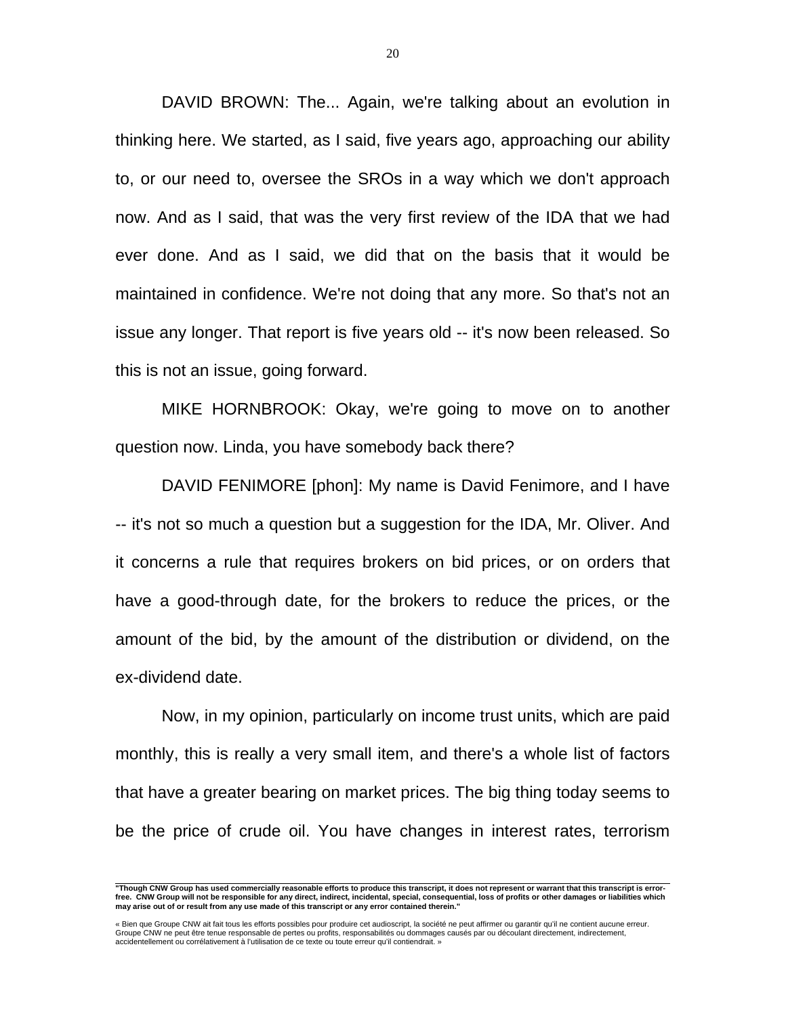DAVID BROWN: The... Again, we're talking about an evolution in thinking here. We started, as I said, five years ago, approaching our ability to, or our need to, oversee the SROs in a way which we don't approach now. And as I said, that was the very first review of the IDA that we had ever done. And as I said, we did that on the basis that it would be maintained in confidence. We're not doing that any more. So that's not an issue any longer. That report is five years old -- it's now been released. So this is not an issue, going forward.

 MIKE HORNBROOK: Okay, we're going to move on to another question now. Linda, you have somebody back there?

 DAVID FENIMORE [phon]: My name is David Fenimore, and I have -- it's not so much a question but a suggestion for the IDA, Mr. Oliver. And it concerns a rule that requires brokers on bid prices, or on orders that have a good-through date, for the brokers to reduce the prices, or the amount of the bid, by the amount of the distribution or dividend, on the ex-dividend date.

 Now, in my opinion, particularly on income trust units, which are paid monthly, this is really a very small item, and there's a whole list of factors that have a greater bearing on market prices. The big thing today seems to be the price of crude oil. You have changes in interest rates, terrorism

 **"Though CNW Group has used commercially reasonable efforts to produce this transcript, it does not represent or warrant that this transcript is errorfree. CNW Group will not be responsible for any direct, indirect, incidental, special, consequential, loss of profits or other damages or liabilities which may arise out of or result from any use made of this transcript or any error contained therein."** 

<sup>«</sup> Bien que Groupe CNW ait fait tous les efforts possibles pour produire cet audioscript, la société ne peut affirmer ou garantir qu'il ne contient aucune erreur.<br>Groupe CNW ne peut être tenue responsable de pertes ou profi accidentellement ou corrélativement à l'utilisation de ce texte ou toute erreur qu'il contiendrait. »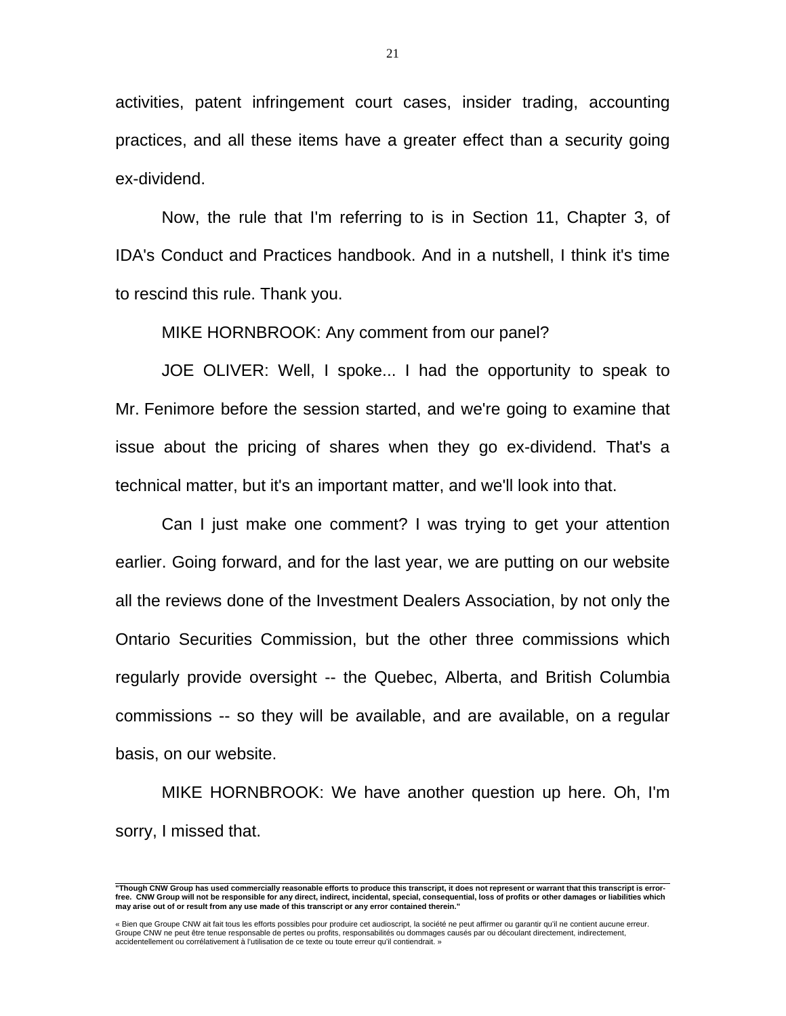activities, patent infringement court cases, insider trading, accounting practices, and all these items have a greater effect than a security going ex-dividend.

 Now, the rule that I'm referring to is in Section 11, Chapter 3, of IDA's Conduct and Practices handbook. And in a nutshell, I think it's time to rescind this rule. Thank you.

MIKE HORNBROOK: Any comment from our panel?

 JOE OLIVER: Well, I spoke... I had the opportunity to speak to Mr. Fenimore before the session started, and we're going to examine that issue about the pricing of shares when they go ex-dividend. That's a technical matter, but it's an important matter, and we'll look into that.

 Can I just make one comment? I was trying to get your attention earlier. Going forward, and for the last year, we are putting on our website all the reviews done of the Investment Dealers Association, by not only the Ontario Securities Commission, but the other three commissions which regularly provide oversight -- the Quebec, Alberta, and British Columbia commissions -- so they will be available, and are available, on a regular basis, on our website.

 MIKE HORNBROOK: We have another question up here. Oh, I'm sorry, I missed that.

 **"Though CNW Group has used commercially reasonable efforts to produce this transcript, it does not represent or warrant that this transcript is errorfree. CNW Group will not be responsible for any direct, indirect, incidental, special, consequential, loss of profits or other damages or liabilities which may arise out of or result from any use made of this transcript or any error contained therein."** 

<sup>«</sup> Bien que Groupe CNW ait fait tous les efforts possibles pour produire cet audioscript, la société ne peut affirmer ou garantir qu'il ne contient aucune erreur.<br>Groupe CNW ne peut être tenue responsable de pertes ou profi accidentellement ou corrélativement à l'utilisation de ce texte ou toute erreur qu'il contiendrait. »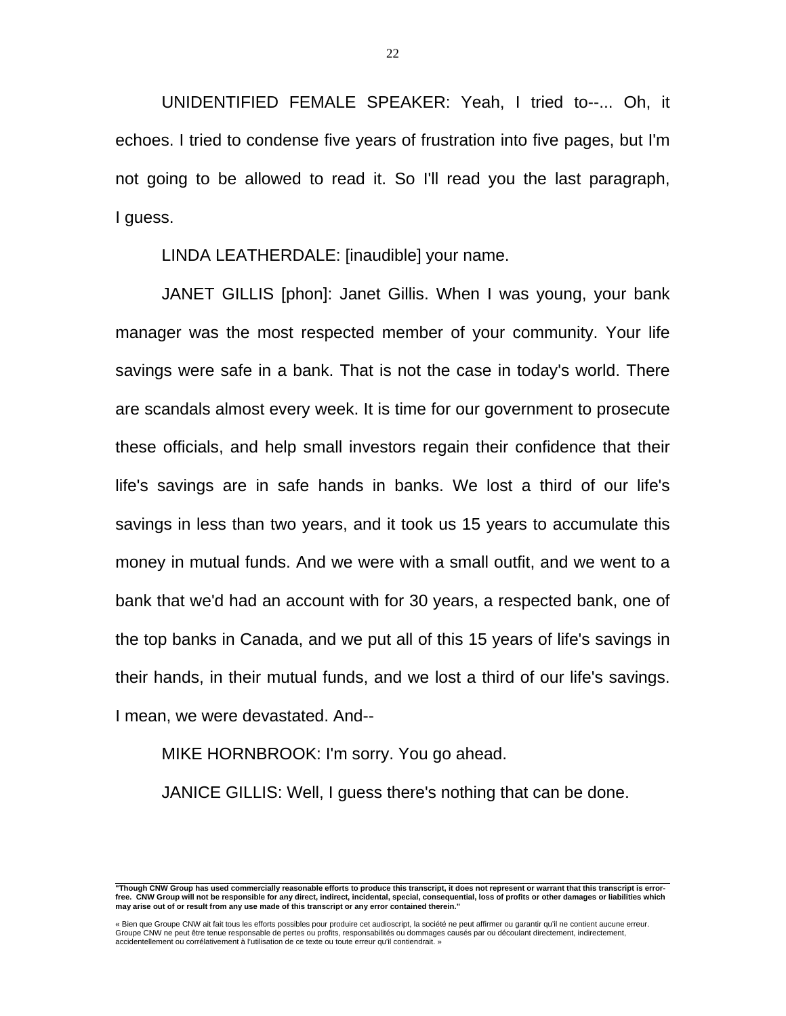UNIDENTIFIED FEMALE SPEAKER: Yeah, I tried to--... Oh, it echoes. I tried to condense five years of frustration into five pages, but I'm not going to be allowed to read it. So I'll read you the last paragraph, I guess.

LINDA LEATHERDALE: [inaudible] your name.

 JANET GILLIS [phon]: Janet Gillis. When I was young, your bank manager was the most respected member of your community. Your life savings were safe in a bank. That is not the case in today's world. There are scandals almost every week. It is time for our government to prosecute these officials, and help small investors regain their confidence that their life's savings are in safe hands in banks. We lost a third of our life's savings in less than two years, and it took us 15 years to accumulate this money in mutual funds. And we were with a small outfit, and we went to a bank that we'd had an account with for 30 years, a respected bank, one of the top banks in Canada, and we put all of this 15 years of life's savings in their hands, in their mutual funds, and we lost a third of our life's savings. I mean, we were devastated. And--

MIKE HORNBROOK: I'm sorry. You go ahead.

JANICE GILLIS: Well, I guess there's nothing that can be done.

 **"Though CNW Group has used commercially reasonable efforts to produce this transcript, it does not represent or warrant that this transcript is errorfree. CNW Group will not be responsible for any direct, indirect, incidental, special, consequential, loss of profits or other damages or liabilities which may arise out of or result from any use made of this transcript or any error contained therein."** 

« Bien que Groupe CNW ait fait tous les efforts possibles pour produire cet audioscript, la société ne peut affirmer ou garantir qu'il ne contient aucune erreur.<br>Groupe CNW ne peut être tenue responsable de pertes ou profi accidentellement ou corrélativement à l'utilisation de ce texte ou toute erreur qu'il contiendrait. »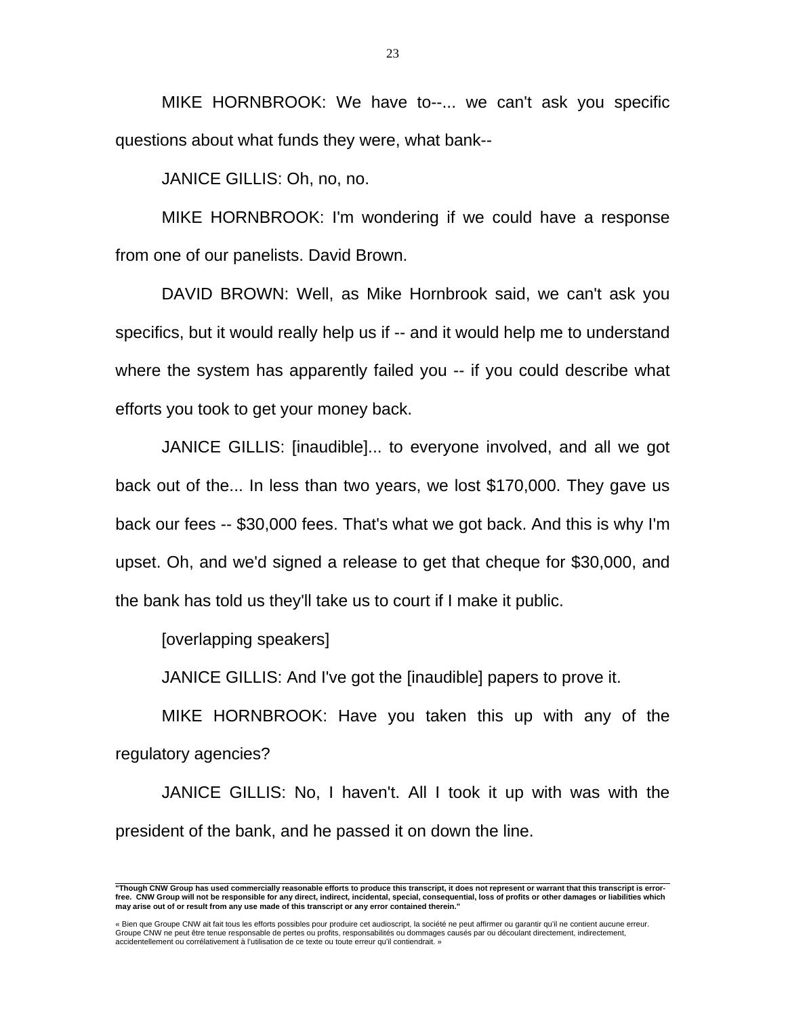MIKE HORNBROOK: We have to--... we can't ask you specific questions about what funds they were, what bank--

JANICE GILLIS: Oh, no, no.

 MIKE HORNBROOK: I'm wondering if we could have a response from one of our panelists. David Brown.

 DAVID BROWN: Well, as Mike Hornbrook said, we can't ask you specifics, but it would really help us if -- and it would help me to understand where the system has apparently failed you -- if you could describe what efforts you took to get your money back.

 JANICE GILLIS: [inaudible]... to everyone involved, and all we got back out of the... In less than two years, we lost \$170,000. They gave us back our fees -- \$30,000 fees. That's what we got back. And this is why I'm upset. Oh, and we'd signed a release to get that cheque for \$30,000, and the bank has told us they'll take us to court if I make it public.

[overlapping speakers]

JANICE GILLIS: And I've got the [inaudible] papers to prove it.

 MIKE HORNBROOK: Have you taken this up with any of the regulatory agencies?

 JANICE GILLIS: No, I haven't. All I took it up with was with the president of the bank, and he passed it on down the line.

 **"Though CNW Group has used commercially reasonable efforts to produce this transcript, it does not represent or warrant that this transcript is errorfree. CNW Group will not be responsible for any direct, indirect, incidental, special, consequential, loss of profits or other damages or liabilities which may arise out of or result from any use made of this transcript or any error contained therein."** 

<sup>«</sup> Bien que Groupe CNW ait fait tous les efforts possibles pour produire cet audioscript, la société ne peut affirmer ou garantir qu'il ne contient aucune erreur.<br>Groupe CNW ne peut être tenue responsable de pertes ou profi accidentellement ou corrélativement à l'utilisation de ce texte ou toute erreur qu'il contiendrait. »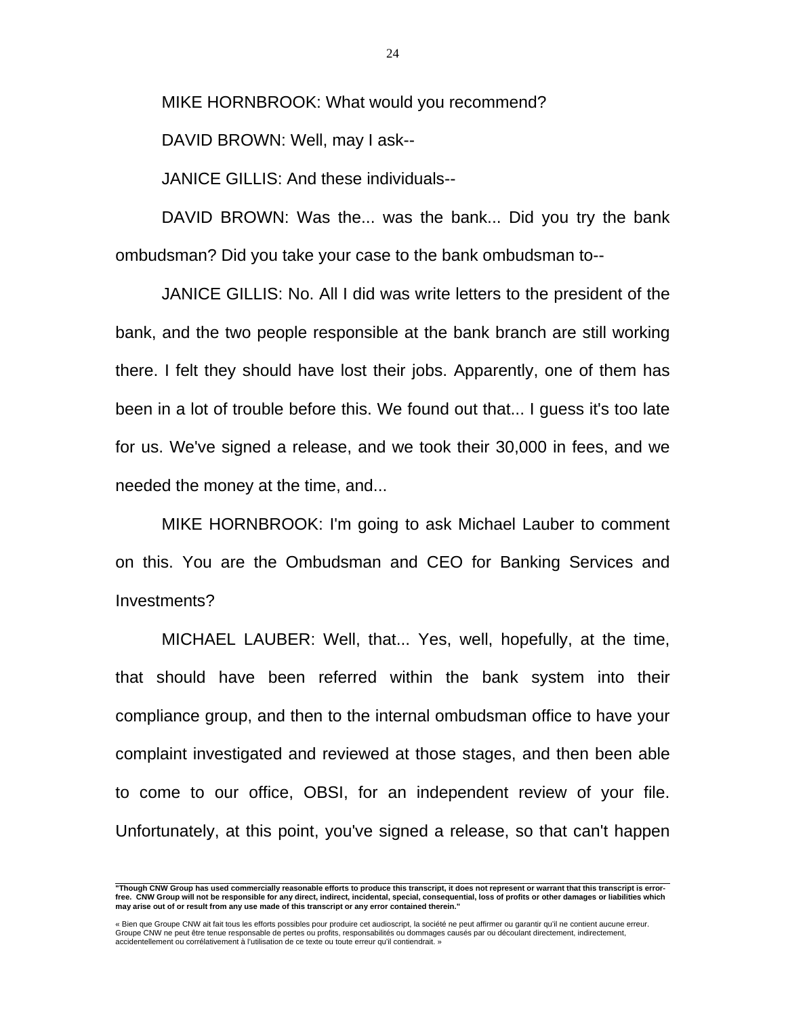MIKE HORNBROOK: What would you recommend?

DAVID BROWN: Well, may I ask--

JANICE GILLIS: And these individuals--

 DAVID BROWN: Was the... was the bank... Did you try the bank ombudsman? Did you take your case to the bank ombudsman to--

 JANICE GILLIS: No. All I did was write letters to the president of the bank, and the two people responsible at the bank branch are still working there. I felt they should have lost their jobs. Apparently, one of them has been in a lot of trouble before this. We found out that... I guess it's too late for us. We've signed a release, and we took their 30,000 in fees, and we needed the money at the time, and...

 MIKE HORNBROOK: I'm going to ask Michael Lauber to comment on this. You are the Ombudsman and CEO for Banking Services and Investments?

 MICHAEL LAUBER: Well, that... Yes, well, hopefully, at the time, that should have been referred within the bank system into their compliance group, and then to the internal ombudsman office to have your complaint investigated and reviewed at those stages, and then been able to come to our office, OBSI, for an independent review of your file. Unfortunately, at this point, you've signed a release, so that can't happen

 **"Though CNW Group has used commercially reasonable efforts to produce this transcript, it does not represent or warrant that this transcript is errorfree. CNW Group will not be responsible for any direct, indirect, incidental, special, consequential, loss of profits or other damages or liabilities which may arise out of or result from any use made of this transcript or any error contained therein."** 

<sup>«</sup> Bien que Groupe CNW ait fait tous les efforts possibles pour produire cet audioscript, la société ne peut affirmer ou garantir qu'il ne contient aucune erreur. Groupe CNW ne peut être tenue responsable de pertes ou profits, responsabilités ou dommages causés par ou découlant directement, indirectement, accidentellement ou corrélativement à l'utilisation de ce texte ou toute erreur qu'il contiendrait. »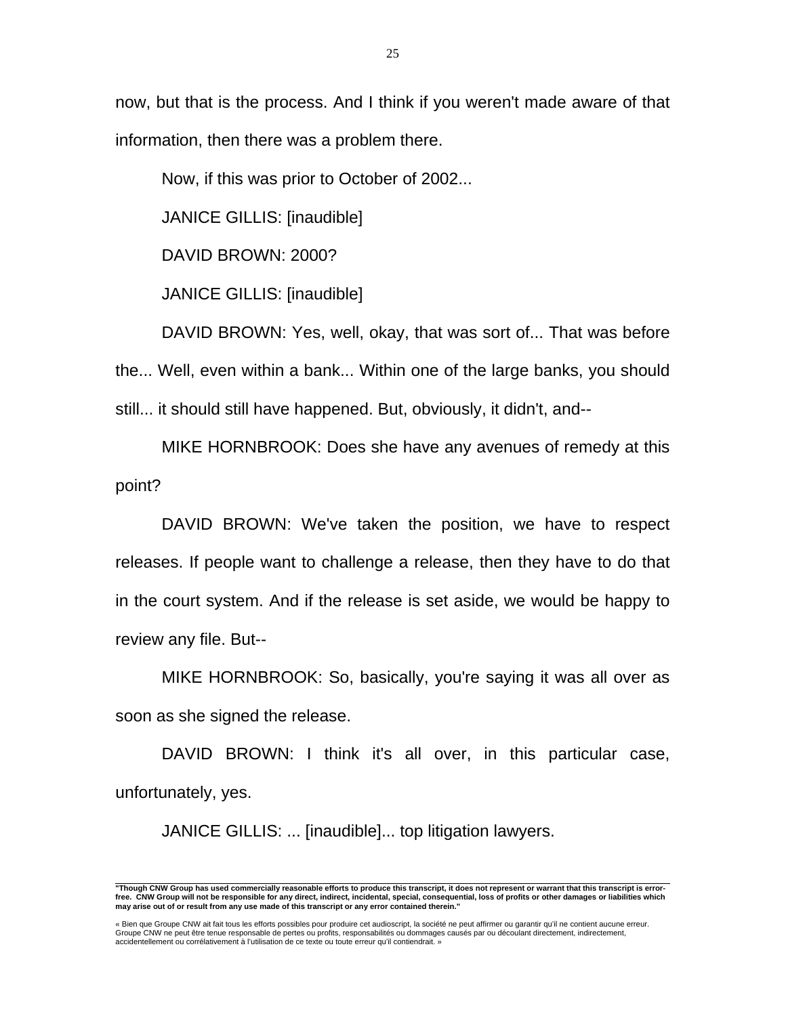now, but that is the process. And I think if you weren't made aware of that information, then there was a problem there.

Now, if this was prior to October of 2002...

JANICE GILLIS: [inaudible]

DAVID BROWN: 2000?

JANICE GILLIS: [inaudible]

 DAVID BROWN: Yes, well, okay, that was sort of... That was before the... Well, even within a bank... Within one of the large banks, you should still... it should still have happened. But, obviously, it didn't, and--

 MIKE HORNBROOK: Does she have any avenues of remedy at this point?

 DAVID BROWN: We've taken the position, we have to respect releases. If people want to challenge a release, then they have to do that in the court system. And if the release is set aside, we would be happy to review any file. But--

 MIKE HORNBROOK: So, basically, you're saying it was all over as soon as she signed the release.

DAVID BROWN: I think it's all over, in this particular case, unfortunately, yes.

JANICE GILLIS: ... [inaudible]... top litigation lawyers.

 **"Though CNW Group has used commercially reasonable efforts to produce this transcript, it does not represent or warrant that this transcript is errorfree. CNW Group will not be responsible for any direct, indirect, incidental, special, consequential, loss of profits or other damages or liabilities which may arise out of or result from any use made of this transcript or any error contained therein."** 

<sup>«</sup> Bien que Groupe CNW ait fait tous les efforts possibles pour produire cet audioscript, la société ne peut affirmer ou garantir qu'il ne contient aucune erreur.<br>Groupe CNW ne peut être tenue responsable de pertes ou profi accidentellement ou corrélativement à l'utilisation de ce texte ou toute erreur qu'il contiendrait. »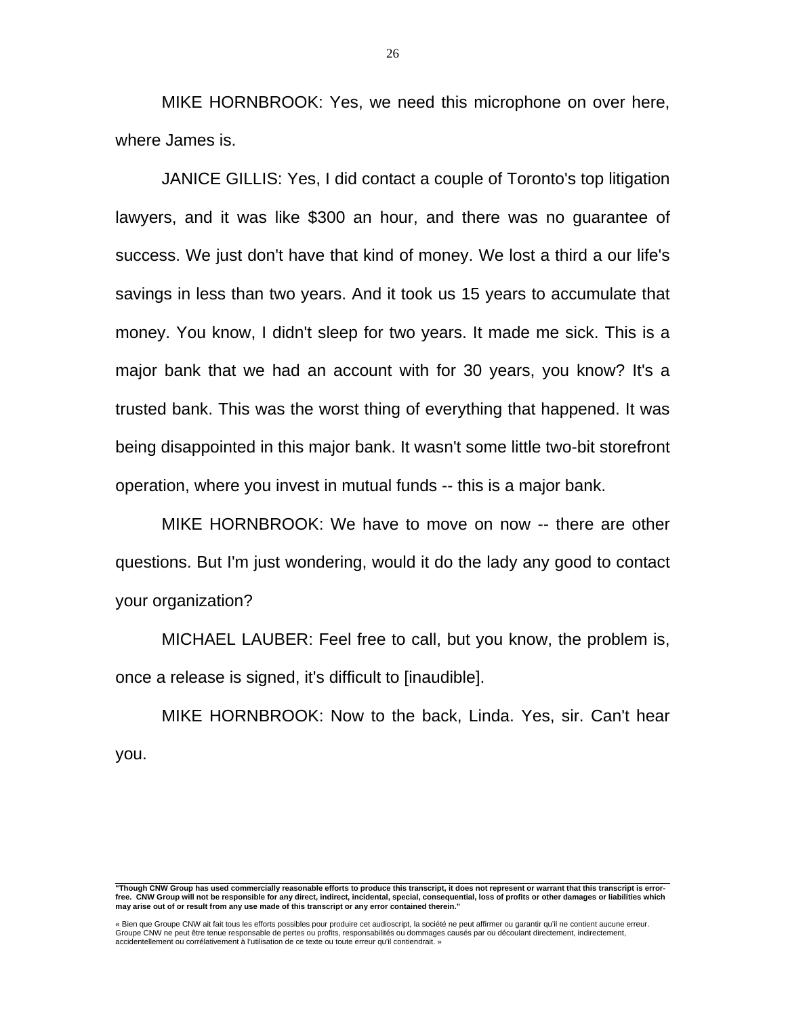MIKE HORNBROOK: Yes, we need this microphone on over here, where James is.

 JANICE GILLIS: Yes, I did contact a couple of Toronto's top litigation lawyers, and it was like \$300 an hour, and there was no guarantee of success. We just don't have that kind of money. We lost a third a our life's savings in less than two years. And it took us 15 years to accumulate that money. You know, I didn't sleep for two years. It made me sick. This is a major bank that we had an account with for 30 years, you know? It's a trusted bank. This was the worst thing of everything that happened. It was being disappointed in this major bank. It wasn't some little two-bit storefront operation, where you invest in mutual funds -- this is a major bank.

 MIKE HORNBROOK: We have to move on now -- there are other questions. But I'm just wondering, would it do the lady any good to contact your organization?

 MICHAEL LAUBER: Feel free to call, but you know, the problem is, once a release is signed, it's difficult to [inaudible].

 MIKE HORNBROOK: Now to the back, Linda. Yes, sir. Can't hear you.

 **"Though CNW Group has used commercially reasonable efforts to produce this transcript, it does not represent or warrant that this transcript is errorfree. CNW Group will not be responsible for any direct, indirect, incidental, special, consequential, loss of profits or other damages or liabilities which may arise out of or result from any use made of this transcript or any error contained therein."** 

<sup>«</sup> Bien que Groupe CNW ait fait tous les efforts possibles pour produire cet audioscript, la société ne peut affirmer ou garantir qu'il ne contient aucune erreur.<br>Groupe CNW ne peut être tenue responsable de pertes ou profi accidentellement ou corrélativement à l'utilisation de ce texte ou toute erreur qu'il contiendrait. »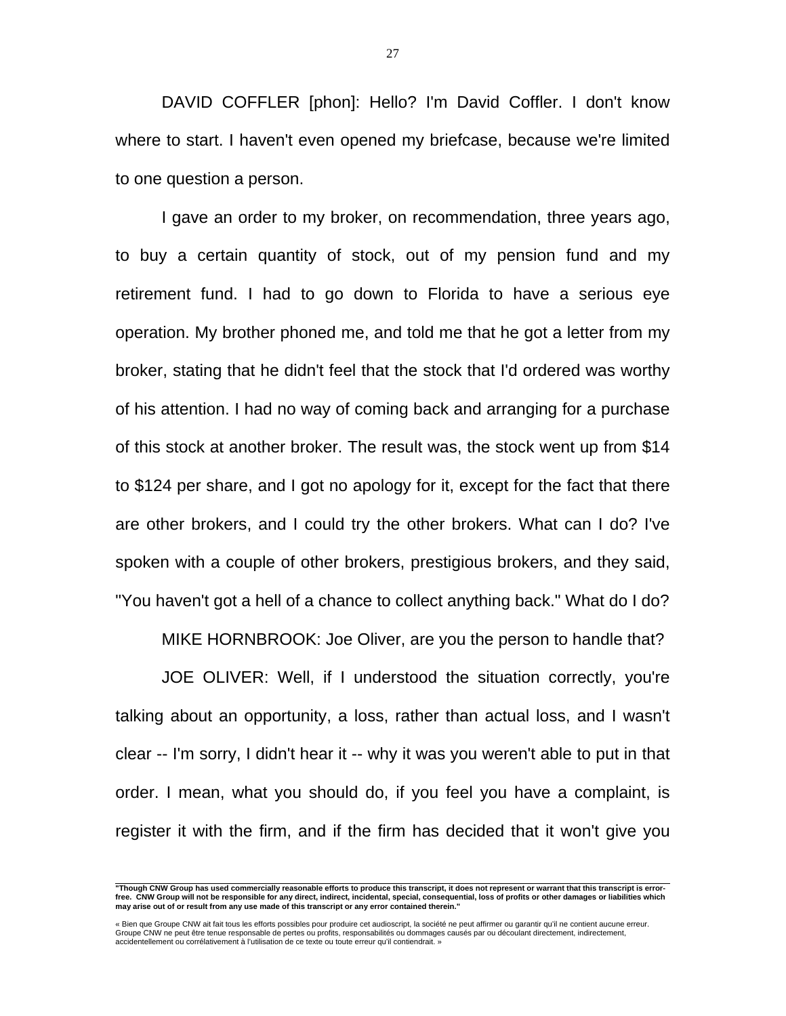DAVID COFFLER [phon]: Hello? I'm David Coffler. I don't know where to start. I haven't even opened my briefcase, because we're limited to one question a person.

 I gave an order to my broker, on recommendation, three years ago, to buy a certain quantity of stock, out of my pension fund and my retirement fund. I had to go down to Florida to have a serious eye operation. My brother phoned me, and told me that he got a letter from my broker, stating that he didn't feel that the stock that I'd ordered was worthy of his attention. I had no way of coming back and arranging for a purchase of this stock at another broker. The result was, the stock went up from \$14 to \$124 per share, and I got no apology for it, except for the fact that there are other brokers, and I could try the other brokers. What can I do? I've spoken with a couple of other brokers, prestigious brokers, and they said, "You haven't got a hell of a chance to collect anything back." What do I do?

MIKE HORNBROOK: Joe Oliver, are you the person to handle that?

 JOE OLIVER: Well, if I understood the situation correctly, you're talking about an opportunity, a loss, rather than actual loss, and I wasn't clear -- I'm sorry, I didn't hear it -- why it was you weren't able to put in that order. I mean, what you should do, if you feel you have a complaint, is register it with the firm, and if the firm has decided that it won't give you

 **"Though CNW Group has used commercially reasonable efforts to produce this transcript, it does not represent or warrant that this transcript is errorfree. CNW Group will not be responsible for any direct, indirect, incidental, special, consequential, loss of profits or other damages or liabilities which may arise out of or result from any use made of this transcript or any error contained therein."** 

<sup>«</sup> Bien que Groupe CNW ait fait tous les efforts possibles pour produire cet audioscript, la société ne peut affirmer ou garantir qu'il ne contient aucune erreur.<br>Groupe CNW ne peut être tenue responsable de pertes ou profi accidentellement ou corrélativement à l'utilisation de ce texte ou toute erreur qu'il contiendrait. »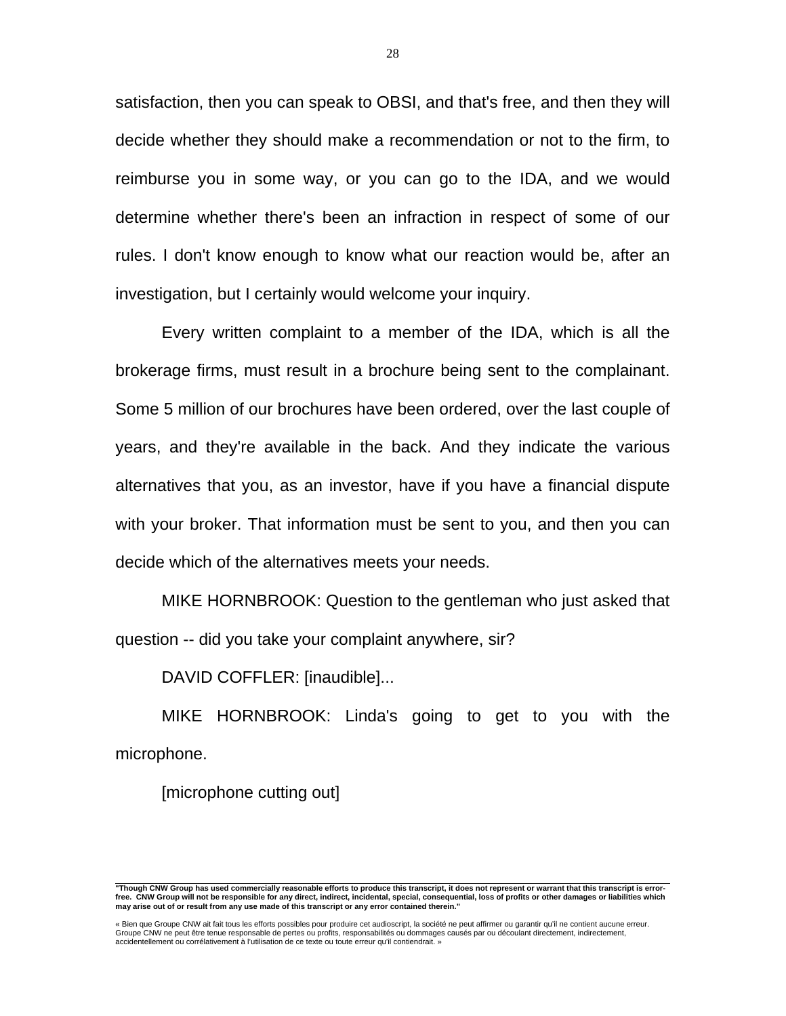satisfaction, then you can speak to OBSI, and that's free, and then they will decide whether they should make a recommendation or not to the firm, to reimburse you in some way, or you can go to the IDA, and we would determine whether there's been an infraction in respect of some of our rules. I don't know enough to know what our reaction would be, after an investigation, but I certainly would welcome your inquiry.

 Every written complaint to a member of the IDA, which is all the brokerage firms, must result in a brochure being sent to the complainant. Some 5 million of our brochures have been ordered, over the last couple of years, and they're available in the back. And they indicate the various alternatives that you, as an investor, have if you have a financial dispute with your broker. That information must be sent to you, and then you can decide which of the alternatives meets your needs.

 MIKE HORNBROOK: Question to the gentleman who just asked that question -- did you take your complaint anywhere, sir?

DAVID COFFLER: [inaudible]...

 MIKE HORNBROOK: Linda's going to get to you with the microphone.

[microphone cutting out]

 **"Though CNW Group has used commercially reasonable efforts to produce this transcript, it does not represent or warrant that this transcript is errorfree. CNW Group will not be responsible for any direct, indirect, incidental, special, consequential, loss of profits or other damages or liabilities which may arise out of or result from any use made of this transcript or any error contained therein."** 

<sup>«</sup> Bien que Groupe CNW ait fait tous les efforts possibles pour produire cet audioscript, la société ne peut affirmer ou garantir qu'il ne contient aucune erreur.<br>Groupe CNW ne peut être tenue responsable de pertes ou profi accidentellement ou corrélativement à l'utilisation de ce texte ou toute erreur qu'il contiendrait. »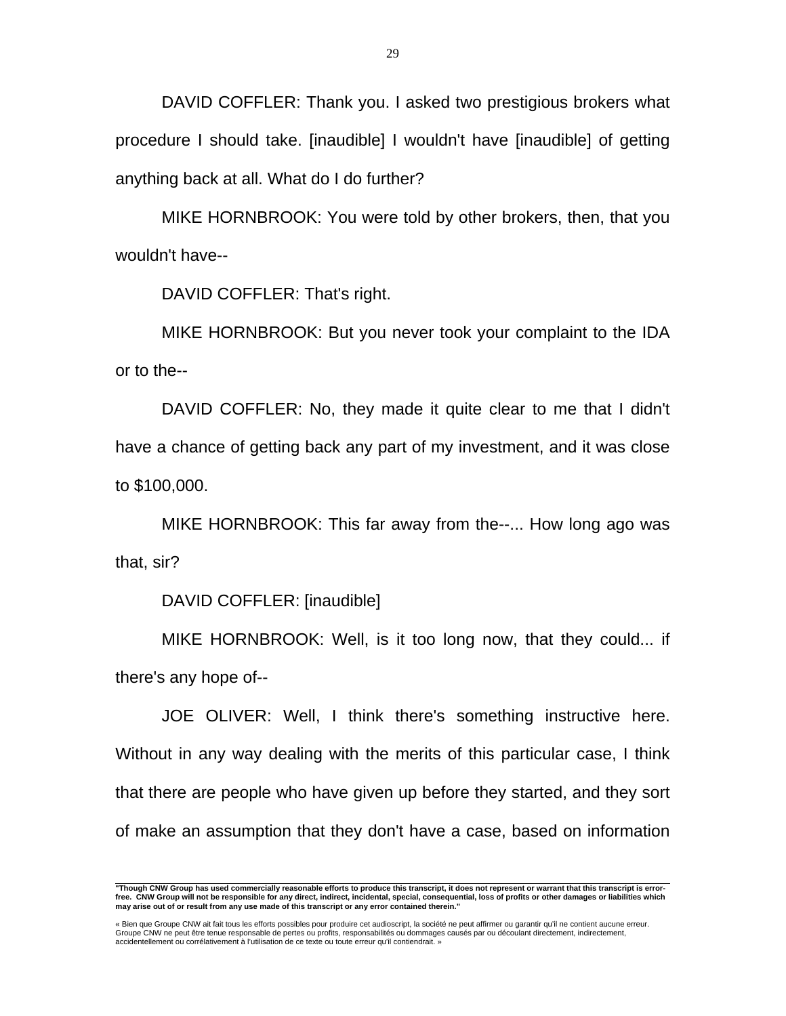DAVID COFFLER: Thank you. I asked two prestigious brokers what procedure I should take. [inaudible] I wouldn't have [inaudible] of getting anything back at all. What do I do further?

 MIKE HORNBROOK: You were told by other brokers, then, that you wouldn't have--

DAVID COFFLER: That's right.

 MIKE HORNBROOK: But you never took your complaint to the IDA or to the--

 DAVID COFFLER: No, they made it quite clear to me that I didn't have a chance of getting back any part of my investment, and it was close to \$100,000.

 MIKE HORNBROOK: This far away from the--... How long ago was that, sir?

DAVID COFFLER: [inaudible]

 MIKE HORNBROOK: Well, is it too long now, that they could... if there's any hope of--

 JOE OLIVER: Well, I think there's something instructive here. Without in any way dealing with the merits of this particular case, I think that there are people who have given up before they started, and they sort of make an assumption that they don't have a case, based on information

 **"Though CNW Group has used commercially reasonable efforts to produce this transcript, it does not represent or warrant that this transcript is errorfree. CNW Group will not be responsible for any direct, indirect, incidental, special, consequential, loss of profits or other damages or liabilities which may arise out of or result from any use made of this transcript or any error contained therein."** 

<sup>«</sup> Bien que Groupe CNW ait fait tous les efforts possibles pour produire cet audioscript, la société ne peut affirmer ou garantir qu'il ne contient aucune erreur. Groupe CNW ne peut être tenue responsable de pertes ou profits, responsabilités ou dommages causés par ou découlant directement, indirectement, accidentellement ou corrélativement à l'utilisation de ce texte ou toute erreur qu'il contiendrait. »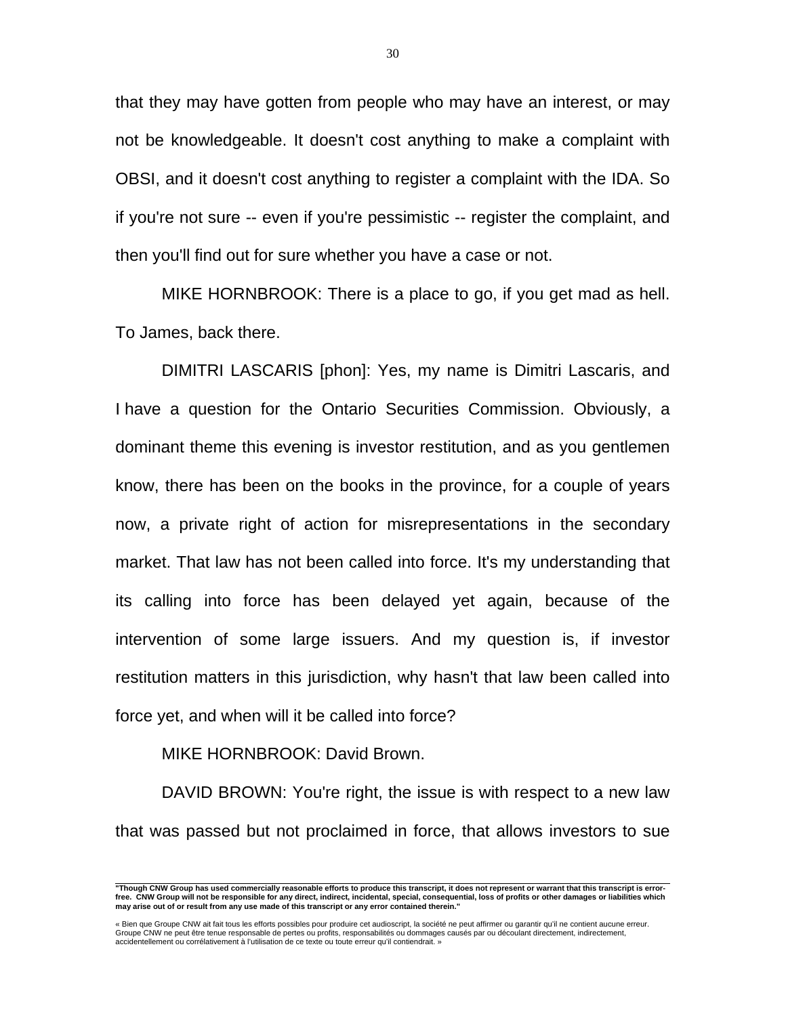that they may have gotten from people who may have an interest, or may not be knowledgeable. It doesn't cost anything to make a complaint with OBSI, and it doesn't cost anything to register a complaint with the IDA. So if you're not sure -- even if you're pessimistic -- register the complaint, and then you'll find out for sure whether you have a case or not.

 MIKE HORNBROOK: There is a place to go, if you get mad as hell. To James, back there.

 DIMITRI LASCARIS [phon]: Yes, my name is Dimitri Lascaris, and I have a question for the Ontario Securities Commission. Obviously, a dominant theme this evening is investor restitution, and as you gentlemen know, there has been on the books in the province, for a couple of years now, a private right of action for misrepresentations in the secondary market. That law has not been called into force. It's my understanding that its calling into force has been delayed yet again, because of the intervention of some large issuers. And my question is, if investor restitution matters in this jurisdiction, why hasn't that law been called into force yet, and when will it be called into force?

MIKE HORNBROOK: David Brown.

 DAVID BROWN: You're right, the issue is with respect to a new law that was passed but not proclaimed in force, that allows investors to sue

 **"Though CNW Group has used commercially reasonable efforts to produce this transcript, it does not represent or warrant that this transcript is errorfree. CNW Group will not be responsible for any direct, indirect, incidental, special, consequential, loss of profits or other damages or liabilities which may arise out of or result from any use made of this transcript or any error contained therein."** 

<sup>«</sup> Bien que Groupe CNW ait fait tous les efforts possibles pour produire cet audioscript, la société ne peut affirmer ou garantir qu'il ne contient aucune erreur. Groupe CNW ne peut être tenue responsable de pertes ou profits, responsabilités ou dommages causés par ou découlant directement, indirectement, accidentellement ou corrélativement à l'utilisation de ce texte ou toute erreur qu'il contiendrait. »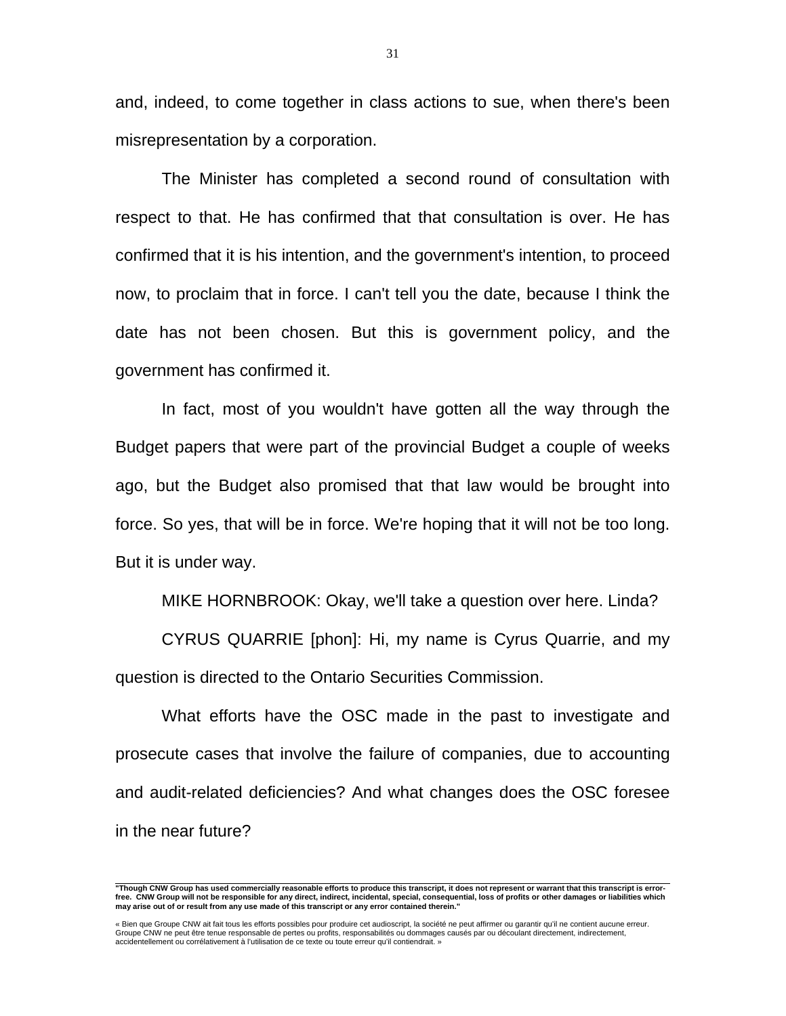and, indeed, to come together in class actions to sue, when there's been misrepresentation by a corporation.

 The Minister has completed a second round of consultation with respect to that. He has confirmed that that consultation is over. He has confirmed that it is his intention, and the government's intention, to proceed now, to proclaim that in force. I can't tell you the date, because I think the date has not been chosen. But this is government policy, and the government has confirmed it.

 In fact, most of you wouldn't have gotten all the way through the Budget papers that were part of the provincial Budget a couple of weeks ago, but the Budget also promised that that law would be brought into force. So yes, that will be in force. We're hoping that it will not be too long. But it is under way.

MIKE HORNBROOK: Okay, we'll take a question over here. Linda?

 CYRUS QUARRIE [phon]: Hi, my name is Cyrus Quarrie, and my question is directed to the Ontario Securities Commission.

 What efforts have the OSC made in the past to investigate and prosecute cases that involve the failure of companies, due to accounting and audit-related deficiencies? And what changes does the OSC foresee in the near future?

 **"Though CNW Group has used commercially reasonable efforts to produce this transcript, it does not represent or warrant that this transcript is errorfree. CNW Group will not be responsible for any direct, indirect, incidental, special, consequential, loss of profits or other damages or liabilities which may arise out of or result from any use made of this transcript or any error contained therein."** 

<sup>«</sup> Bien que Groupe CNW ait fait tous les efforts possibles pour produire cet audioscript, la société ne peut affirmer ou garantir qu'il ne contient aucune erreur.<br>Groupe CNW ne peut être tenue responsable de pertes ou profi accidentellement ou corrélativement à l'utilisation de ce texte ou toute erreur qu'il contiendrait. »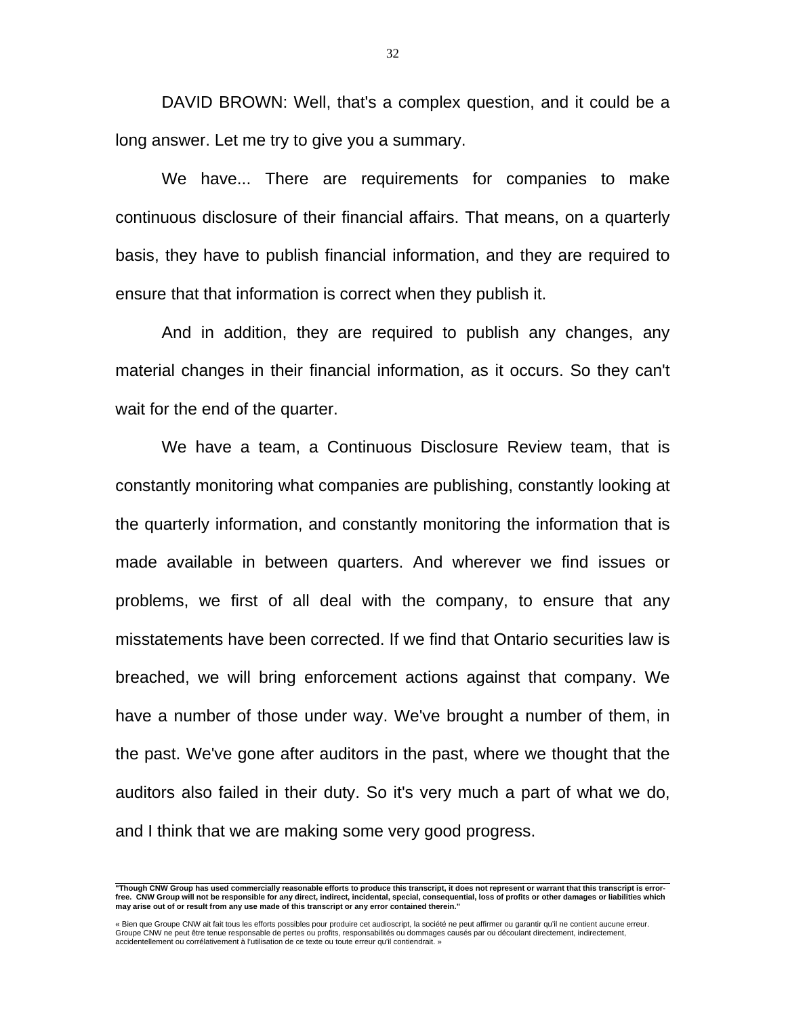DAVID BROWN: Well, that's a complex question, and it could be a long answer. Let me try to give you a summary.

 We have... There are requirements for companies to make continuous disclosure of their financial affairs. That means, on a quarterly basis, they have to publish financial information, and they are required to ensure that that information is correct when they publish it.

 And in addition, they are required to publish any changes, any material changes in their financial information, as it occurs. So they can't wait for the end of the quarter.

 We have a team, a Continuous Disclosure Review team, that is constantly monitoring what companies are publishing, constantly looking at the quarterly information, and constantly monitoring the information that is made available in between quarters. And wherever we find issues or problems, we first of all deal with the company, to ensure that any misstatements have been corrected. If we find that Ontario securities law is breached, we will bring enforcement actions against that company. We have a number of those under way. We've brought a number of them, in the past. We've gone after auditors in the past, where we thought that the auditors also failed in their duty. So it's very much a part of what we do, and I think that we are making some very good progress.

 **"Though CNW Group has used commercially reasonable efforts to produce this transcript, it does not represent or warrant that this transcript is errorfree. CNW Group will not be responsible for any direct, indirect, incidental, special, consequential, loss of profits or other damages or liabilities which may arise out of or result from any use made of this transcript or any error contained therein."** 

« Bien que Groupe CNW ait fait tous les efforts possibles pour produire cet audioscript, la société ne peut affirmer ou garantir qu'il ne contient aucune erreur.<br>Groupe CNW ne peut être tenue responsable de pertes ou profi accidentellement ou corrélativement à l'utilisation de ce texte ou toute erreur qu'il contiendrait. »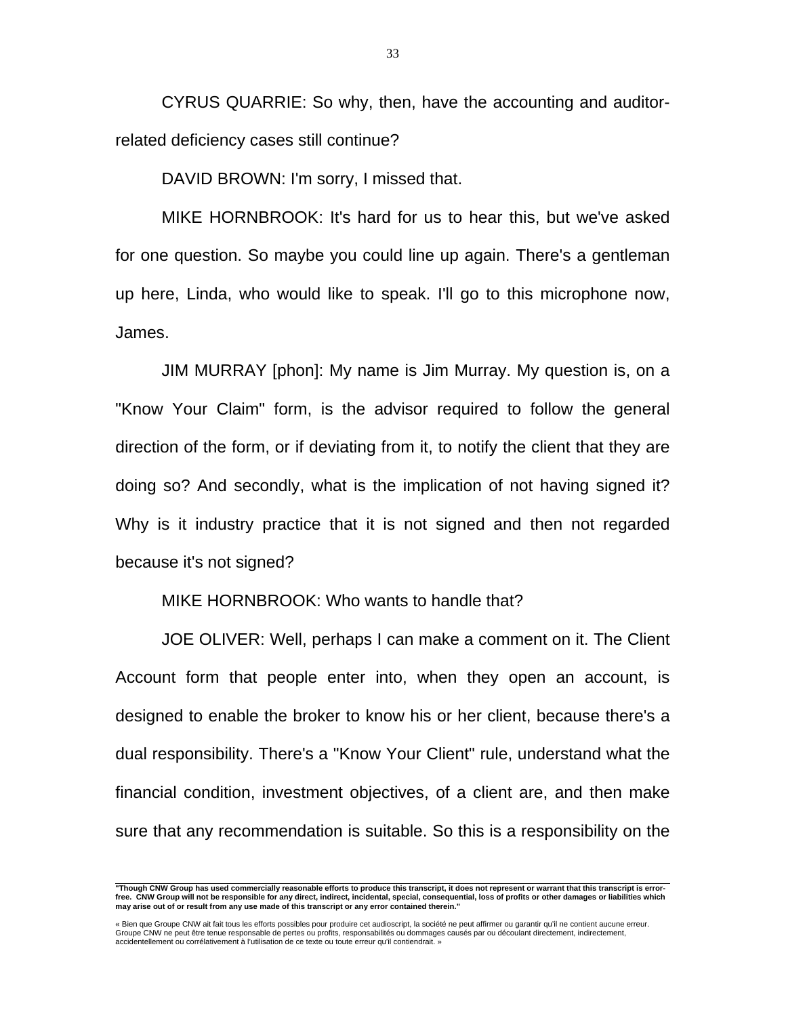CYRUS QUARRIE: So why, then, have the accounting and auditorrelated deficiency cases still continue?

DAVID BROWN: I'm sorry, I missed that.

 MIKE HORNBROOK: It's hard for us to hear this, but we've asked for one question. So maybe you could line up again. There's a gentleman up here, Linda, who would like to speak. I'll go to this microphone now, James.

 JIM MURRAY [phon]: My name is Jim Murray. My question is, on a "Know Your Claim" form, is the advisor required to follow the general direction of the form, or if deviating from it, to notify the client that they are doing so? And secondly, what is the implication of not having signed it? Why is it industry practice that it is not signed and then not regarded because it's not signed?

MIKE HORNBROOK: Who wants to handle that?

 JOE OLIVER: Well, perhaps I can make a comment on it. The Client Account form that people enter into, when they open an account, is designed to enable the broker to know his or her client, because there's a dual responsibility. There's a "Know Your Client" rule, understand what the financial condition, investment objectives, of a client are, and then make sure that any recommendation is suitable. So this is a responsibility on the

 **"Though CNW Group has used commercially reasonable efforts to produce this transcript, it does not represent or warrant that this transcript is errorfree. CNW Group will not be responsible for any direct, indirect, incidental, special, consequential, loss of profits or other damages or liabilities which may arise out of or result from any use made of this transcript or any error contained therein."** 

<sup>«</sup> Bien que Groupe CNW ait fait tous les efforts possibles pour produire cet audioscript, la société ne peut affirmer ou garantir qu'il ne contient aucune erreur. Groupe CNW ne peut être tenue responsable de pertes ou profits, responsabilités ou dommages causés par ou découlant directement, indirectement, accidentellement ou corrélativement à l'utilisation de ce texte ou toute erreur qu'il contiendrait. »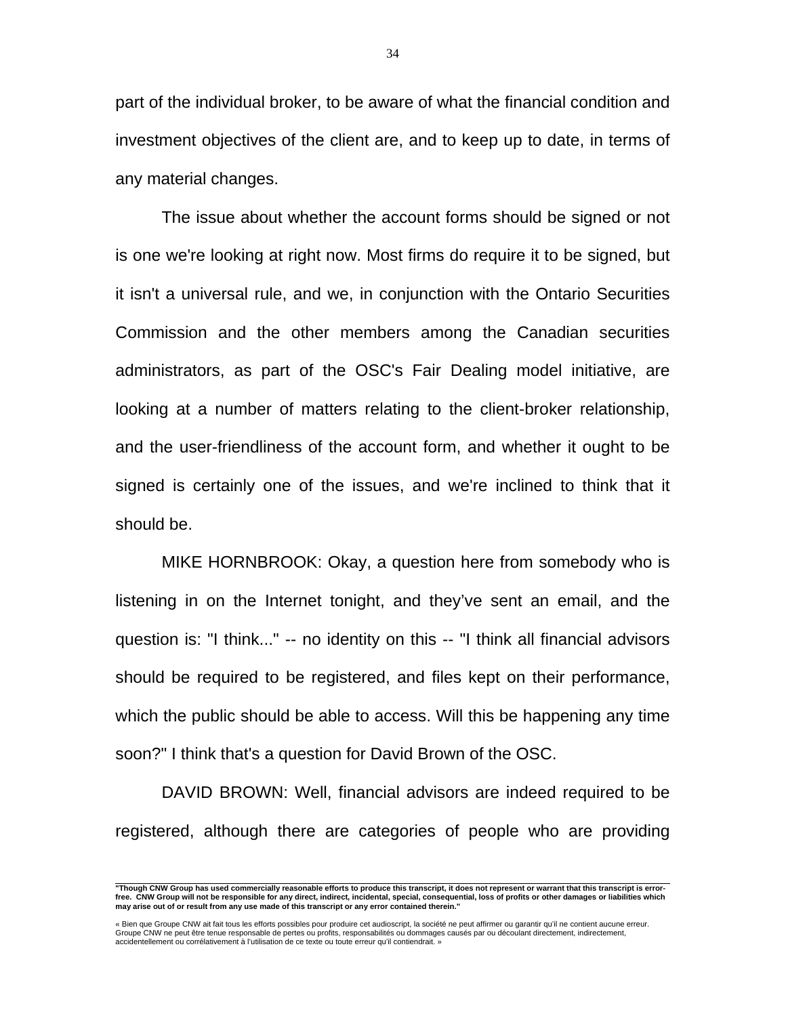part of the individual broker, to be aware of what the financial condition and investment objectives of the client are, and to keep up to date, in terms of any material changes.

 The issue about whether the account forms should be signed or not is one we're looking at right now. Most firms do require it to be signed, but it isn't a universal rule, and we, in conjunction with the Ontario Securities Commission and the other members among the Canadian securities administrators, as part of the OSC's Fair Dealing model initiative, are looking at a number of matters relating to the client-broker relationship, and the user-friendliness of the account form, and whether it ought to be signed is certainly one of the issues, and we're inclined to think that it should be.

 MIKE HORNBROOK: Okay, a question here from somebody who is listening in on the Internet tonight, and they've sent an email, and the question is: "I think..." -- no identity on this -- "I think all financial advisors should be required to be registered, and files kept on their performance, which the public should be able to access. Will this be happening any time soon?" I think that's a question for David Brown of the OSC.

 DAVID BROWN: Well, financial advisors are indeed required to be registered, although there are categories of people who are providing

 **"Though CNW Group has used commercially reasonable efforts to produce this transcript, it does not represent or warrant that this transcript is errorfree. CNW Group will not be responsible for any direct, indirect, incidental, special, consequential, loss of profits or other damages or liabilities which may arise out of or result from any use made of this transcript or any error contained therein."** 

<sup>«</sup> Bien que Groupe CNW ait fait tous les efforts possibles pour produire cet audioscript, la société ne peut affirmer ou garantir qu'il ne contient aucune erreur.<br>Groupe CNW ne peut être tenue responsable de pertes ou profi accidentellement ou corrélativement à l'utilisation de ce texte ou toute erreur qu'il contiendrait. »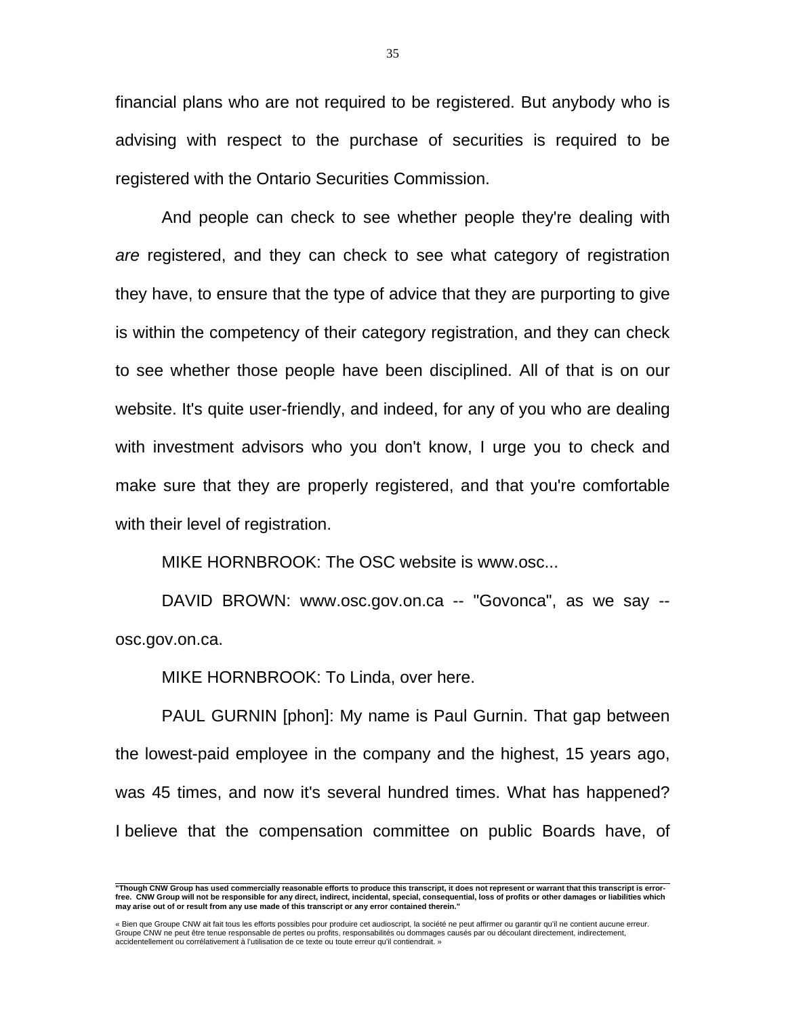financial plans who are not required to be registered. But anybody who is advising with respect to the purchase of securities is required to be registered with the Ontario Securities Commission.

 And people can check to see whether people they're dealing with *are* registered, and they can check to see what category of registration they have, to ensure that the type of advice that they are purporting to give is within the competency of their category registration, and they can check to see whether those people have been disciplined. All of that is on our website. It's quite user-friendly, and indeed, for any of you who are dealing with investment advisors who you don't know, I urge you to check and make sure that they are properly registered, and that you're comfortable with their level of registration.

MIKE HORNBROOK: The OSC website is www.osc...

DAVID BROWN: www.osc.gov.on.ca -- "Govonca", as we say -osc.gov.on.ca.

MIKE HORNBROOK: To Linda, over here.

 PAUL GURNIN [phon]: My name is Paul Gurnin. That gap between the lowest-paid employee in the company and the highest, 15 years ago, was 45 times, and now it's several hundred times. What has happened? I believe that the compensation committee on public Boards have, of

 **"Though CNW Group has used commercially reasonable efforts to produce this transcript, it does not represent or warrant that this transcript is errorfree. CNW Group will not be responsible for any direct, indirect, incidental, special, consequential, loss of profits or other damages or liabilities which may arise out of or result from any use made of this transcript or any error contained therein."** 

<sup>«</sup> Bien que Groupe CNW ait fait tous les efforts possibles pour produire cet audioscript, la société ne peut affirmer ou garantir qu'il ne contient aucune erreur.<br>Groupe CNW ne peut être tenue responsable de pertes ou profi accidentellement ou corrélativement à l'utilisation de ce texte ou toute erreur qu'il contiendrait. »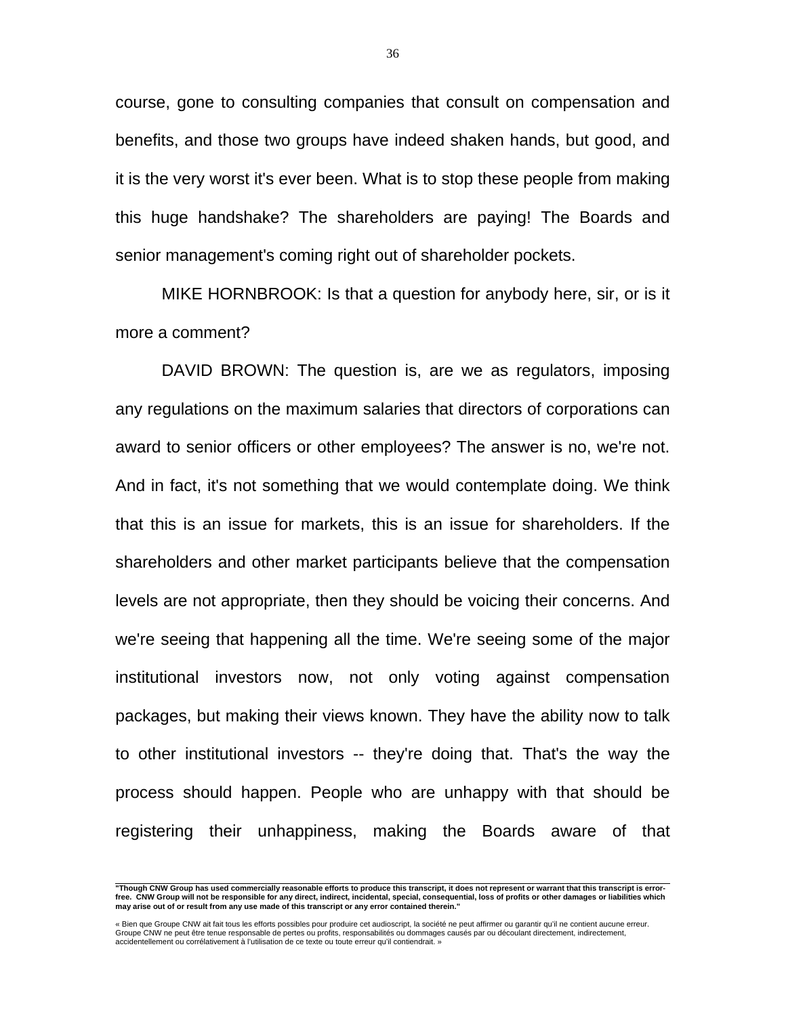course, gone to consulting companies that consult on compensation and benefits, and those two groups have indeed shaken hands, but good, and it is the very worst it's ever been. What is to stop these people from making this huge handshake? The shareholders are paying! The Boards and senior management's coming right out of shareholder pockets.

 MIKE HORNBROOK: Is that a question for anybody here, sir, or is it more a comment?

 DAVID BROWN: The question is, are we as regulators, imposing any regulations on the maximum salaries that directors of corporations can award to senior officers or other employees? The answer is no, we're not. And in fact, it's not something that we would contemplate doing. We think that this is an issue for markets, this is an issue for shareholders. If the shareholders and other market participants believe that the compensation levels are not appropriate, then they should be voicing their concerns. And we're seeing that happening all the time. We're seeing some of the major institutional investors now, not only voting against compensation packages, but making their views known. They have the ability now to talk to other institutional investors -- they're doing that. That's the way the process should happen. People who are unhappy with that should be registering their unhappiness, making the Boards aware of that

 **"Though CNW Group has used commercially reasonable efforts to produce this transcript, it does not represent or warrant that this transcript is errorfree. CNW Group will not be responsible for any direct, indirect, incidental, special, consequential, loss of profits or other damages or liabilities which may arise out of or result from any use made of this transcript or any error contained therein."** 

<sup>«</sup> Bien que Groupe CNW ait fait tous les efforts possibles pour produire cet audioscript, la société ne peut affirmer ou garantir qu'il ne contient aucune erreur.<br>Groupe CNW ne peut être tenue responsable de pertes ou profi accidentellement ou corrélativement à l'utilisation de ce texte ou toute erreur qu'il contiendrait. »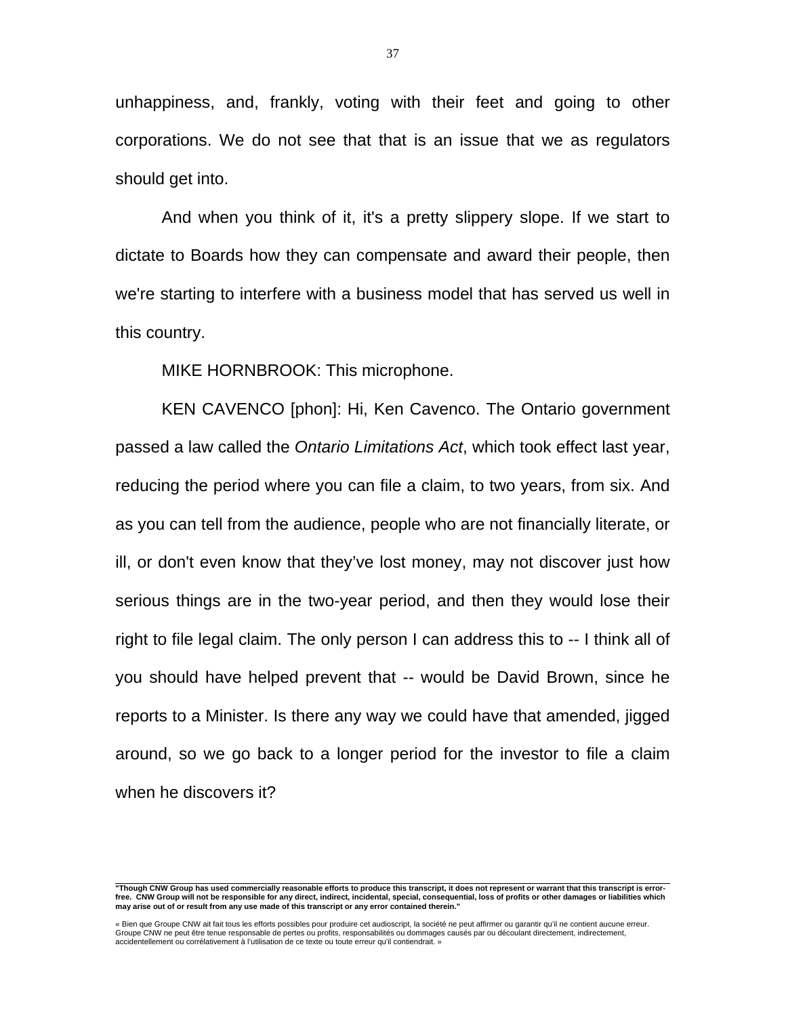unhappiness, and, frankly, voting with their feet and going to other corporations. We do not see that that is an issue that we as regulators should get into.

 And when you think of it, it's a pretty slippery slope. If we start to dictate to Boards how they can compensate and award their people, then we're starting to interfere with a business model that has served us well in this country.

MIKE HORNBROOK: This microphone.

 KEN CAVENCO [phon]: Hi, Ken Cavenco. The Ontario government passed a law called the *Ontario Limitations Act*, which took effect last year, reducing the period where you can file a claim, to two years, from six. And as you can tell from the audience, people who are not financially literate, or ill, or don't even know that they've lost money, may not discover just how serious things are in the two-year period, and then they would lose their right to file legal claim. The only person I can address this to -- I think all of you should have helped prevent that -- would be David Brown, since he reports to a Minister. Is there any way we could have that amended, jigged around, so we go back to a longer period for the investor to file a claim when he discovers it?

 **"Though CNW Group has used commercially reasonable efforts to produce this transcript, it does not represent or warrant that this transcript is errorfree. CNW Group will not be responsible for any direct, indirect, incidental, special, consequential, loss of profits or other damages or liabilities which may arise out of or result from any use made of this transcript or any error contained therein."** 

<sup>«</sup> Bien que Groupe CNW ait fait tous les efforts possibles pour produire cet audioscript, la société ne peut affirmer ou garantir qu'il ne contient aucune erreur.<br>Groupe CNW ne peut être tenue responsable de pertes ou profi accidentellement ou corrélativement à l'utilisation de ce texte ou toute erreur qu'il contiendrait. »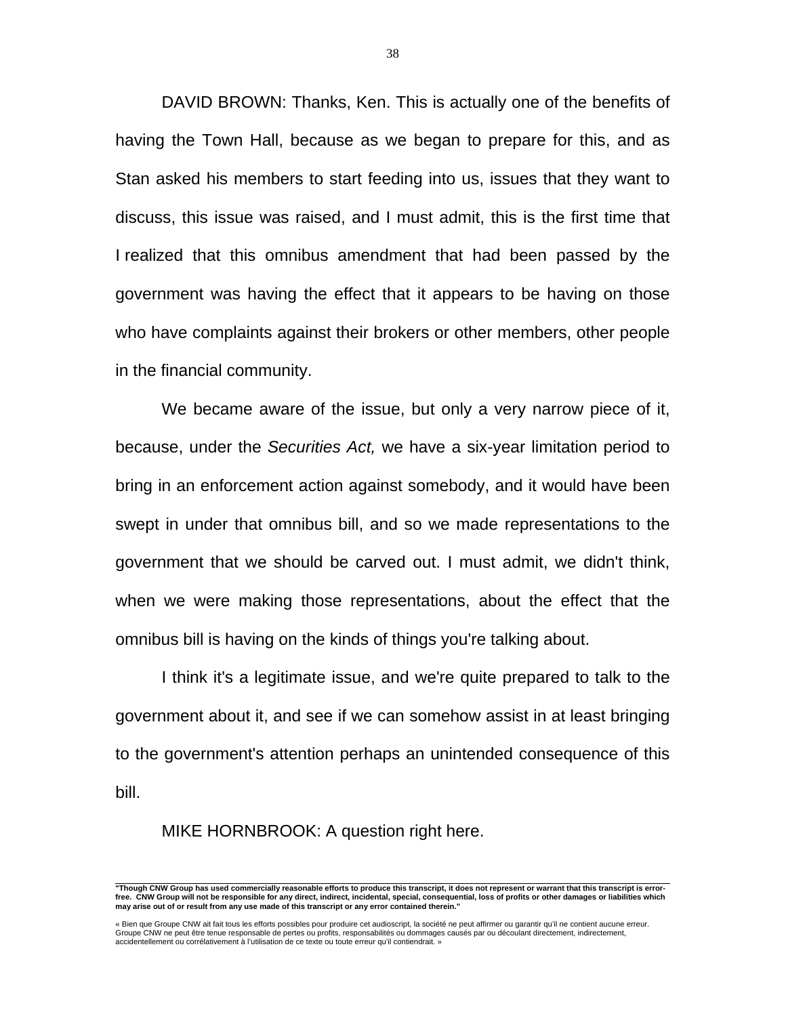DAVID BROWN: Thanks, Ken. This is actually one of the benefits of having the Town Hall, because as we began to prepare for this, and as Stan asked his members to start feeding into us, issues that they want to discuss, this issue was raised, and I must admit, this is the first time that I realized that this omnibus amendment that had been passed by the government was having the effect that it appears to be having on those who have complaints against their brokers or other members, other people in the financial community.

 We became aware of the issue, but only a very narrow piece of it, because, under the *Securities Act,* we have a six-year limitation period to bring in an enforcement action against somebody, and it would have been swept in under that omnibus bill, and so we made representations to the government that we should be carved out. I must admit, we didn't think, when we were making those representations, about the effect that the omnibus bill is having on the kinds of things you're talking about.

 I think it's a legitimate issue, and we're quite prepared to talk to the government about it, and see if we can somehow assist in at least bringing to the government's attention perhaps an unintended consequence of this bill.

MIKE HORNBROOK: A question right here.

 **"Though CNW Group has used commercially reasonable efforts to produce this transcript, it does not represent or warrant that this transcript is errorfree. CNW Group will not be responsible for any direct, indirect, incidental, special, consequential, loss of profits or other damages or liabilities which may arise out of or result from any use made of this transcript or any error contained therein."** 

<sup>«</sup> Bien que Groupe CNW ait fait tous les efforts possibles pour produire cet audioscript, la société ne peut affirmer ou garantir qu'il ne contient aucune erreur.<br>Groupe CNW ne peut être tenue responsable de pertes ou profi accidentellement ou corrélativement à l'utilisation de ce texte ou toute erreur qu'il contiendrait. »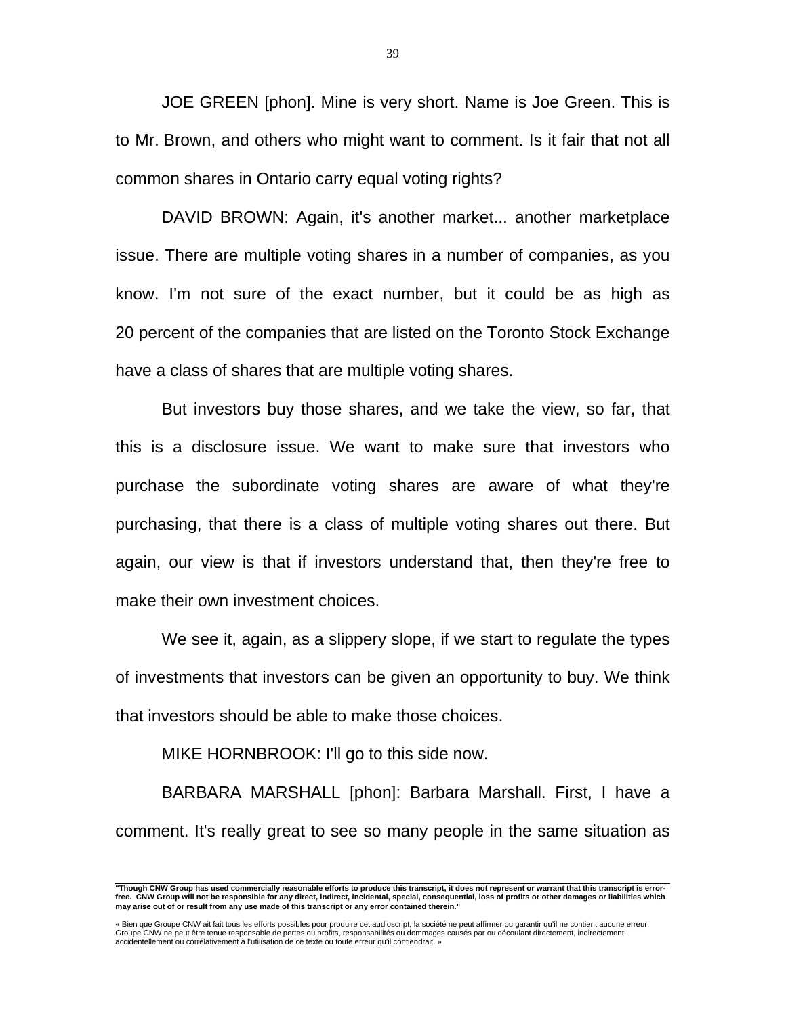JOE GREEN [phon]. Mine is very short. Name is Joe Green. This is to Mr. Brown, and others who might want to comment. Is it fair that not all common shares in Ontario carry equal voting rights?

 DAVID BROWN: Again, it's another market... another marketplace issue. There are multiple voting shares in a number of companies, as you know. I'm not sure of the exact number, but it could be as high as 20 percent of the companies that are listed on the Toronto Stock Exchange have a class of shares that are multiple voting shares.

 But investors buy those shares, and we take the view, so far, that this is a disclosure issue. We want to make sure that investors who purchase the subordinate voting shares are aware of what they're purchasing, that there is a class of multiple voting shares out there. But again, our view is that if investors understand that, then they're free to make their own investment choices.

 We see it, again, as a slippery slope, if we start to regulate the types of investments that investors can be given an opportunity to buy. We think that investors should be able to make those choices.

MIKE HORNBROOK: I'll go to this side now.

 BARBARA MARSHALL [phon]: Barbara Marshall. First, I have a comment. It's really great to see so many people in the same situation as

 **"Though CNW Group has used commercially reasonable efforts to produce this transcript, it does not represent or warrant that this transcript is errorfree. CNW Group will not be responsible for any direct, indirect, incidental, special, consequential, loss of profits or other damages or liabilities which may arise out of or result from any use made of this transcript or any error contained therein."** 

<sup>«</sup> Bien que Groupe CNW ait fait tous les efforts possibles pour produire cet audioscript, la société ne peut affirmer ou garantir qu'il ne contient aucune erreur.<br>Groupe CNW ne peut être tenue responsable de pertes ou profi accidentellement ou corrélativement à l'utilisation de ce texte ou toute erreur qu'il contiendrait. »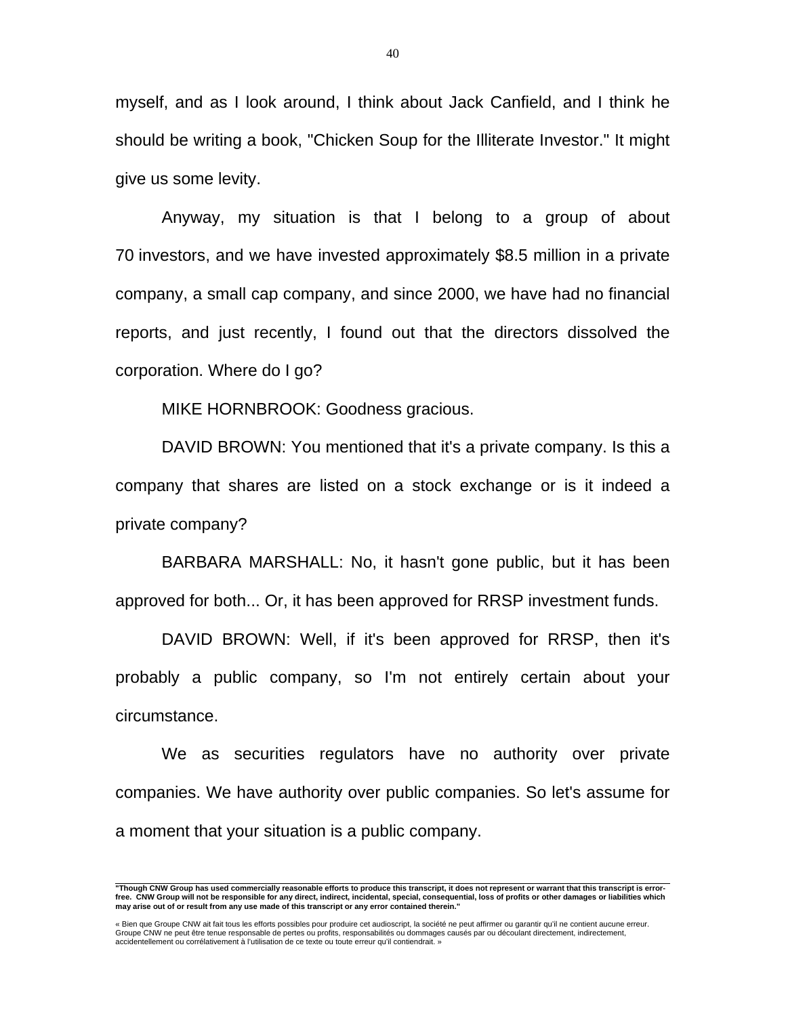myself, and as I look around, I think about Jack Canfield, and I think he should be writing a book, "Chicken Soup for the Illiterate Investor." It might give us some levity.

 Anyway, my situation is that I belong to a group of about 70 investors, and we have invested approximately \$8.5 million in a private company, a small cap company, and since 2000, we have had no financial reports, and just recently, I found out that the directors dissolved the corporation. Where do I go?

MIKE HORNBROOK: Goodness gracious.

 DAVID BROWN: You mentioned that it's a private company. Is this a company that shares are listed on a stock exchange or is it indeed a private company?

 BARBARA MARSHALL: No, it hasn't gone public, but it has been approved for both... Or, it has been approved for RRSP investment funds.

 DAVID BROWN: Well, if it's been approved for RRSP, then it's probably a public company, so I'm not entirely certain about your circumstance.

We as securities regulators have no authority over private companies. We have authority over public companies. So let's assume for a moment that your situation is a public company.

 **"Though CNW Group has used commercially reasonable efforts to produce this transcript, it does not represent or warrant that this transcript is errorfree. CNW Group will not be responsible for any direct, indirect, incidental, special, consequential, loss of profits or other damages or liabilities which may arise out of or result from any use made of this transcript or any error contained therein."** 

<sup>«</sup> Bien que Groupe CNW ait fait tous les efforts possibles pour produire cet audioscript, la société ne peut affirmer ou garantir qu'il ne contient aucune erreur.<br>Groupe CNW ne peut être tenue responsable de pertes ou profi accidentellement ou corrélativement à l'utilisation de ce texte ou toute erreur qu'il contiendrait. »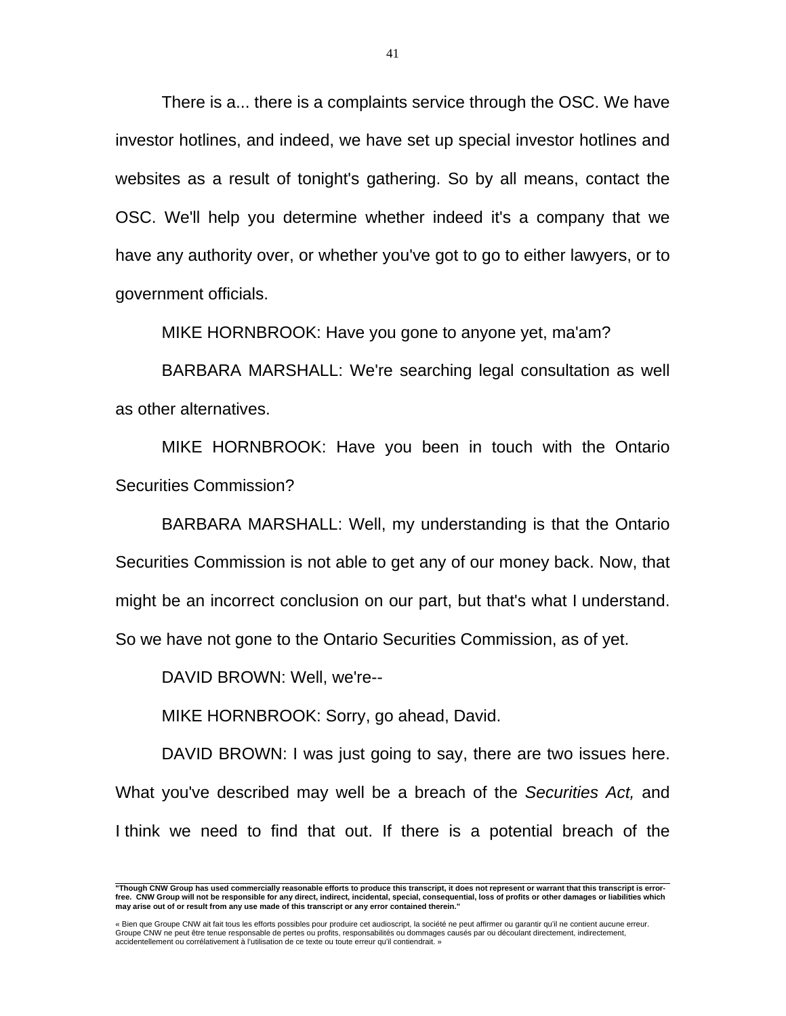There is a... there is a complaints service through the OSC. We have investor hotlines, and indeed, we have set up special investor hotlines and websites as a result of tonight's gathering. So by all means, contact the OSC. We'll help you determine whether indeed it's a company that we have any authority over, or whether you've got to go to either lawyers, or to government officials.

MIKE HORNBROOK: Have you gone to anyone yet, ma'am?

 BARBARA MARSHALL: We're searching legal consultation as well as other alternatives.

 MIKE HORNBROOK: Have you been in touch with the Ontario Securities Commission?

 BARBARA MARSHALL: Well, my understanding is that the Ontario Securities Commission is not able to get any of our money back. Now, that might be an incorrect conclusion on our part, but that's what I understand. So we have not gone to the Ontario Securities Commission, as of yet.

DAVID BROWN: Well, we're--

MIKE HORNBROOK: Sorry, go ahead, David.

DAVID BROWN: I was just going to say, there are two issues here. What you've described may well be a breach of the *Securities Act,* and I think we need to find that out. If there is a potential breach of the

 **"Though CNW Group has used commercially reasonable efforts to produce this transcript, it does not represent or warrant that this transcript is errorfree. CNW Group will not be responsible for any direct, indirect, incidental, special, consequential, loss of profits or other damages or liabilities which may arise out of or result from any use made of this transcript or any error contained therein."** 

<sup>«</sup> Bien que Groupe CNW ait fait tous les efforts possibles pour produire cet audioscript, la société ne peut affirmer ou garantir qu'il ne contient aucune erreur.<br>Groupe CNW ne peut être tenue responsable de pertes ou profi accidentellement ou corrélativement à l'utilisation de ce texte ou toute erreur qu'il contiendrait. »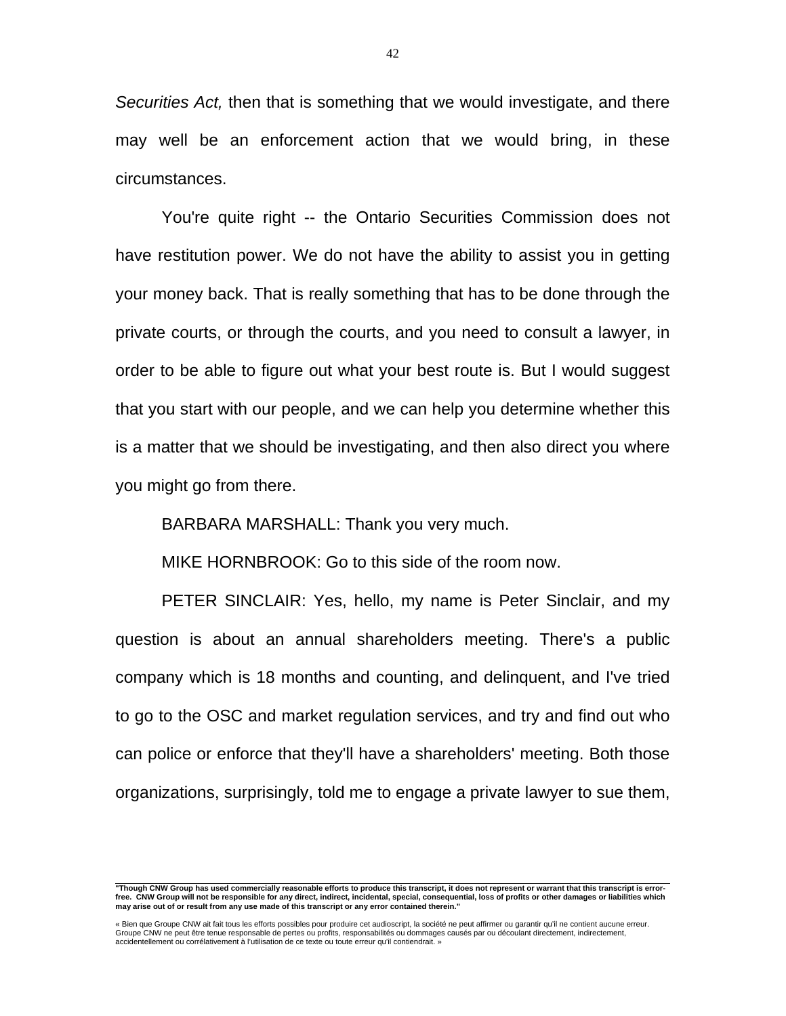*Securities Act,* then that is something that we would investigate, and there may well be an enforcement action that we would bring, in these circumstances.

 You're quite right -- the Ontario Securities Commission does not have restitution power. We do not have the ability to assist you in getting your money back. That is really something that has to be done through the private courts, or through the courts, and you need to consult a lawyer, in order to be able to figure out what your best route is. But I would suggest that you start with our people, and we can help you determine whether this is a matter that we should be investigating, and then also direct you where you might go from there.

BARBARA MARSHALL: Thank you very much.

MIKE HORNBROOK: Go to this side of the room now.

 PETER SINCLAIR: Yes, hello, my name is Peter Sinclair, and my question is about an annual shareholders meeting. There's a public company which is 18 months and counting, and delinquent, and I've tried to go to the OSC and market regulation services, and try and find out who can police or enforce that they'll have a shareholders' meeting. Both those organizations, surprisingly, told me to engage a private lawyer to sue them,

 **"Though CNW Group has used commercially reasonable efforts to produce this transcript, it does not represent or warrant that this transcript is errorfree. CNW Group will not be responsible for any direct, indirect, incidental, special, consequential, loss of profits or other damages or liabilities which may arise out of or result from any use made of this transcript or any error contained therein."** 

<sup>«</sup> Bien que Groupe CNW ait fait tous les efforts possibles pour produire cet audioscript, la société ne peut affirmer ou garantir qu'il ne contient aucune erreur.<br>Groupe CNW ne peut être tenue responsable de pertes ou profi accidentellement ou corrélativement à l'utilisation de ce texte ou toute erreur qu'il contiendrait. »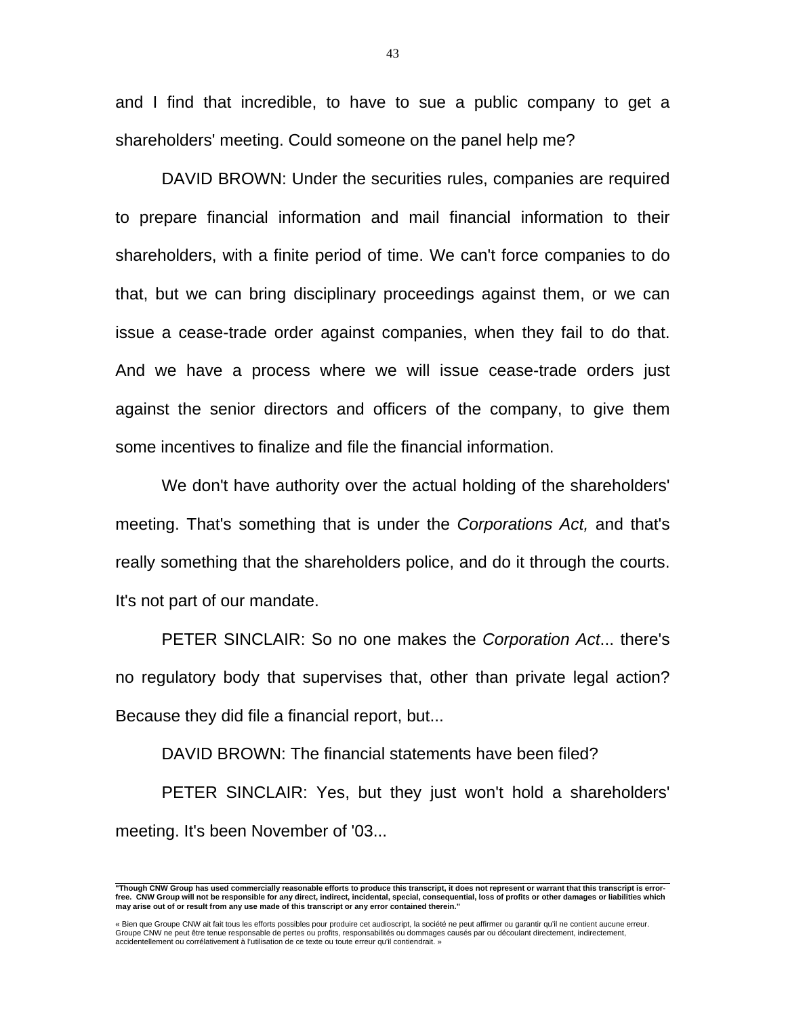and I find that incredible, to have to sue a public company to get a shareholders' meeting. Could someone on the panel help me?

 DAVID BROWN: Under the securities rules, companies are required to prepare financial information and mail financial information to their shareholders, with a finite period of time. We can't force companies to do that, but we can bring disciplinary proceedings against them, or we can issue a cease-trade order against companies, when they fail to do that. And we have a process where we will issue cease-trade orders just against the senior directors and officers of the company, to give them some incentives to finalize and file the financial information.

 We don't have authority over the actual holding of the shareholders' meeting. That's something that is under the *Corporations Act,* and that's really something that the shareholders police, and do it through the courts. It's not part of our mandate.

 PETER SINCLAIR: So no one makes the *Corporation Act*... there's no regulatory body that supervises that, other than private legal action? Because they did file a financial report, but...

DAVID BROWN: The financial statements have been filed?

 PETER SINCLAIR: Yes, but they just won't hold a shareholders' meeting. It's been November of '03...

43

 **"Though CNW Group has used commercially reasonable efforts to produce this transcript, it does not represent or warrant that this transcript is errorfree. CNW Group will not be responsible for any direct, indirect, incidental, special, consequential, loss of profits or other damages or liabilities which may arise out of or result from any use made of this transcript or any error contained therein."** 

<sup>«</sup> Bien que Groupe CNW ait fait tous les efforts possibles pour produire cet audioscript, la société ne peut affirmer ou garantir qu'il ne contient aucune erreur.<br>Groupe CNW ne peut être tenue responsable de pertes ou profi accidentellement ou corrélativement à l'utilisation de ce texte ou toute erreur qu'il contiendrait. »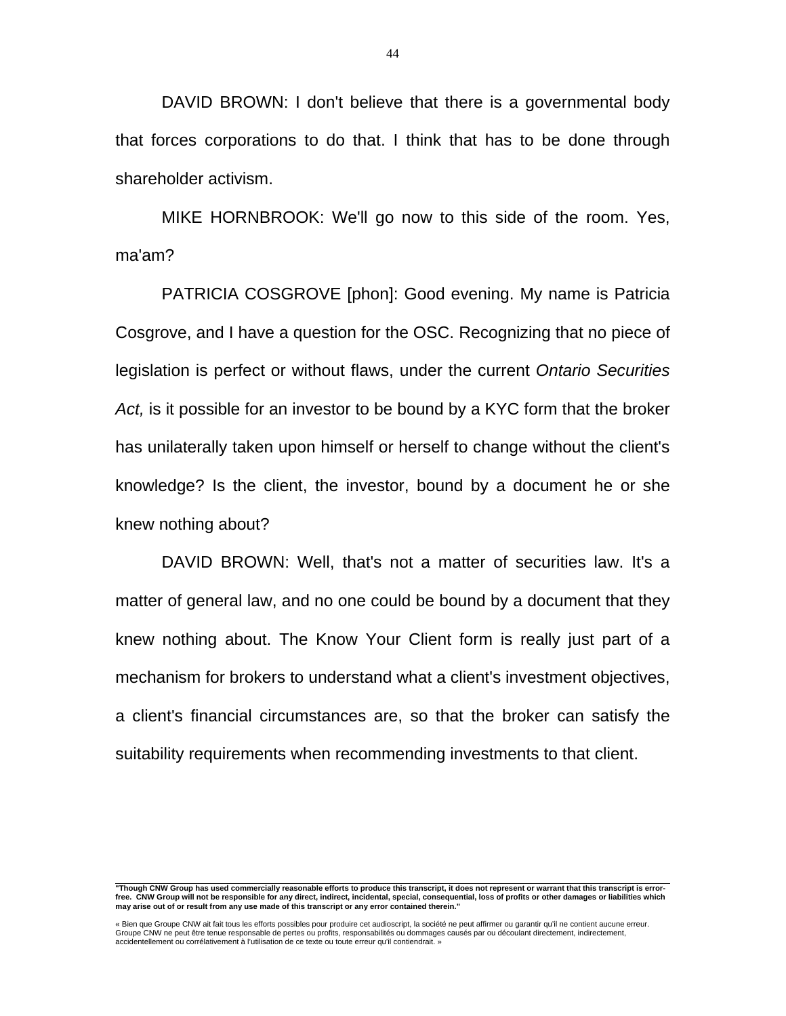DAVID BROWN: I don't believe that there is a governmental body that forces corporations to do that. I think that has to be done through shareholder activism.

 MIKE HORNBROOK: We'll go now to this side of the room. Yes, ma'am?

 PATRICIA COSGROVE [phon]: Good evening. My name is Patricia Cosgrove, and I have a question for the OSC. Recognizing that no piece of legislation is perfect or without flaws, under the current *Ontario Securities Act,* is it possible for an investor to be bound by a KYC form that the broker has unilaterally taken upon himself or herself to change without the client's knowledge? Is the client, the investor, bound by a document he or she knew nothing about?

 DAVID BROWN: Well, that's not a matter of securities law. It's a matter of general law, and no one could be bound by a document that they knew nothing about. The Know Your Client form is really just part of a mechanism for brokers to understand what a client's investment objectives, a client's financial circumstances are, so that the broker can satisfy the suitability requirements when recommending investments to that client.

« Bien que Groupe CNW ait fait tous les efforts possibles pour produire cet audioscript, la société ne peut affirmer ou garantir qu'il ne contient aucune erreur. Groupe CNW ne peut être tenue responsable de pertes ou profits, responsabilités ou dommages causés par ou découlant directement, indirectement, accidentellement ou corrélativement à l'utilisation de ce texte ou toute erreur qu'il contiendrait. »

 **"Though CNW Group has used commercially reasonable efforts to produce this transcript, it does not represent or warrant that this transcript is errorfree. CNW Group will not be responsible for any direct, indirect, incidental, special, consequential, loss of profits or other damages or liabilities which may arise out of or result from any use made of this transcript or any error contained therein."**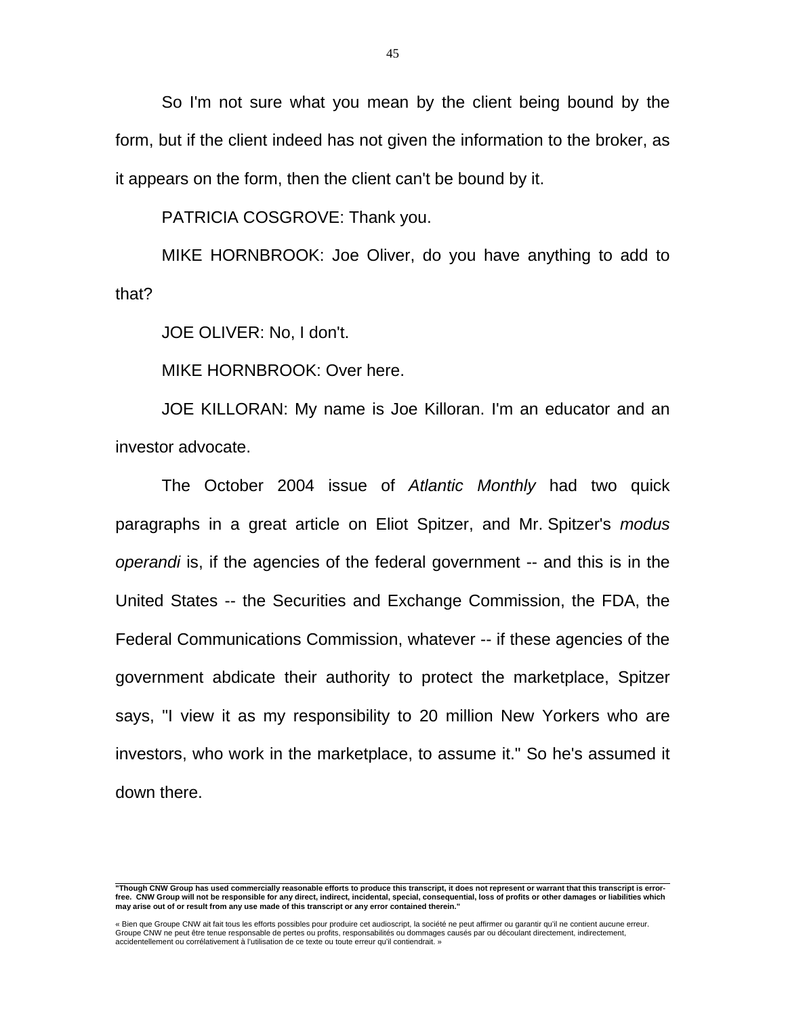So I'm not sure what you mean by the client being bound by the form, but if the client indeed has not given the information to the broker, as it appears on the form, then the client can't be bound by it.

PATRICIA COSGROVE: Thank you.

 MIKE HORNBROOK: Joe Oliver, do you have anything to add to that?

JOE OLIVER: No, I don't.

MIKE HORNBROOK: Over here.

 JOE KILLORAN: My name is Joe Killoran. I'm an educator and an investor advocate.

 The October 2004 issue of *Atlantic Monthly* had two quick paragraphs in a great article on Eliot Spitzer, and Mr. Spitzer's *modus operandi* is, if the agencies of the federal government -- and this is in the United States -- the Securities and Exchange Commission, the FDA, the Federal Communications Commission, whatever -- if these agencies of the government abdicate their authority to protect the marketplace, Spitzer says, "I view it as my responsibility to 20 million New Yorkers who are investors, who work in the marketplace, to assume it." So he's assumed it down there.

 **"Though CNW Group has used commercially reasonable efforts to produce this transcript, it does not represent or warrant that this transcript is errorfree. CNW Group will not be responsible for any direct, indirect, incidental, special, consequential, loss of profits or other damages or liabilities which may arise out of or result from any use made of this transcript or any error contained therein."** 

<sup>«</sup> Bien que Groupe CNW ait fait tous les efforts possibles pour produire cet audioscript, la société ne peut affirmer ou garantir qu'il ne contient aucune erreur.<br>Groupe CNW ne peut être tenue responsable de pertes ou profi accidentellement ou corrélativement à l'utilisation de ce texte ou toute erreur qu'il contiendrait. »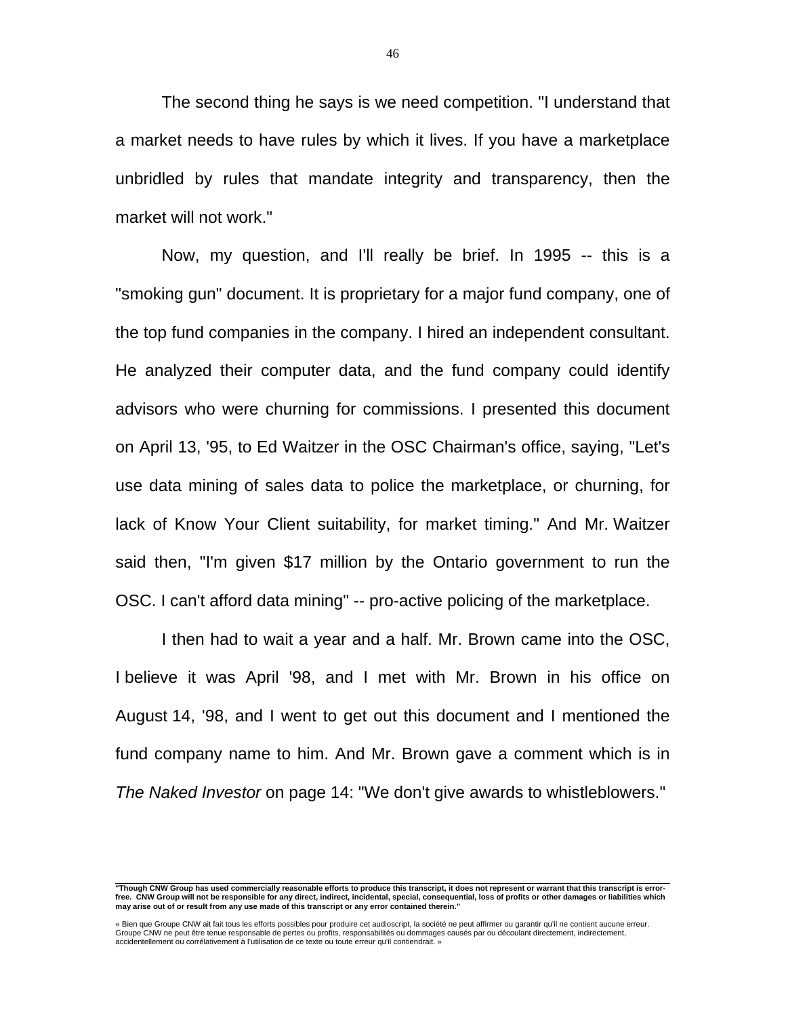The second thing he says is we need competition. "I understand that a market needs to have rules by which it lives. If you have a marketplace unbridled by rules that mandate integrity and transparency, then the market will not work."

 Now, my question, and I'll really be brief. In 1995 -- this is a "smoking gun" document. It is proprietary for a major fund company, one of the top fund companies in the company. I hired an independent consultant. He analyzed their computer data, and the fund company could identify advisors who were churning for commissions. I presented this document on April 13, '95, to Ed Waitzer in the OSC Chairman's office, saying, "Let's use data mining of sales data to police the marketplace, or churning, for lack of Know Your Client suitability, for market timing." And Mr. Waitzer said then, "I'm given \$17 million by the Ontario government to run the OSC. I can't afford data mining" -- pro-active policing of the marketplace.

 I then had to wait a year and a half. Mr. Brown came into the OSC, I believe it was April '98, and I met with Mr. Brown in his office on August 14, '98, and I went to get out this document and I mentioned the fund company name to him. And Mr. Brown gave a comment which is in *The Naked Investor* on page 14: "We don't give awards to whistleblowers."

« Bien que Groupe CNW ait fait tous les efforts possibles pour produire cet audioscript, la société ne peut affirmer ou garantir qu'il ne contient aucune erreur.<br>Groupe CNW ne peut être tenue responsable de pertes ou profi accidentellement ou corrélativement à l'utilisation de ce texte ou toute erreur qu'il contiendrait. »

 **"Though CNW Group has used commercially reasonable efforts to produce this transcript, it does not represent or warrant that this transcript is errorfree. CNW Group will not be responsible for any direct, indirect, incidental, special, consequential, loss of profits or other damages or liabilities which may arise out of or result from any use made of this transcript or any error contained therein."**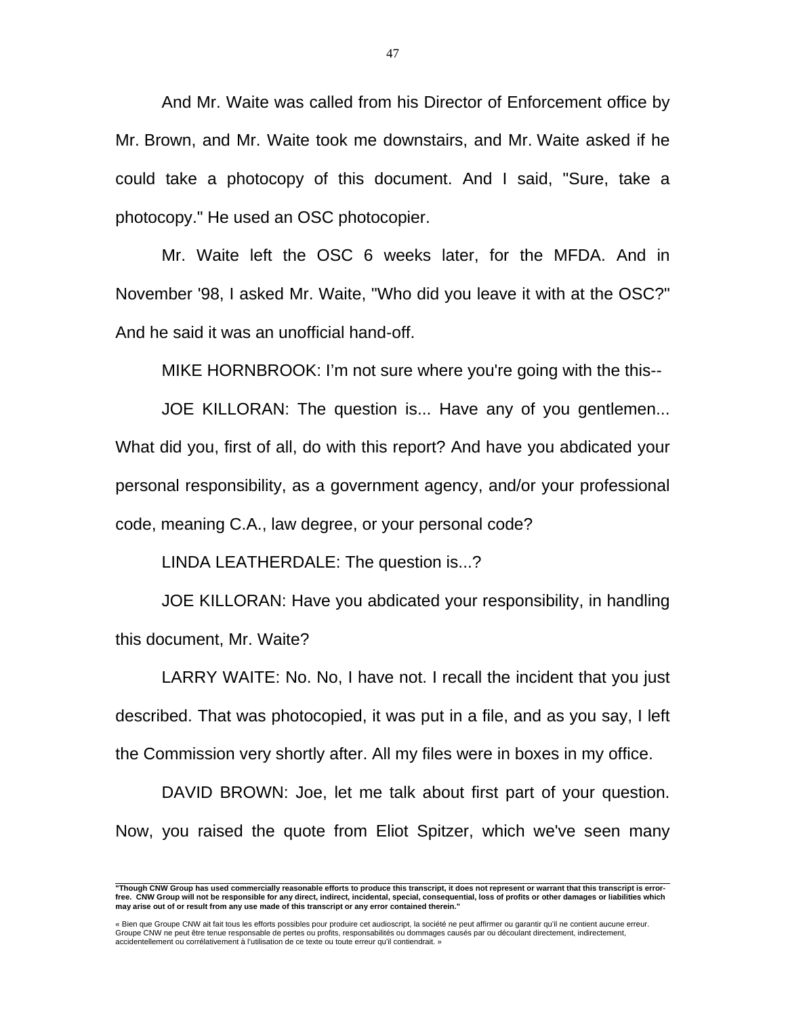And Mr. Waite was called from his Director of Enforcement office by Mr. Brown, and Mr. Waite took me downstairs, and Mr. Waite asked if he could take a photocopy of this document. And I said, "Sure, take a photocopy." He used an OSC photocopier.

 Mr. Waite left the OSC 6 weeks later, for the MFDA. And in November '98, I asked Mr. Waite, "Who did you leave it with at the OSC?" And he said it was an unofficial hand-off.

MIKE HORNBROOK: I'm not sure where you're going with the this--

 JOE KILLORAN: The question is... Have any of you gentlemen... What did you, first of all, do with this report? And have you abdicated your personal responsibility, as a government agency, and/or your professional code, meaning C.A., law degree, or your personal code?

LINDA LEATHERDALE: The question is...?

 JOE KILLORAN: Have you abdicated your responsibility, in handling this document, Mr. Waite?

 LARRY WAITE: No. No, I have not. I recall the incident that you just described. That was photocopied, it was put in a file, and as you say, I left the Commission very shortly after. All my files were in boxes in my office.

 DAVID BROWN: Joe, let me talk about first part of your question. Now, you raised the quote from Eliot Spitzer, which we've seen many

 **"Though CNW Group has used commercially reasonable efforts to produce this transcript, it does not represent or warrant that this transcript is errorfree. CNW Group will not be responsible for any direct, indirect, incidental, special, consequential, loss of profits or other damages or liabilities which may arise out of or result from any use made of this transcript or any error contained therein."** 

<sup>«</sup> Bien que Groupe CNW ait fait tous les efforts possibles pour produire cet audioscript, la société ne peut affirmer ou garantir qu'il ne contient aucune erreur.<br>Groupe CNW ne peut être tenue responsable de pertes ou profi accidentellement ou corrélativement à l'utilisation de ce texte ou toute erreur qu'il contiendrait. »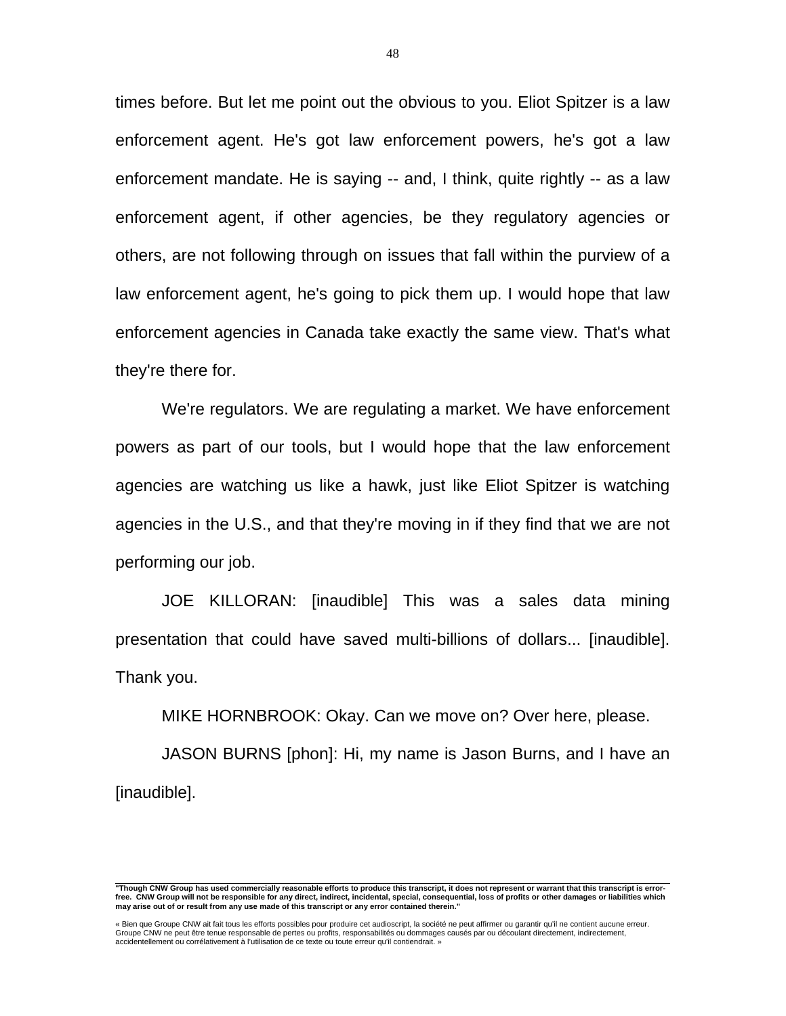times before. But let me point out the obvious to you. Eliot Spitzer is a law enforcement agent. He's got law enforcement powers, he's got a law enforcement mandate. He is saying -- and, I think, quite rightly -- as a law enforcement agent, if other agencies, be they regulatory agencies or others, are not following through on issues that fall within the purview of a law enforcement agent, he's going to pick them up. I would hope that law enforcement agencies in Canada take exactly the same view. That's what they're there for.

 We're regulators. We are regulating a market. We have enforcement powers as part of our tools, but I would hope that the law enforcement agencies are watching us like a hawk, just like Eliot Spitzer is watching agencies in the U.S., and that they're moving in if they find that we are not performing our job.

 JOE KILLORAN: [inaudible] This was a sales data mining presentation that could have saved multi-billions of dollars... [inaudible]. Thank you.

MIKE HORNBROOK: Okay. Can we move on? Over here, please.

 JASON BURNS [phon]: Hi, my name is Jason Burns, and I have an [inaudible].

 **"Though CNW Group has used commercially reasonable efforts to produce this transcript, it does not represent or warrant that this transcript is errorfree. CNW Group will not be responsible for any direct, indirect, incidental, special, consequential, loss of profits or other damages or liabilities which may arise out of or result from any use made of this transcript or any error contained therein."** 

<sup>«</sup> Bien que Groupe CNW ait fait tous les efforts possibles pour produire cet audioscript, la société ne peut affirmer ou garantir qu'il ne contient aucune erreur.<br>Groupe CNW ne peut être tenue responsable de pertes ou profi accidentellement ou corrélativement à l'utilisation de ce texte ou toute erreur qu'il contiendrait. »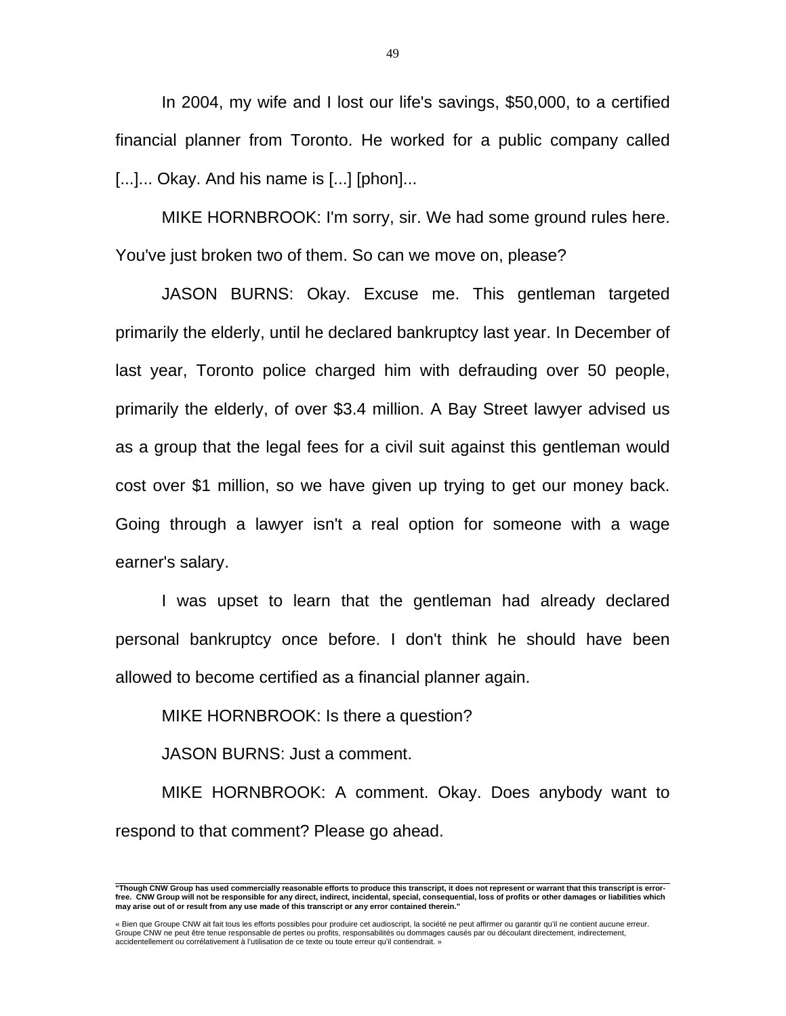In 2004, my wife and I lost our life's savings, \$50,000, to a certified financial planner from Toronto. He worked for a public company called [...]... Okay. And his name is [...] [phon]...

 MIKE HORNBROOK: I'm sorry, sir. We had some ground rules here. You've just broken two of them. So can we move on, please?

 JASON BURNS: Okay. Excuse me. This gentleman targeted primarily the elderly, until he declared bankruptcy last year. In December of last year, Toronto police charged him with defrauding over 50 people, primarily the elderly, of over \$3.4 million. A Bay Street lawyer advised us as a group that the legal fees for a civil suit against this gentleman would cost over \$1 million, so we have given up trying to get our money back. Going through a lawyer isn't a real option for someone with a wage earner's salary.

 I was upset to learn that the gentleman had already declared personal bankruptcy once before. I don't think he should have been allowed to become certified as a financial planner again.

MIKE HORNBROOK: Is there a question?

JASON BURNS: Just a comment.

 MIKE HORNBROOK: A comment. Okay. Does anybody want to respond to that comment? Please go ahead.

49

 **"Though CNW Group has used commercially reasonable efforts to produce this transcript, it does not represent or warrant that this transcript is errorfree. CNW Group will not be responsible for any direct, indirect, incidental, special, consequential, loss of profits or other damages or liabilities which may arise out of or result from any use made of this transcript or any error contained therein."** 

<sup>«</sup> Bien que Groupe CNW ait fait tous les efforts possibles pour produire cet audioscript, la société ne peut affirmer ou garantir qu'il ne contient aucune erreur.<br>Groupe CNW ne peut être tenue responsable de pertes ou profi accidentellement ou corrélativement à l'utilisation de ce texte ou toute erreur qu'il contiendrait. »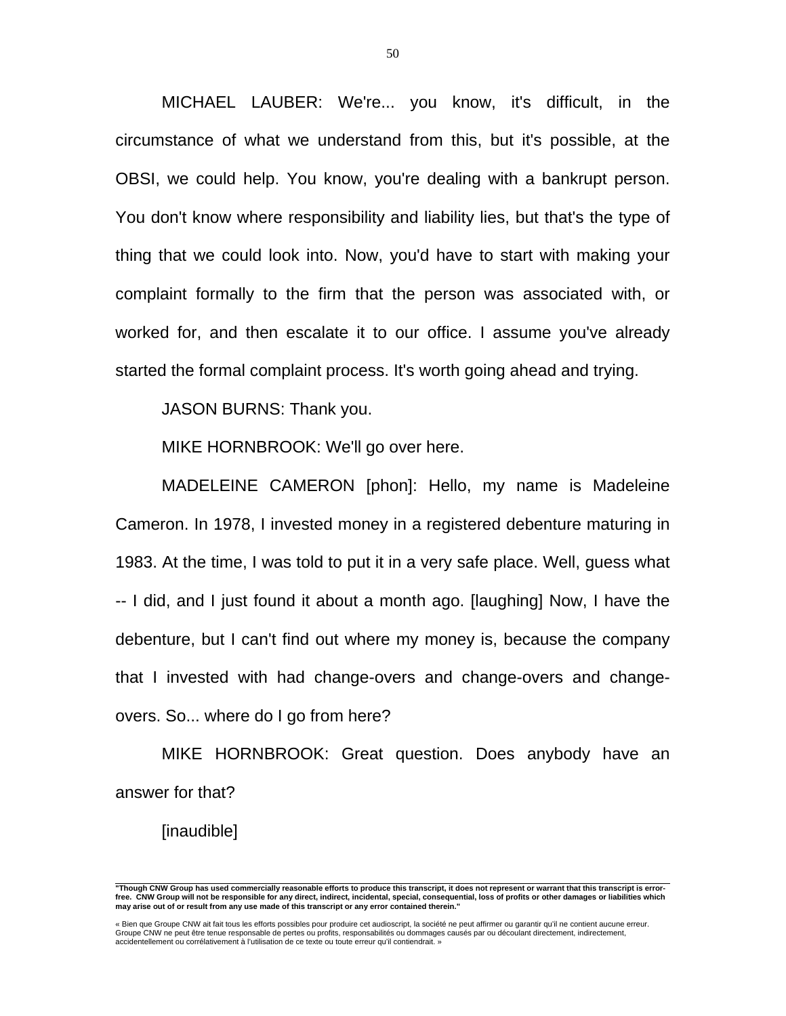MICHAEL LAUBER: We're... you know, it's difficult, in the circumstance of what we understand from this, but it's possible, at the OBSI, we could help. You know, you're dealing with a bankrupt person. You don't know where responsibility and liability lies, but that's the type of thing that we could look into. Now, you'd have to start with making your complaint formally to the firm that the person was associated with, or worked for, and then escalate it to our office. I assume you've already started the formal complaint process. It's worth going ahead and trying.

JASON BURNS: Thank you.

MIKE HORNBROOK: We'll go over here.

 MADELEINE CAMERON [phon]: Hello, my name is Madeleine Cameron. In 1978, I invested money in a registered debenture maturing in 1983. At the time, I was told to put it in a very safe place. Well, guess what -- I did, and I just found it about a month ago. [laughing] Now, I have the debenture, but I can't find out where my money is, because the company that I invested with had change-overs and change-overs and changeovers. So... where do I go from here?

 MIKE HORNBROOK: Great question. Does anybody have an answer for that?

[inaudible]

 **"Though CNW Group has used commercially reasonable efforts to produce this transcript, it does not represent or warrant that this transcript is errorfree. CNW Group will not be responsible for any direct, indirect, incidental, special, consequential, loss of profits or other damages or liabilities which may arise out of or result from any use made of this transcript or any error contained therein."** 

<sup>«</sup> Bien que Groupe CNW ait fait tous les efforts possibles pour produire cet audioscript, la société ne peut affirmer ou garantir qu'il ne contient aucune erreur.<br>Groupe CNW ne peut être tenue responsable de pertes ou profi accidentellement ou corrélativement à l'utilisation de ce texte ou toute erreur qu'il contiendrait. »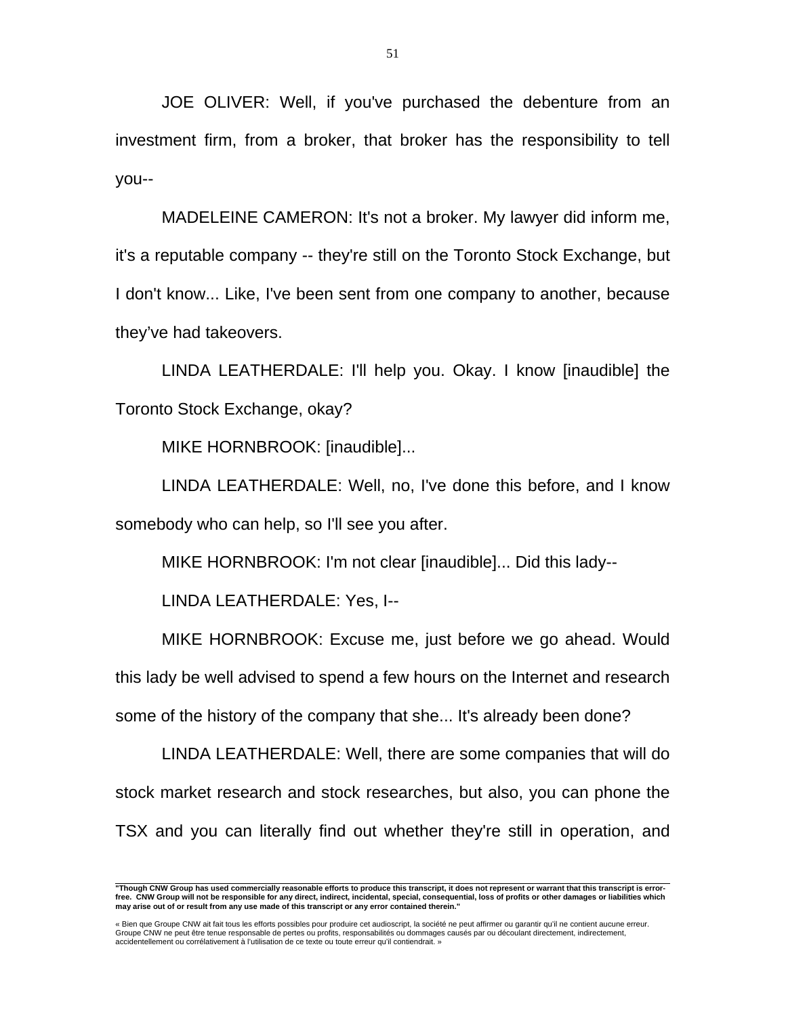JOE OLIVER: Well, if you've purchased the debenture from an investment firm, from a broker, that broker has the responsibility to tell you--

 MADELEINE CAMERON: It's not a broker. My lawyer did inform me, it's a reputable company -- they're still on the Toronto Stock Exchange, but I don't know... Like, I've been sent from one company to another, because they've had takeovers.

 LINDA LEATHERDALE: I'll help you. Okay. I know [inaudible] the Toronto Stock Exchange, okay?

MIKE HORNBROOK: [inaudible]...

 LINDA LEATHERDALE: Well, no, I've done this before, and I know somebody who can help, so I'll see you after.

MIKE HORNBROOK: I'm not clear [inaudible]... Did this lady--

LINDA LEATHERDALE: Yes, I--

 MIKE HORNBROOK: Excuse me, just before we go ahead. Would this lady be well advised to spend a few hours on the Internet and research some of the history of the company that she... It's already been done?

 LINDA LEATHERDALE: Well, there are some companies that will do stock market research and stock researches, but also, you can phone the TSX and you can literally find out whether they're still in operation, and

 **"Though CNW Group has used commercially reasonable efforts to produce this transcript, it does not represent or warrant that this transcript is errorfree. CNW Group will not be responsible for any direct, indirect, incidental, special, consequential, loss of profits or other damages or liabilities which may arise out of or result from any use made of this transcript or any error contained therein."** 

<sup>«</sup> Bien que Groupe CNW ait fait tous les efforts possibles pour produire cet audioscript, la société ne peut affirmer ou garantir qu'il ne contient aucune erreur. Groupe CNW ne peut être tenue responsable de pertes ou profits, responsabilités ou dommages causés par ou découlant directement, indirectement, accidentellement ou corrélativement à l'utilisation de ce texte ou toute erreur qu'il contiendrait. »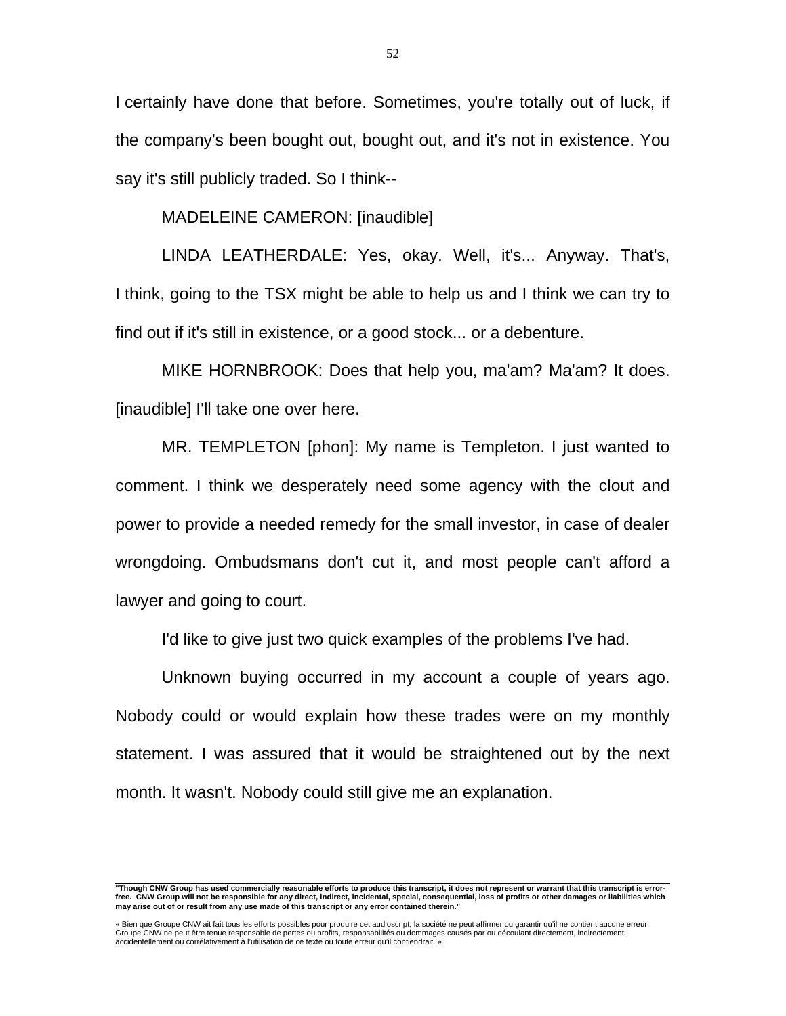I certainly have done that before. Sometimes, you're totally out of luck, if the company's been bought out, bought out, and it's not in existence. You say it's still publicly traded. So I think--

MADELEINE CAMERON: [inaudible]

 LINDA LEATHERDALE: Yes, okay. Well, it's... Anyway. That's, I think, going to the TSX might be able to help us and I think we can try to find out if it's still in existence, or a good stock... or a debenture.

 MIKE HORNBROOK: Does that help you, ma'am? Ma'am? It does. [inaudible] I'll take one over here.

 MR. TEMPLETON [phon]: My name is Templeton. I just wanted to comment. I think we desperately need some agency with the clout and power to provide a needed remedy for the small investor, in case of dealer wrongdoing. Ombudsmans don't cut it, and most people can't afford a lawyer and going to court.

I'd like to give just two quick examples of the problems I've had.

 Unknown buying occurred in my account a couple of years ago. Nobody could or would explain how these trades were on my monthly statement. I was assured that it would be straightened out by the next month. It wasn't. Nobody could still give me an explanation.

 **"Though CNW Group has used commercially reasonable efforts to produce this transcript, it does not represent or warrant that this transcript is errorfree. CNW Group will not be responsible for any direct, indirect, incidental, special, consequential, loss of profits or other damages or liabilities which may arise out of or result from any use made of this transcript or any error contained therein."** 

<sup>«</sup> Bien que Groupe CNW ait fait tous les efforts possibles pour produire cet audioscript, la société ne peut affirmer ou garantir qu'il ne contient aucune erreur.<br>Groupe CNW ne peut être tenue responsable de pertes ou profi accidentellement ou corrélativement à l'utilisation de ce texte ou toute erreur qu'il contiendrait. »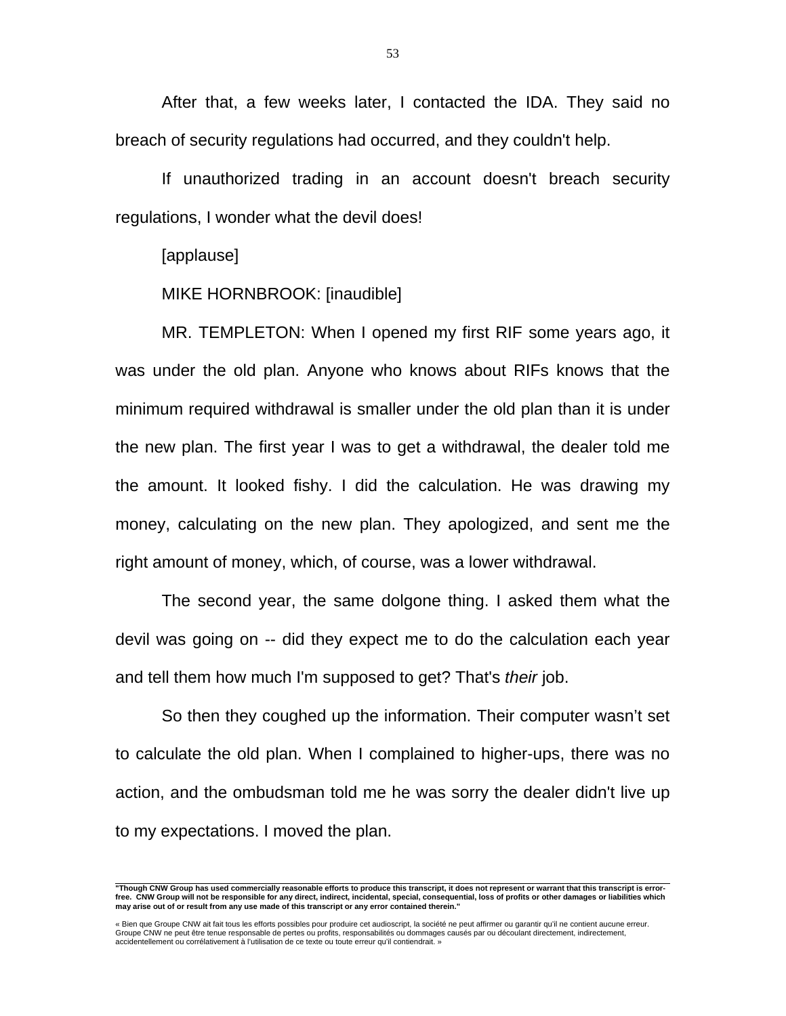After that, a few weeks later, I contacted the IDA. They said no breach of security regulations had occurred, and they couldn't help.

 If unauthorized trading in an account doesn't breach security regulations, I wonder what the devil does!

[applause]

MIKE HORNBROOK: [inaudible]

 MR. TEMPLETON: When I opened my first RIF some years ago, it was under the old plan. Anyone who knows about RIFs knows that the minimum required withdrawal is smaller under the old plan than it is under the new plan. The first year I was to get a withdrawal, the dealer told me the amount. It looked fishy. I did the calculation. He was drawing my money, calculating on the new plan. They apologized, and sent me the right amount of money, which, of course, was a lower withdrawal.

 The second year, the same dolgone thing. I asked them what the devil was going on -- did they expect me to do the calculation each year and tell them how much I'm supposed to get? That's *their* job.

 So then they coughed up the information. Their computer wasn't set to calculate the old plan. When I complained to higher-ups, there was no action, and the ombudsman told me he was sorry the dealer didn't live up to my expectations. I moved the plan.

53

 **"Though CNW Group has used commercially reasonable efforts to produce this transcript, it does not represent or warrant that this transcript is errorfree. CNW Group will not be responsible for any direct, indirect, incidental, special, consequential, loss of profits or other damages or liabilities which may arise out of or result from any use made of this transcript or any error contained therein."** 

<sup>«</sup> Bien que Groupe CNW ait fait tous les efforts possibles pour produire cet audioscript, la société ne peut affirmer ou garantir qu'il ne contient aucune erreur.<br>Groupe CNW ne peut être tenue responsable de pertes ou profi accidentellement ou corrélativement à l'utilisation de ce texte ou toute erreur qu'il contiendrait. »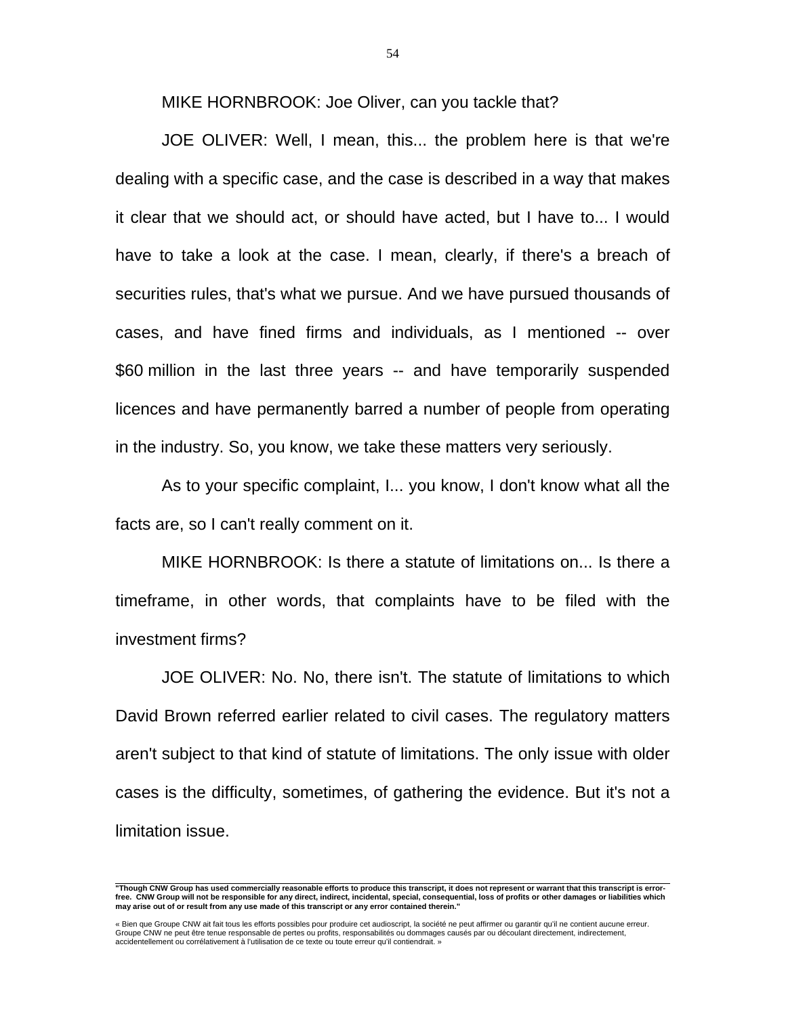MIKE HORNBROOK: Joe Oliver, can you tackle that?

 JOE OLIVER: Well, I mean, this... the problem here is that we're dealing with a specific case, and the case is described in a way that makes it clear that we should act, or should have acted, but I have to... I would have to take a look at the case. I mean, clearly, if there's a breach of securities rules, that's what we pursue. And we have pursued thousands of cases, and have fined firms and individuals, as I mentioned -- over \$60 million in the last three years -- and have temporarily suspended licences and have permanently barred a number of people from operating in the industry. So, you know, we take these matters very seriously.

 As to your specific complaint, I... you know, I don't know what all the facts are, so I can't really comment on it.

 MIKE HORNBROOK: Is there a statute of limitations on... Is there a timeframe, in other words, that complaints have to be filed with the investment firms?

 JOE OLIVER: No. No, there isn't. The statute of limitations to which David Brown referred earlier related to civil cases. The regulatory matters aren't subject to that kind of statute of limitations. The only issue with older cases is the difficulty, sometimes, of gathering the evidence. But it's not a limitation issue.

 **"Though CNW Group has used commercially reasonable efforts to produce this transcript, it does not represent or warrant that this transcript is errorfree. CNW Group will not be responsible for any direct, indirect, incidental, special, consequential, loss of profits or other damages or liabilities which may arise out of or result from any use made of this transcript or any error contained therein."** 

<sup>«</sup> Bien que Groupe CNW ait fait tous les efforts possibles pour produire cet audioscript, la société ne peut affirmer ou garantir qu'il ne contient aucune erreur.<br>Groupe CNW ne peut être tenue responsable de pertes ou profi accidentellement ou corrélativement à l'utilisation de ce texte ou toute erreur qu'il contiendrait. »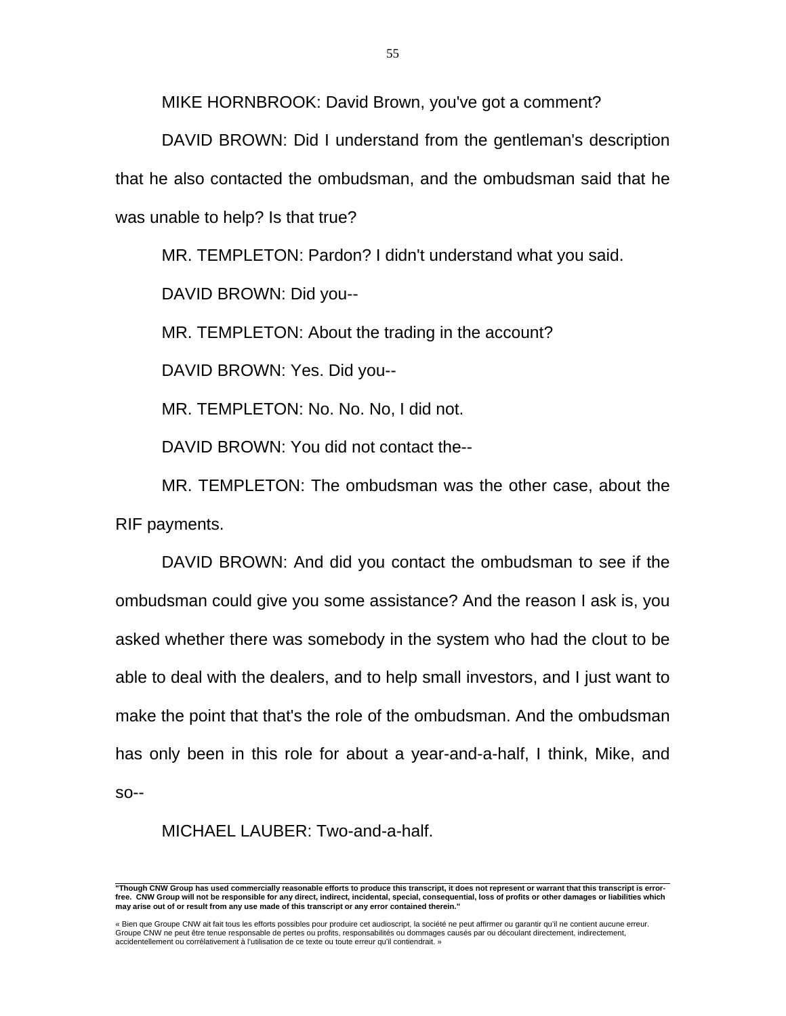MIKE HORNBROOK: David Brown, you've got a comment?

 DAVID BROWN: Did I understand from the gentleman's description that he also contacted the ombudsman, and the ombudsman said that he was unable to help? Is that true?

MR. TEMPLETON: Pardon? I didn't understand what you said.

DAVID BROWN: Did you--

MR. TEMPLETON: About the trading in the account?

DAVID BROWN: Yes. Did you--

MR. TEMPLETON: No. No. No, I did not.

DAVID BROWN: You did not contact the--

 MR. TEMPLETON: The ombudsman was the other case, about the RIF payments.

 DAVID BROWN: And did you contact the ombudsman to see if the ombudsman could give you some assistance? And the reason I ask is, you asked whether there was somebody in the system who had the clout to be able to deal with the dealers, and to help small investors, and I just want to make the point that that's the role of the ombudsman. And the ombudsman has only been in this role for about a year-and-a-half, I think, Mike, and so--

MICHAEL LAUBER: Two-and-a-half.

 **"Though CNW Group has used commercially reasonable efforts to produce this transcript, it does not represent or warrant that this transcript is errorfree. CNW Group will not be responsible for any direct, indirect, incidental, special, consequential, loss of profits or other damages or liabilities which may arise out of or result from any use made of this transcript or any error contained therein."** 

<sup>«</sup> Bien que Groupe CNW ait fait tous les efforts possibles pour produire cet audioscript, la société ne peut affirmer ou garantir qu'il ne contient aucune erreur.<br>Groupe CNW ne peut être tenue responsable de pertes ou profi accidentellement ou corrélativement à l'utilisation de ce texte ou toute erreur qu'il contiendrait. »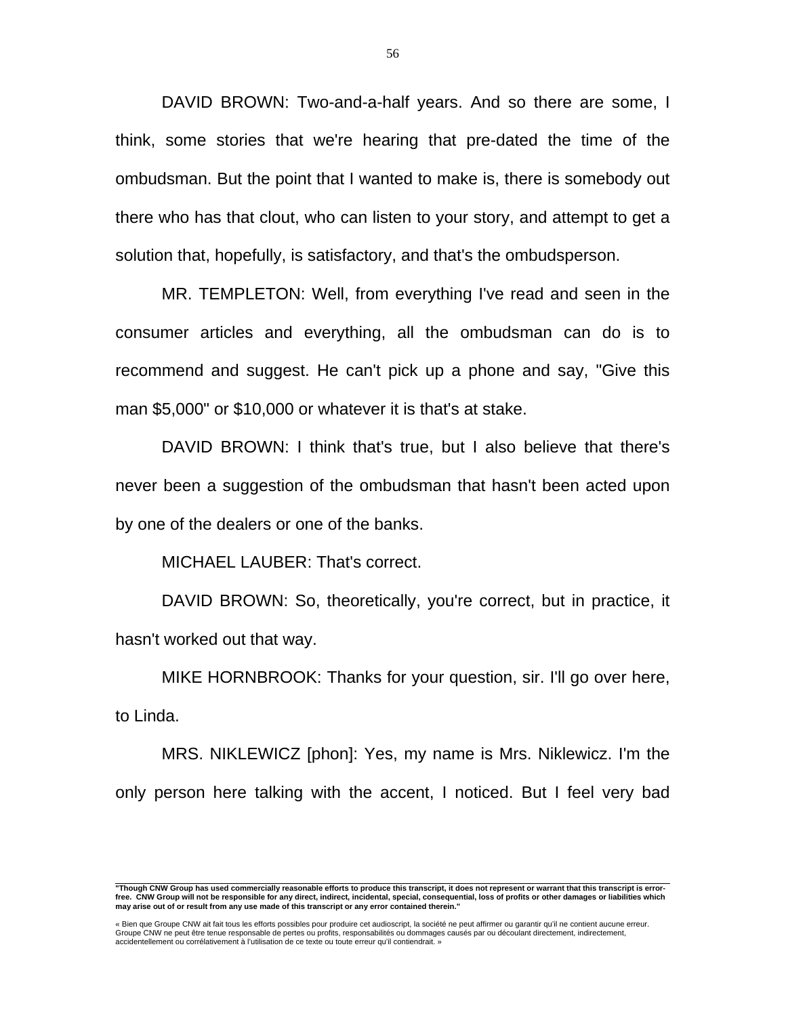DAVID BROWN: Two-and-a-half years. And so there are some, I think, some stories that we're hearing that pre-dated the time of the ombudsman. But the point that I wanted to make is, there is somebody out there who has that clout, who can listen to your story, and attempt to get a solution that, hopefully, is satisfactory, and that's the ombudsperson.

 MR. TEMPLETON: Well, from everything I've read and seen in the consumer articles and everything, all the ombudsman can do is to recommend and suggest. He can't pick up a phone and say, "Give this man \$5,000" or \$10,000 or whatever it is that's at stake.

 DAVID BROWN: I think that's true, but I also believe that there's never been a suggestion of the ombudsman that hasn't been acted upon by one of the dealers or one of the banks.

MICHAEL LAUBER: That's correct.

 DAVID BROWN: So, theoretically, you're correct, but in practice, it hasn't worked out that way.

 MIKE HORNBROOK: Thanks for your question, sir. I'll go over here, to Linda.

 MRS. NIKLEWICZ [phon]: Yes, my name is Mrs. Niklewicz. I'm the only person here talking with the accent, I noticed. But I feel very bad

 **"Though CNW Group has used commercially reasonable efforts to produce this transcript, it does not represent or warrant that this transcript is errorfree. CNW Group will not be responsible for any direct, indirect, incidental, special, consequential, loss of profits or other damages or liabilities which may arise out of or result from any use made of this transcript or any error contained therein."** 

<sup>«</sup> Bien que Groupe CNW ait fait tous les efforts possibles pour produire cet audioscript, la société ne peut affirmer ou garantir qu'il ne contient aucune erreur.<br>Groupe CNW ne peut être tenue responsable de pertes ou profi accidentellement ou corrélativement à l'utilisation de ce texte ou toute erreur qu'il contiendrait. »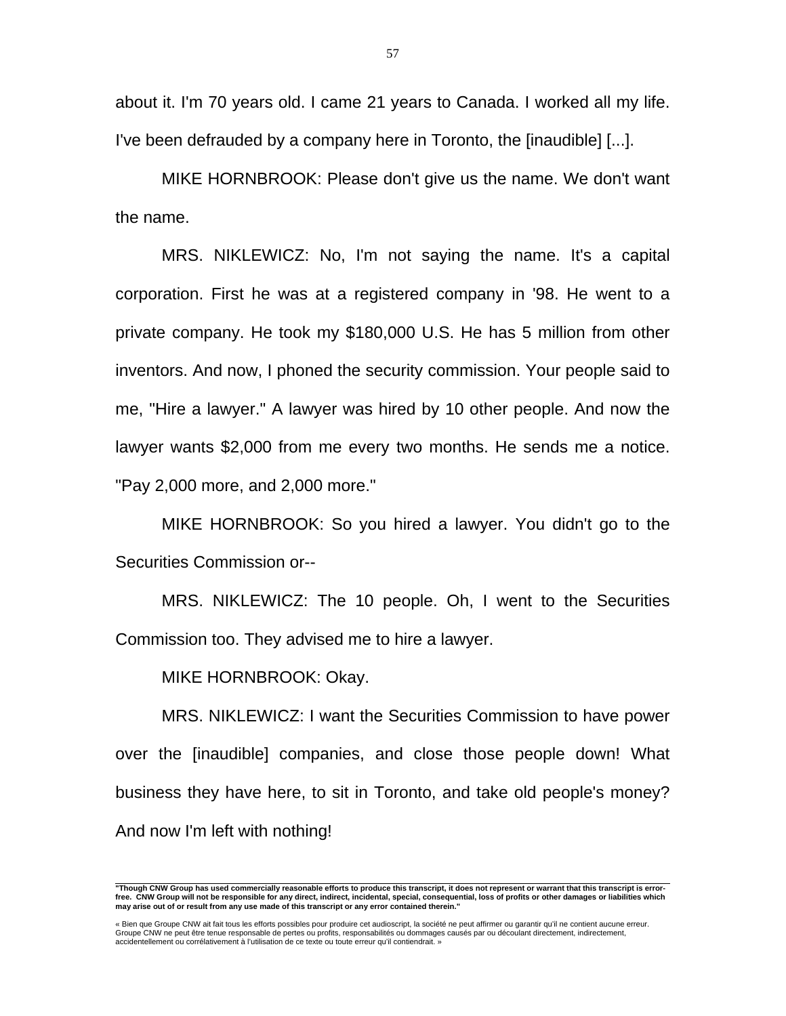about it. I'm 70 years old. I came 21 years to Canada. I worked all my life. I've been defrauded by a company here in Toronto, the [inaudible] [...].

 MIKE HORNBROOK: Please don't give us the name. We don't want the name.

 MRS. NIKLEWICZ: No, I'm not saying the name. It's a capital corporation. First he was at a registered company in '98. He went to a private company. He took my \$180,000 U.S. He has 5 million from other inventors. And now, I phoned the security commission. Your people said to me, "Hire a lawyer." A lawyer was hired by 10 other people. And now the lawyer wants \$2,000 from me every two months. He sends me a notice. "Pay 2,000 more, and 2,000 more."

 MIKE HORNBROOK: So you hired a lawyer. You didn't go to the Securities Commission or--

 MRS. NIKLEWICZ: The 10 people. Oh, I went to the Securities Commission too. They advised me to hire a lawyer.

MIKE HORNBROOK: Okay.

 MRS. NIKLEWICZ: I want the Securities Commission to have power over the [inaudible] companies, and close those people down! What business they have here, to sit in Toronto, and take old people's money? And now I'm left with nothing!

 **"Though CNW Group has used commercially reasonable efforts to produce this transcript, it does not represent or warrant that this transcript is errorfree. CNW Group will not be responsible for any direct, indirect, incidental, special, consequential, loss of profits or other damages or liabilities which may arise out of or result from any use made of this transcript or any error contained therein."** 

<sup>«</sup> Bien que Groupe CNW ait fait tous les efforts possibles pour produire cet audioscript, la société ne peut affirmer ou garantir qu'il ne contient aucune erreur.<br>Groupe CNW ne peut être tenue responsable de pertes ou profi accidentellement ou corrélativement à l'utilisation de ce texte ou toute erreur qu'il contiendrait. »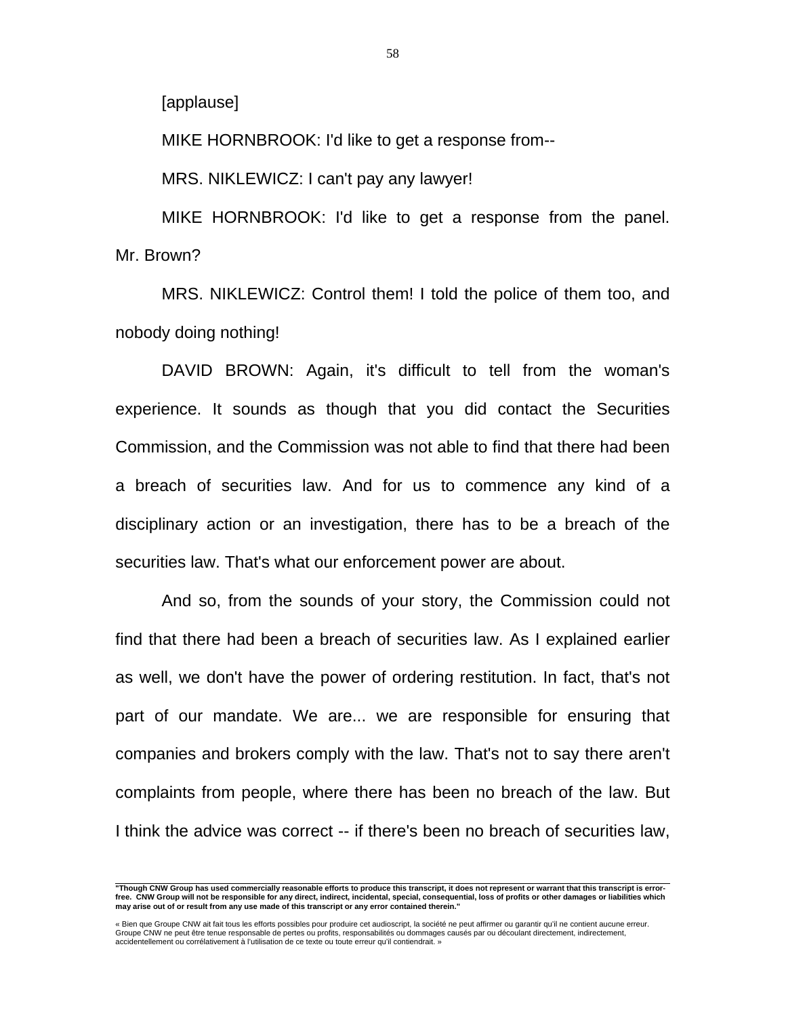[applause]

MIKE HORNBROOK: I'd like to get a response from--

MRS. NIKLEWICZ: I can't pay any lawyer!

 MIKE HORNBROOK: I'd like to get a response from the panel. Mr. Brown?

 MRS. NIKLEWICZ: Control them! I told the police of them too, and nobody doing nothing!

 DAVID BROWN: Again, it's difficult to tell from the woman's experience. It sounds as though that you did contact the Securities Commission, and the Commission was not able to find that there had been a breach of securities law. And for us to commence any kind of a disciplinary action or an investigation, there has to be a breach of the securities law. That's what our enforcement power are about.

 And so, from the sounds of your story, the Commission could not find that there had been a breach of securities law. As I explained earlier as well, we don't have the power of ordering restitution. In fact, that's not part of our mandate. We are... we are responsible for ensuring that companies and brokers comply with the law. That's not to say there aren't complaints from people, where there has been no breach of the law. But I think the advice was correct -- if there's been no breach of securities law,

 **"Though CNW Group has used commercially reasonable efforts to produce this transcript, it does not represent or warrant that this transcript is errorfree. CNW Group will not be responsible for any direct, indirect, incidental, special, consequential, loss of profits or other damages or liabilities which may arise out of or result from any use made of this transcript or any error contained therein."** 

<sup>«</sup> Bien que Groupe CNW ait fait tous les efforts possibles pour produire cet audioscript, la société ne peut affirmer ou garantir qu'il ne contient aucune erreur.<br>Groupe CNW ne peut être tenue responsable de pertes ou profi accidentellement ou corrélativement à l'utilisation de ce texte ou toute erreur qu'il contiendrait. »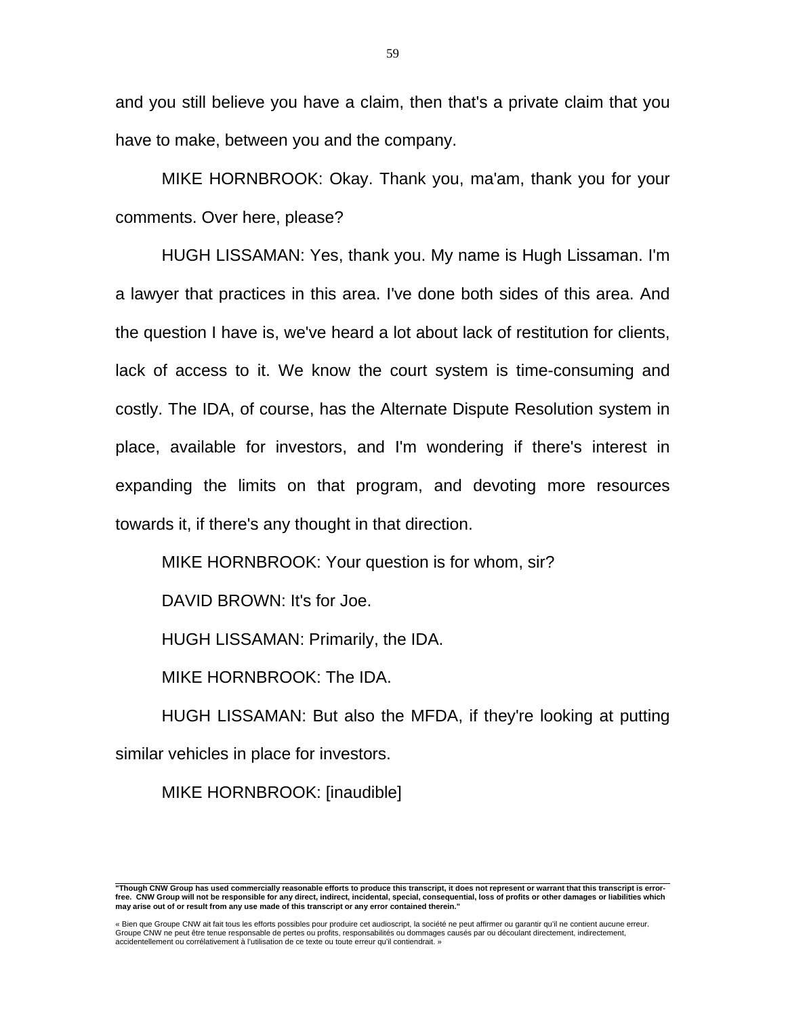and you still believe you have a claim, then that's a private claim that you have to make, between you and the company.

 MIKE HORNBROOK: Okay. Thank you, ma'am, thank you for your comments. Over here, please?

 HUGH LISSAMAN: Yes, thank you. My name is Hugh Lissaman. I'm a lawyer that practices in this area. I've done both sides of this area. And the question I have is, we've heard a lot about lack of restitution for clients, lack of access to it. We know the court system is time-consuming and costly. The IDA, of course, has the Alternate Dispute Resolution system in place, available for investors, and I'm wondering if there's interest in expanding the limits on that program, and devoting more resources towards it, if there's any thought in that direction.

MIKE HORNBROOK: Your question is for whom, sir?

DAVID BROWN: It's for Joe.

HUGH LISSAMAN: Primarily, the IDA.

MIKE HORNBROOK: The IDA.

 HUGH LISSAMAN: But also the MFDA, if they're looking at putting similar vehicles in place for investors.

MIKE HORNBROOK: [inaudible]

 **"Though CNW Group has used commercially reasonable efforts to produce this transcript, it does not represent or warrant that this transcript is errorfree. CNW Group will not be responsible for any direct, indirect, incidental, special, consequential, loss of profits or other damages or liabilities which may arise out of or result from any use made of this transcript or any error contained therein."** 

<sup>«</sup> Bien que Groupe CNW ait fait tous les efforts possibles pour produire cet audioscript, la société ne peut affirmer ou garantir qu'il ne contient aucune erreur.<br>Groupe CNW ne peut être tenue responsable de pertes ou profi accidentellement ou corrélativement à l'utilisation de ce texte ou toute erreur qu'il contiendrait. »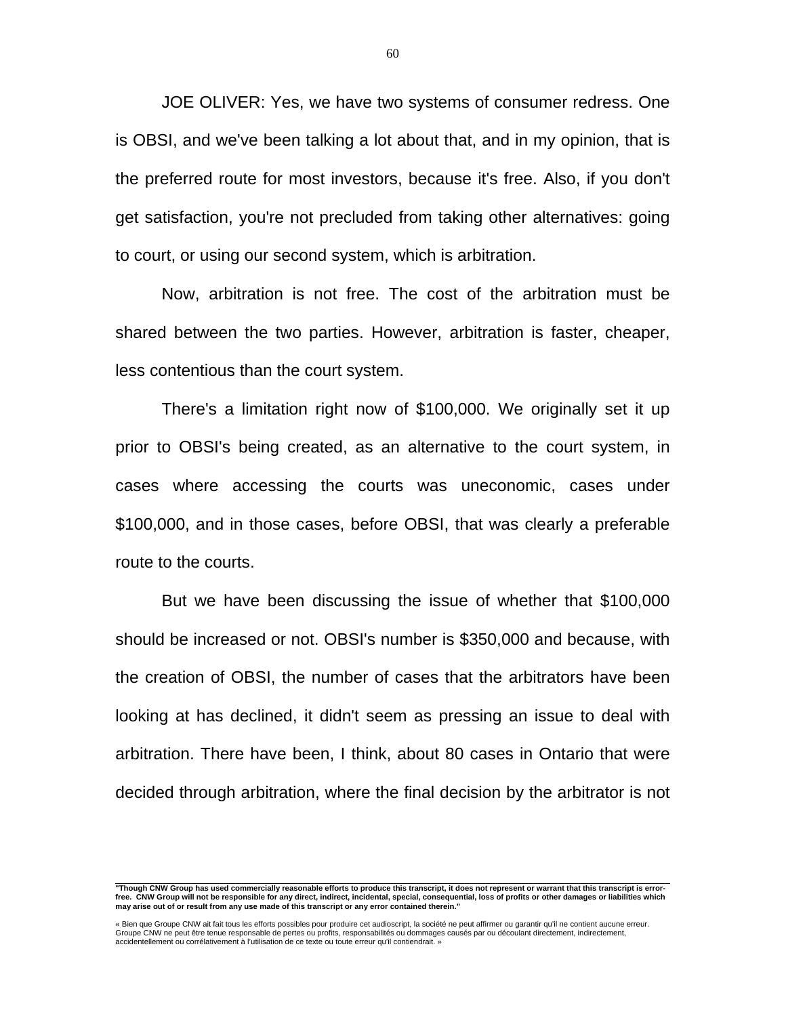JOE OLIVER: Yes, we have two systems of consumer redress. One is OBSI, and we've been talking a lot about that, and in my opinion, that is the preferred route for most investors, because it's free. Also, if you don't get satisfaction, you're not precluded from taking other alternatives: going to court, or using our second system, which is arbitration.

 Now, arbitration is not free. The cost of the arbitration must be shared between the two parties. However, arbitration is faster, cheaper, less contentious than the court system.

 There's a limitation right now of \$100,000. We originally set it up prior to OBSI's being created, as an alternative to the court system, in cases where accessing the courts was uneconomic, cases under \$100,000, and in those cases, before OBSI, that was clearly a preferable route to the courts.

 But we have been discussing the issue of whether that \$100,000 should be increased or not. OBSI's number is \$350,000 and because, with the creation of OBSI, the number of cases that the arbitrators have been looking at has declined, it didn't seem as pressing an issue to deal with arbitration. There have been, I think, about 80 cases in Ontario that were decided through arbitration, where the final decision by the arbitrator is not

 **"Though CNW Group has used commercially reasonable efforts to produce this transcript, it does not represent or warrant that this transcript is errorfree. CNW Group will not be responsible for any direct, indirect, incidental, special, consequential, loss of profits or other damages or liabilities which may arise out of or result from any use made of this transcript or any error contained therein."** 

<sup>«</sup> Bien que Groupe CNW ait fait tous les efforts possibles pour produire cet audioscript, la société ne peut affirmer ou garantir qu'il ne contient aucune erreur.<br>Groupe CNW ne peut être tenue responsable de pertes ou profi accidentellement ou corrélativement à l'utilisation de ce texte ou toute erreur qu'il contiendrait. »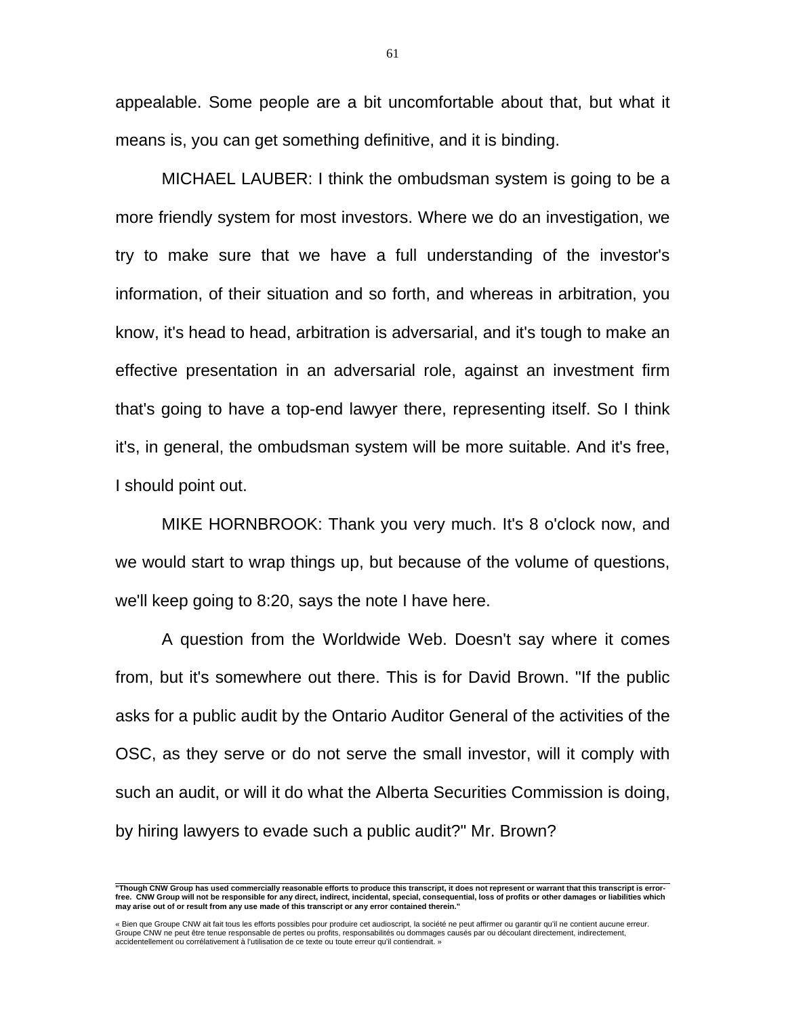appealable. Some people are a bit uncomfortable about that, but what it means is, you can get something definitive, and it is binding.

 MICHAEL LAUBER: I think the ombudsman system is going to be a more friendly system for most investors. Where we do an investigation, we try to make sure that we have a full understanding of the investor's information, of their situation and so forth, and whereas in arbitration, you know, it's head to head, arbitration is adversarial, and it's tough to make an effective presentation in an adversarial role, against an investment firm that's going to have a top-end lawyer there, representing itself. So I think it's, in general, the ombudsman system will be more suitable. And it's free, I should point out.

 MIKE HORNBROOK: Thank you very much. It's 8 o'clock now, and we would start to wrap things up, but because of the volume of questions, we'll keep going to 8:20, says the note I have here.

 A question from the Worldwide Web. Doesn't say where it comes from, but it's somewhere out there. This is for David Brown. "If the public asks for a public audit by the Ontario Auditor General of the activities of the OSC, as they serve or do not serve the small investor, will it comply with such an audit, or will it do what the Alberta Securities Commission is doing, by hiring lawyers to evade such a public audit?" Mr. Brown?

61

 **"Though CNW Group has used commercially reasonable efforts to produce this transcript, it does not represent or warrant that this transcript is errorfree. CNW Group will not be responsible for any direct, indirect, incidental, special, consequential, loss of profits or other damages or liabilities which may arise out of or result from any use made of this transcript or any error contained therein."** 

<sup>«</sup> Bien que Groupe CNW ait fait tous les efforts possibles pour produire cet audioscript, la société ne peut affirmer ou garantir qu'il ne contient aucune erreur.<br>Groupe CNW ne peut être tenue responsable de pertes ou profi accidentellement ou corrélativement à l'utilisation de ce texte ou toute erreur qu'il contiendrait. »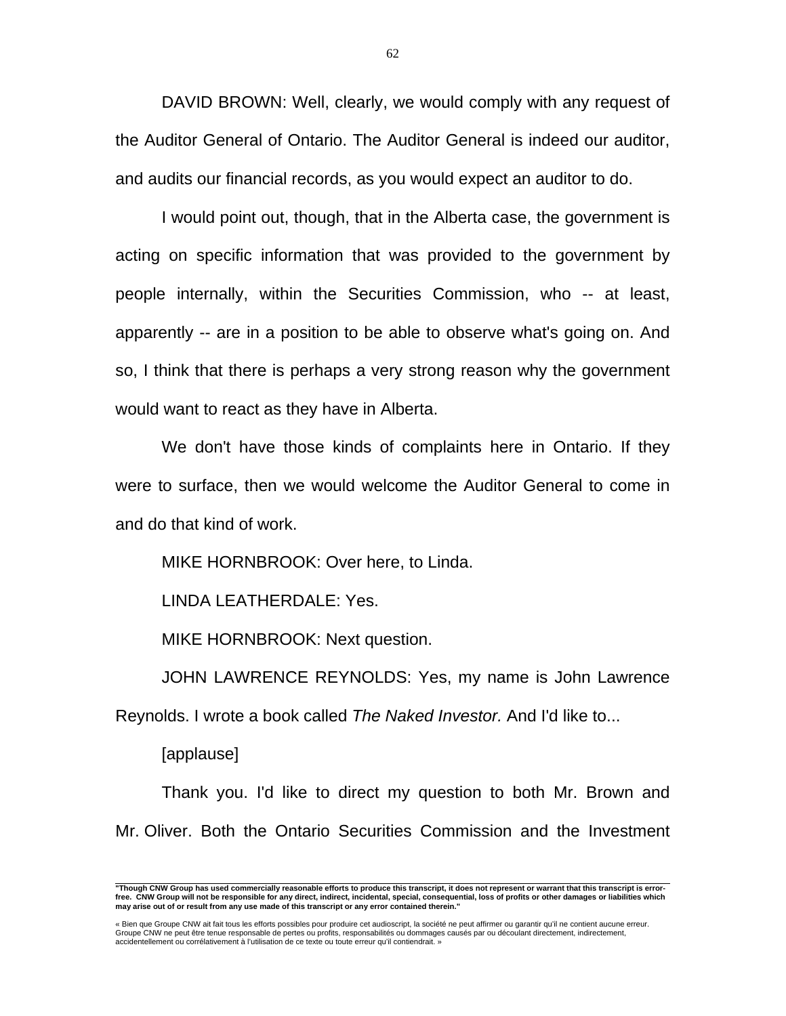DAVID BROWN: Well, clearly, we would comply with any request of the Auditor General of Ontario. The Auditor General is indeed our auditor, and audits our financial records, as you would expect an auditor to do.

 I would point out, though, that in the Alberta case, the government is acting on specific information that was provided to the government by people internally, within the Securities Commission, who -- at least, apparently -- are in a position to be able to observe what's going on. And so, I think that there is perhaps a very strong reason why the government would want to react as they have in Alberta.

 We don't have those kinds of complaints here in Ontario. If they were to surface, then we would welcome the Auditor General to come in and do that kind of work.

MIKE HORNBROOK: Over here, to Linda.

LINDA LEATHERDALE: Yes.

MIKE HORNBROOK: Next question.

 JOHN LAWRENCE REYNOLDS: Yes, my name is John Lawrence Reynolds. I wrote a book called *The Naked Investor.* And I'd like to...

[applause]

 Thank you. I'd like to direct my question to both Mr. Brown and Mr. Oliver. Both the Ontario Securities Commission and the Investment

 **"Though CNW Group has used commercially reasonable efforts to produce this transcript, it does not represent or warrant that this transcript is errorfree. CNW Group will not be responsible for any direct, indirect, incidental, special, consequential, loss of profits or other damages or liabilities which may arise out of or result from any use made of this transcript or any error contained therein."** 

<sup>«</sup> Bien que Groupe CNW ait fait tous les efforts possibles pour produire cet audioscript, la société ne peut affirmer ou garantir qu'il ne contient aucune erreur.<br>Groupe CNW ne peut être tenue responsable de pertes ou profi accidentellement ou corrélativement à l'utilisation de ce texte ou toute erreur qu'il contiendrait. »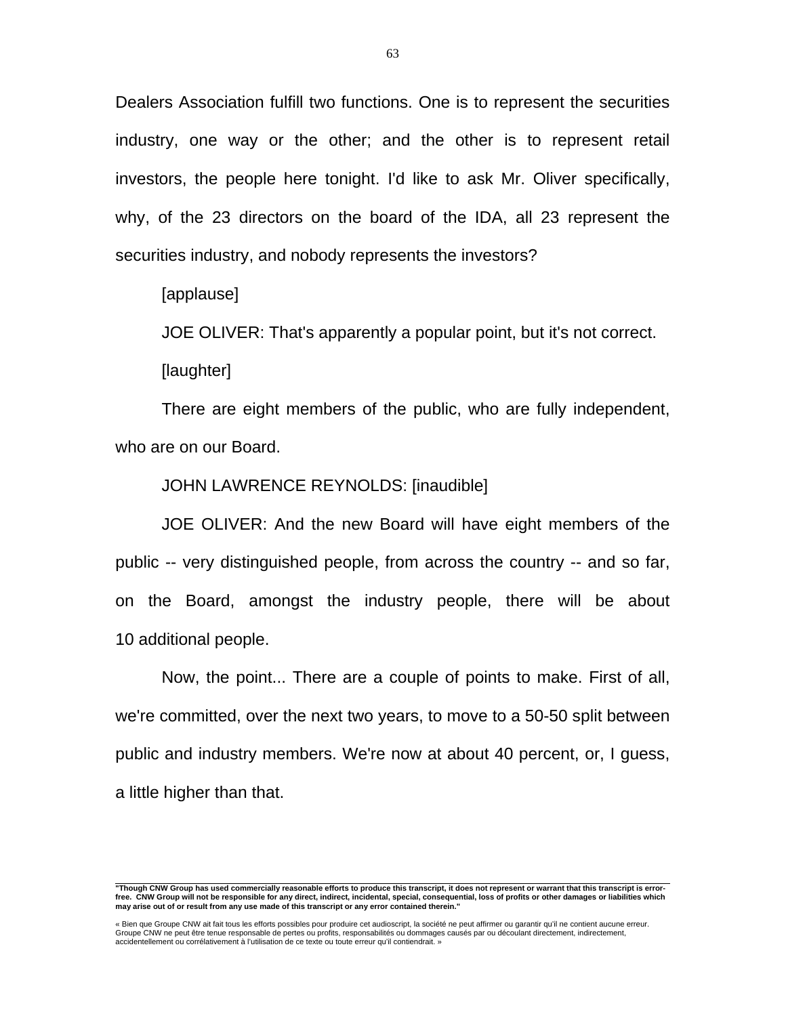Dealers Association fulfill two functions. One is to represent the securities industry, one way or the other; and the other is to represent retail investors, the people here tonight. I'd like to ask Mr. Oliver specifically, why, of the 23 directors on the board of the IDA, all 23 represent the securities industry, and nobody represents the investors?

[applause]

JOE OLIVER: That's apparently a popular point, but it's not correct.

[laughter]

 There are eight members of the public, who are fully independent, who are on our Board.

JOHN LAWRENCE REYNOLDS: [inaudible]

 JOE OLIVER: And the new Board will have eight members of the public -- very distinguished people, from across the country -- and so far, on the Board, amongst the industry people, there will be about 10 additional people.

 Now, the point... There are a couple of points to make. First of all, we're committed, over the next two years, to move to a 50-50 split between public and industry members. We're now at about 40 percent, or, I guess, a little higher than that.

 **"Though CNW Group has used commercially reasonable efforts to produce this transcript, it does not represent or warrant that this transcript is errorfree. CNW Group will not be responsible for any direct, indirect, incidental, special, consequential, loss of profits or other damages or liabilities which may arise out of or result from any use made of this transcript or any error contained therein."** 

<sup>«</sup> Bien que Groupe CNW ait fait tous les efforts possibles pour produire cet audioscript, la société ne peut affirmer ou garantir qu'il ne contient aucune erreur.<br>Groupe CNW ne peut être tenue responsable de pertes ou profi accidentellement ou corrélativement à l'utilisation de ce texte ou toute erreur qu'il contiendrait. »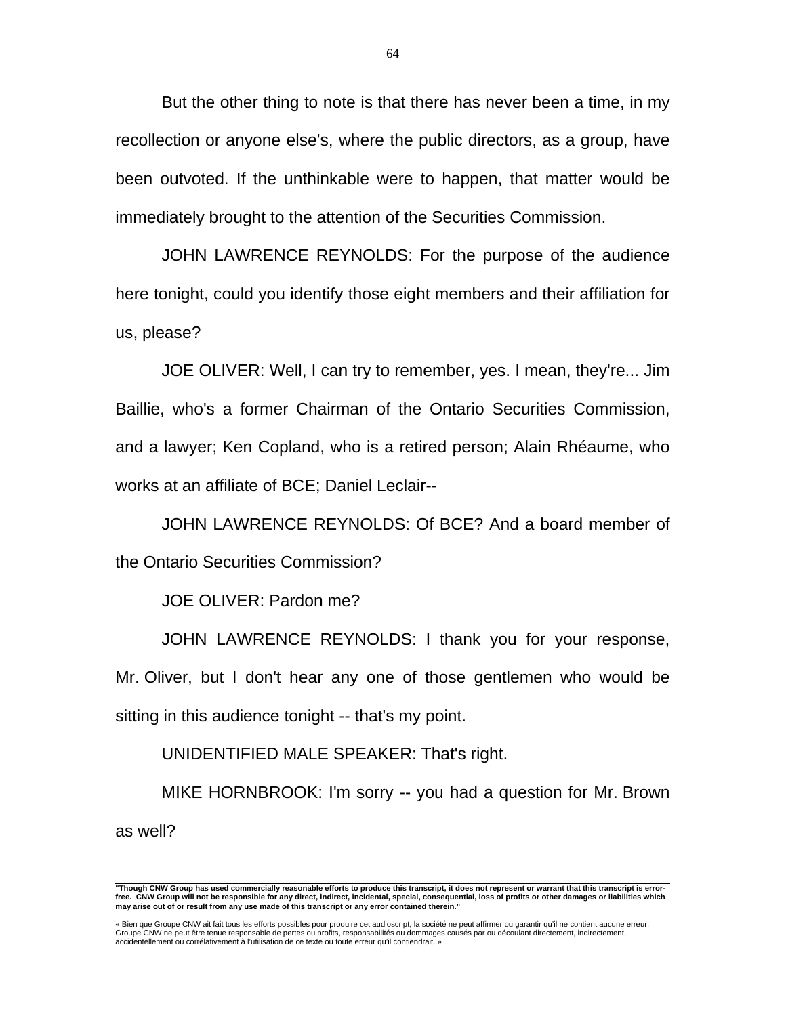But the other thing to note is that there has never been a time, in my recollection or anyone else's, where the public directors, as a group, have been outvoted. If the unthinkable were to happen, that matter would be immediately brought to the attention of the Securities Commission.

 JOHN LAWRENCE REYNOLDS: For the purpose of the audience here tonight, could you identify those eight members and their affiliation for us, please?

 JOE OLIVER: Well, I can try to remember, yes. I mean, they're... Jim Baillie, who's a former Chairman of the Ontario Securities Commission, and a lawyer; Ken Copland, who is a retired person; Alain Rhéaume, who works at an affiliate of BCE; Daniel Leclair--

 JOHN LAWRENCE REYNOLDS: Of BCE? And a board member of the Ontario Securities Commission?

JOE OLIVER: Pardon me?

 JOHN LAWRENCE REYNOLDS: I thank you for your response, Mr. Oliver, but I don't hear any one of those gentlemen who would be sitting in this audience tonight -- that's my point.

UNIDENTIFIED MALE SPEAKER: That's right.

 MIKE HORNBROOK: I'm sorry -- you had a question for Mr. Brown as well?

 **"Though CNW Group has used commercially reasonable efforts to produce this transcript, it does not represent or warrant that this transcript is errorfree. CNW Group will not be responsible for any direct, indirect, incidental, special, consequential, loss of profits or other damages or liabilities which may arise out of or result from any use made of this transcript or any error contained therein."** 

<sup>«</sup> Bien que Groupe CNW ait fait tous les efforts possibles pour produire cet audioscript, la société ne peut affirmer ou garantir qu'il ne contient aucune erreur. Groupe CNW ne peut être tenue responsable de pertes ou profits, responsabilités ou dommages causés par ou découlant directement, indirectement, accidentellement ou corrélativement à l'utilisation de ce texte ou toute erreur qu'il contiendrait. »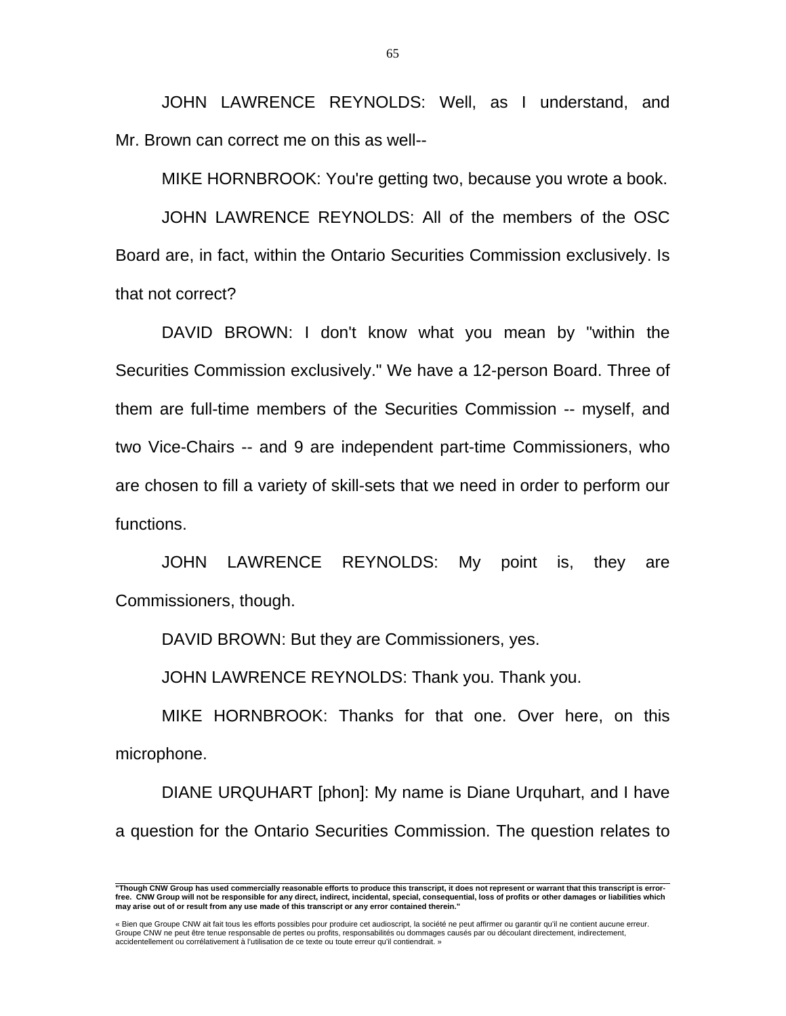JOHN LAWRENCE REYNOLDS: Well, as I understand, and Mr. Brown can correct me on this as well--

MIKE HORNBROOK: You're getting two, because you wrote a book.

 JOHN LAWRENCE REYNOLDS: All of the members of the OSC Board are, in fact, within the Ontario Securities Commission exclusively. Is that not correct?

 DAVID BROWN: I don't know what you mean by "within the Securities Commission exclusively." We have a 12-person Board. Three of them are full-time members of the Securities Commission -- myself, and two Vice-Chairs -- and 9 are independent part-time Commissioners, who are chosen to fill a variety of skill-sets that we need in order to perform our functions.

 JOHN LAWRENCE REYNOLDS: My point is, they are Commissioners, though.

DAVID BROWN: But they are Commissioners, yes.

JOHN LAWRENCE REYNOLDS: Thank you. Thank you.

 MIKE HORNBROOK: Thanks for that one. Over here, on this microphone.

 DIANE URQUHART [phon]: My name is Diane Urquhart, and I have a question for the Ontario Securities Commission. The question relates to

 **"Though CNW Group has used commercially reasonable efforts to produce this transcript, it does not represent or warrant that this transcript is errorfree. CNW Group will not be responsible for any direct, indirect, incidental, special, consequential, loss of profits or other damages or liabilities which may arise out of or result from any use made of this transcript or any error contained therein."** 

<sup>«</sup> Bien que Groupe CNW ait fait tous les efforts possibles pour produire cet audioscript, la société ne peut affirmer ou garantir qu'il ne contient aucune erreur.<br>Groupe CNW ne peut être tenue responsable de pertes ou profi accidentellement ou corrélativement à l'utilisation de ce texte ou toute erreur qu'il contiendrait. »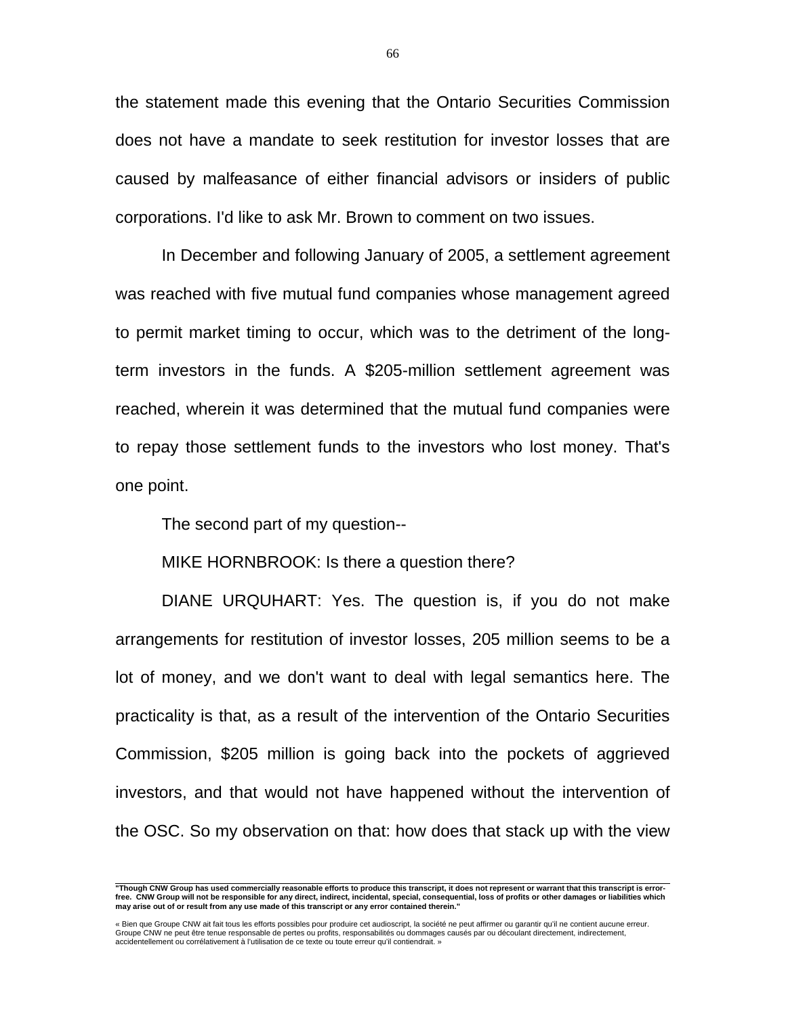the statement made this evening that the Ontario Securities Commission does not have a mandate to seek restitution for investor losses that are caused by malfeasance of either financial advisors or insiders of public corporations. I'd like to ask Mr. Brown to comment on two issues.

 In December and following January of 2005, a settlement agreement was reached with five mutual fund companies whose management agreed to permit market timing to occur, which was to the detriment of the longterm investors in the funds. A \$205-million settlement agreement was reached, wherein it was determined that the mutual fund companies were to repay those settlement funds to the investors who lost money. That's one point.

The second part of my question--

MIKE HORNBROOK: Is there a question there?

 DIANE URQUHART: Yes. The question is, if you do not make arrangements for restitution of investor losses, 205 million seems to be a lot of money, and we don't want to deal with legal semantics here. The practicality is that, as a result of the intervention of the Ontario Securities Commission, \$205 million is going back into the pockets of aggrieved investors, and that would not have happened without the intervention of the OSC. So my observation on that: how does that stack up with the view

 **"Though CNW Group has used commercially reasonable efforts to produce this transcript, it does not represent or warrant that this transcript is errorfree. CNW Group will not be responsible for any direct, indirect, incidental, special, consequential, loss of profits or other damages or liabilities which may arise out of or result from any use made of this transcript or any error contained therein."** 

<sup>«</sup> Bien que Groupe CNW ait fait tous les efforts possibles pour produire cet audioscript, la société ne peut affirmer ou garantir qu'il ne contient aucune erreur.<br>Groupe CNW ne peut être tenue responsable de pertes ou profi accidentellement ou corrélativement à l'utilisation de ce texte ou toute erreur qu'il contiendrait. »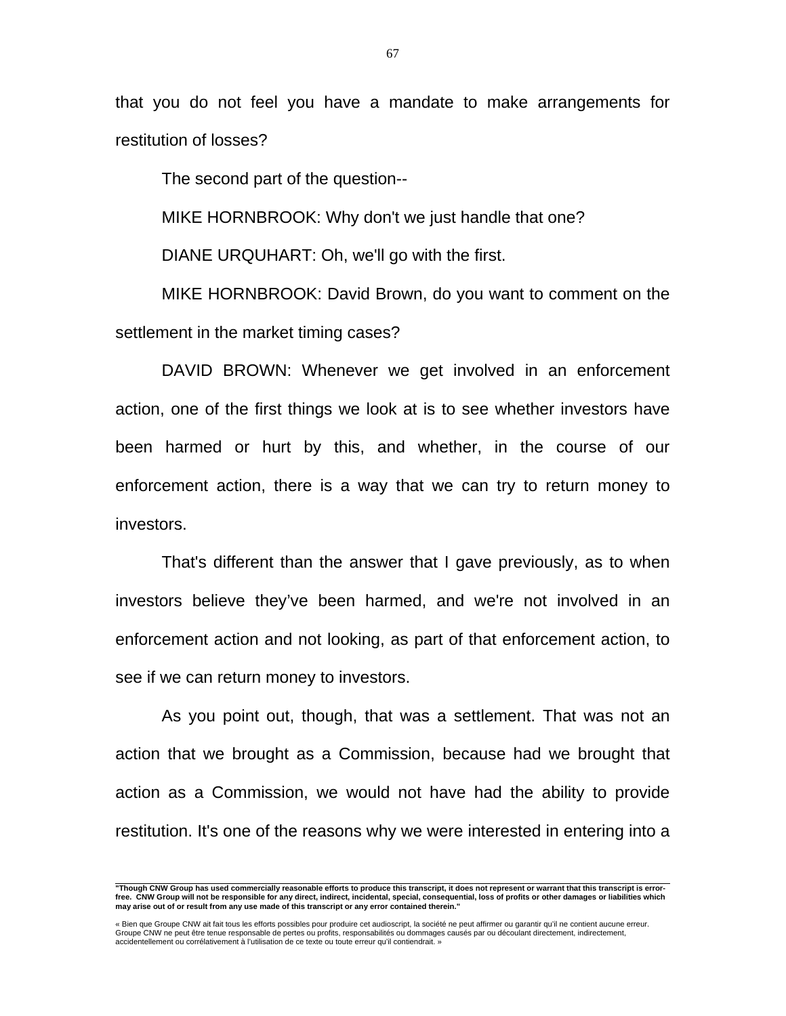that you do not feel you have a mandate to make arrangements for restitution of losses?

The second part of the question--

MIKE HORNBROOK: Why don't we just handle that one?

DIANE URQUHART: Oh, we'll go with the first.

 MIKE HORNBROOK: David Brown, do you want to comment on the settlement in the market timing cases?

 DAVID BROWN: Whenever we get involved in an enforcement action, one of the first things we look at is to see whether investors have been harmed or hurt by this, and whether, in the course of our enforcement action, there is a way that we can try to return money to investors.

 That's different than the answer that I gave previously, as to when investors believe they've been harmed, and we're not involved in an enforcement action and not looking, as part of that enforcement action, to see if we can return money to investors.

 As you point out, though, that was a settlement. That was not an action that we brought as a Commission, because had we brought that action as a Commission, we would not have had the ability to provide restitution. It's one of the reasons why we were interested in entering into a

 **"Though CNW Group has used commercially reasonable efforts to produce this transcript, it does not represent or warrant that this transcript is errorfree. CNW Group will not be responsible for any direct, indirect, incidental, special, consequential, loss of profits or other damages or liabilities which may arise out of or result from any use made of this transcript or any error contained therein."** 

<sup>«</sup> Bien que Groupe CNW ait fait tous les efforts possibles pour produire cet audioscript, la société ne peut affirmer ou garantir qu'il ne contient aucune erreur.<br>Groupe CNW ne peut être tenue responsable de pertes ou profi accidentellement ou corrélativement à l'utilisation de ce texte ou toute erreur qu'il contiendrait. »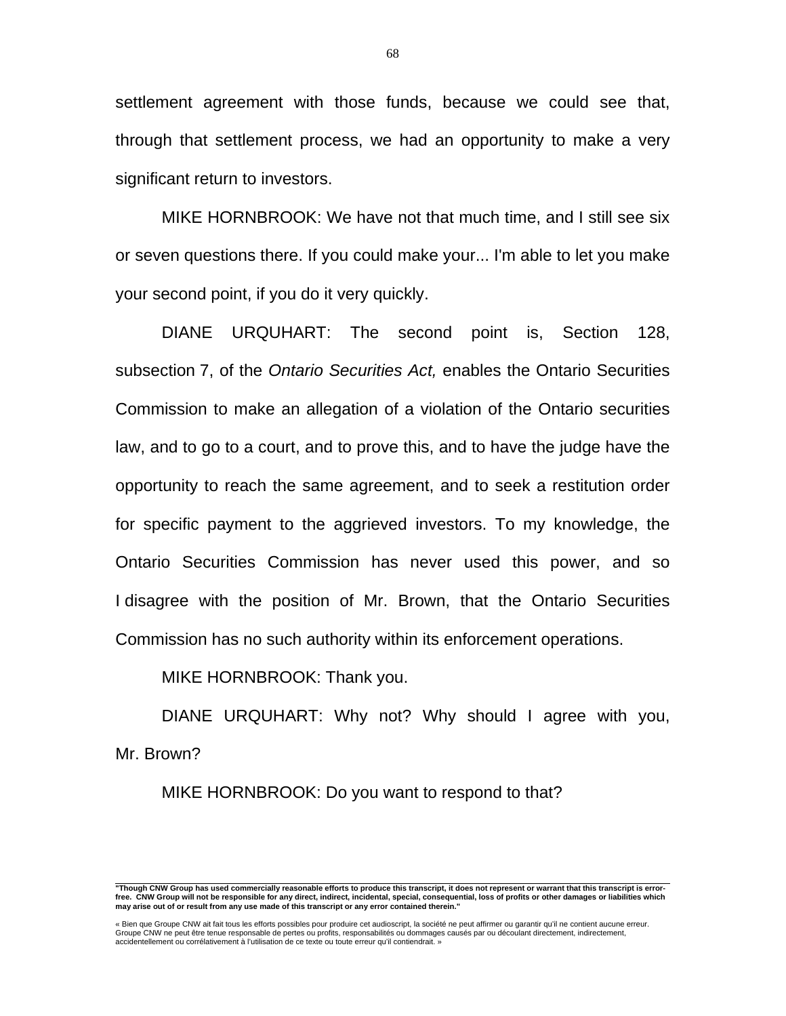settlement agreement with those funds, because we could see that, through that settlement process, we had an opportunity to make a very significant return to investors.

 MIKE HORNBROOK: We have not that much time, and I still see six or seven questions there. If you could make your... I'm able to let you make your second point, if you do it very quickly.

 DIANE URQUHART: The second point is, Section 128, subsection 7, of the *Ontario Securities Act,* enables the Ontario Securities Commission to make an allegation of a violation of the Ontario securities law, and to go to a court, and to prove this, and to have the judge have the opportunity to reach the same agreement, and to seek a restitution order for specific payment to the aggrieved investors. To my knowledge, the Ontario Securities Commission has never used this power, and so I disagree with the position of Mr. Brown, that the Ontario Securities Commission has no such authority within its enforcement operations.

MIKE HORNBROOK: Thank you.

DIANE URQUHART: Why not? Why should I agree with you, Mr. Brown?

MIKE HORNBROOK: Do you want to respond to that?

68

 **"Though CNW Group has used commercially reasonable efforts to produce this transcript, it does not represent or warrant that this transcript is errorfree. CNW Group will not be responsible for any direct, indirect, incidental, special, consequential, loss of profits or other damages or liabilities which may arise out of or result from any use made of this transcript or any error contained therein."** 

<sup>«</sup> Bien que Groupe CNW ait fait tous les efforts possibles pour produire cet audioscript, la société ne peut affirmer ou garantir qu'il ne contient aucune erreur.<br>Groupe CNW ne peut être tenue responsable de pertes ou profi accidentellement ou corrélativement à l'utilisation de ce texte ou toute erreur qu'il contiendrait. »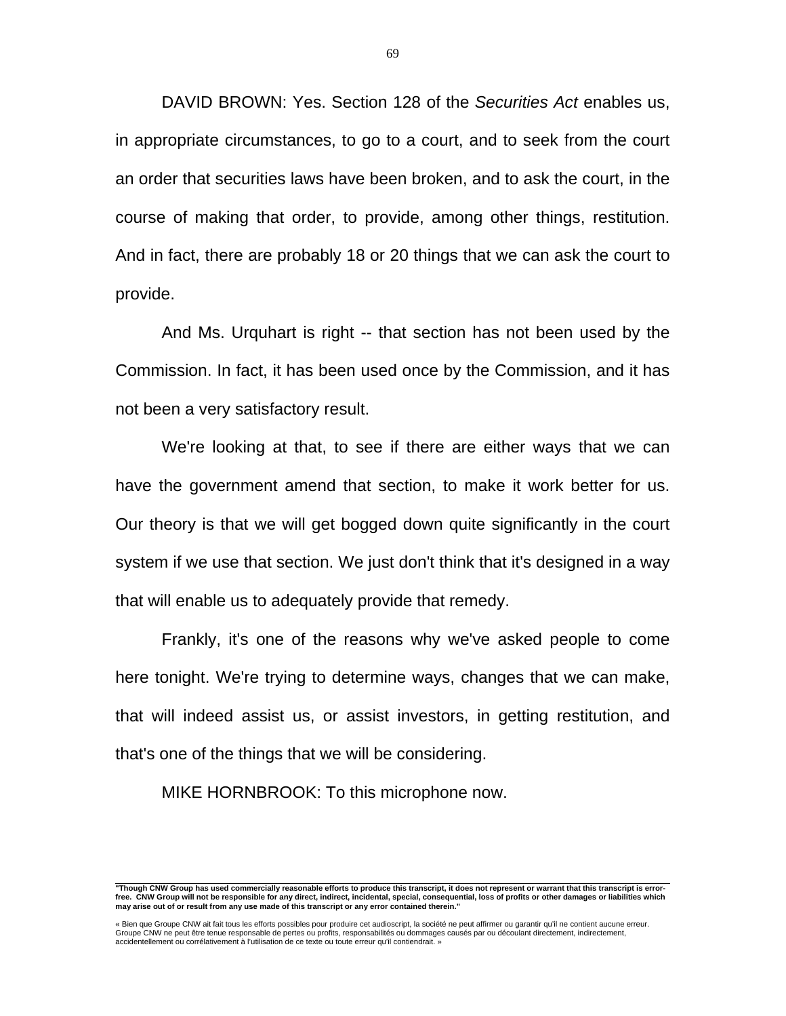DAVID BROWN: Yes. Section 128 of the *Securities Act* enables us, in appropriate circumstances, to go to a court, and to seek from the court an order that securities laws have been broken, and to ask the court, in the course of making that order, to provide, among other things, restitution. And in fact, there are probably 18 or 20 things that we can ask the court to provide.

 And Ms. Urquhart is right -- that section has not been used by the Commission. In fact, it has been used once by the Commission, and it has not been a very satisfactory result.

 We're looking at that, to see if there are either ways that we can have the government amend that section, to make it work better for us. Our theory is that we will get bogged down quite significantly in the court system if we use that section. We just don't think that it's designed in a way that will enable us to adequately provide that remedy.

 Frankly, it's one of the reasons why we've asked people to come here tonight. We're trying to determine ways, changes that we can make, that will indeed assist us, or assist investors, in getting restitution, and that's one of the things that we will be considering.

MIKE HORNBROOK: To this microphone now.

 **"Though CNW Group has used commercially reasonable efforts to produce this transcript, it does not represent or warrant that this transcript is errorfree. CNW Group will not be responsible for any direct, indirect, incidental, special, consequential, loss of profits or other damages or liabilities which may arise out of or result from any use made of this transcript or any error contained therein."** 

<sup>«</sup> Bien que Groupe CNW ait fait tous les efforts possibles pour produire cet audioscript, la société ne peut affirmer ou garantir qu'il ne contient aucune erreur.<br>Groupe CNW ne peut être tenue responsable de pertes ou profi accidentellement ou corrélativement à l'utilisation de ce texte ou toute erreur qu'il contiendrait. »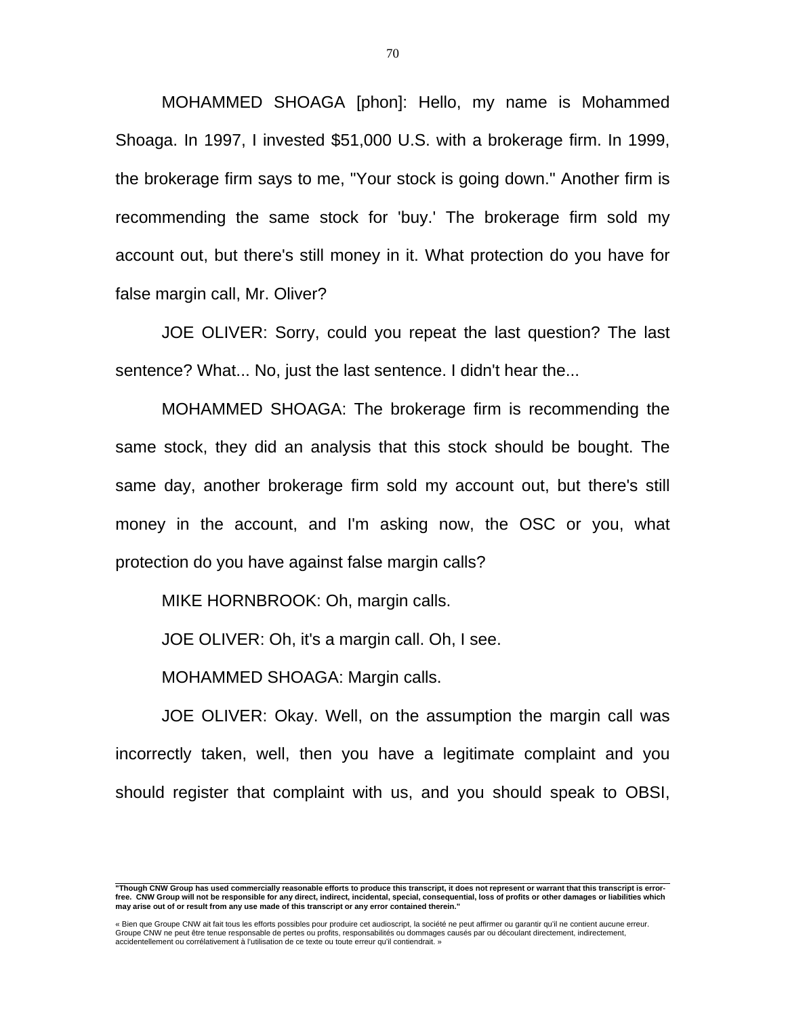MOHAMMED SHOAGA [phon]: Hello, my name is Mohammed Shoaga. In 1997, I invested \$51,000 U.S. with a brokerage firm. In 1999, the brokerage firm says to me, "Your stock is going down." Another firm is recommending the same stock for 'buy.' The brokerage firm sold my account out, but there's still money in it. What protection do you have for false margin call, Mr. Oliver?

 JOE OLIVER: Sorry, could you repeat the last question? The last sentence? What... No, just the last sentence. I didn't hear the...

 MOHAMMED SHOAGA: The brokerage firm is recommending the same stock, they did an analysis that this stock should be bought. The same day, another brokerage firm sold my account out, but there's still money in the account, and I'm asking now, the OSC or you, what protection do you have against false margin calls?

MIKE HORNBROOK: Oh, margin calls.

JOE OLIVER: Oh, it's a margin call. Oh, I see.

MOHAMMED SHOAGA: Margin calls.

 JOE OLIVER: Okay. Well, on the assumption the margin call was incorrectly taken, well, then you have a legitimate complaint and you should register that complaint with us, and you should speak to OBSI,

 **"Though CNW Group has used commercially reasonable efforts to produce this transcript, it does not represent or warrant that this transcript is errorfree. CNW Group will not be responsible for any direct, indirect, incidental, special, consequential, loss of profits or other damages or liabilities which may arise out of or result from any use made of this transcript or any error contained therein."** 

<sup>«</sup> Bien que Groupe CNW ait fait tous les efforts possibles pour produire cet audioscript, la société ne peut affirmer ou garantir qu'il ne contient aucune erreur.<br>Groupe CNW ne peut être tenue responsable de pertes ou profi accidentellement ou corrélativement à l'utilisation de ce texte ou toute erreur qu'il contiendrait. »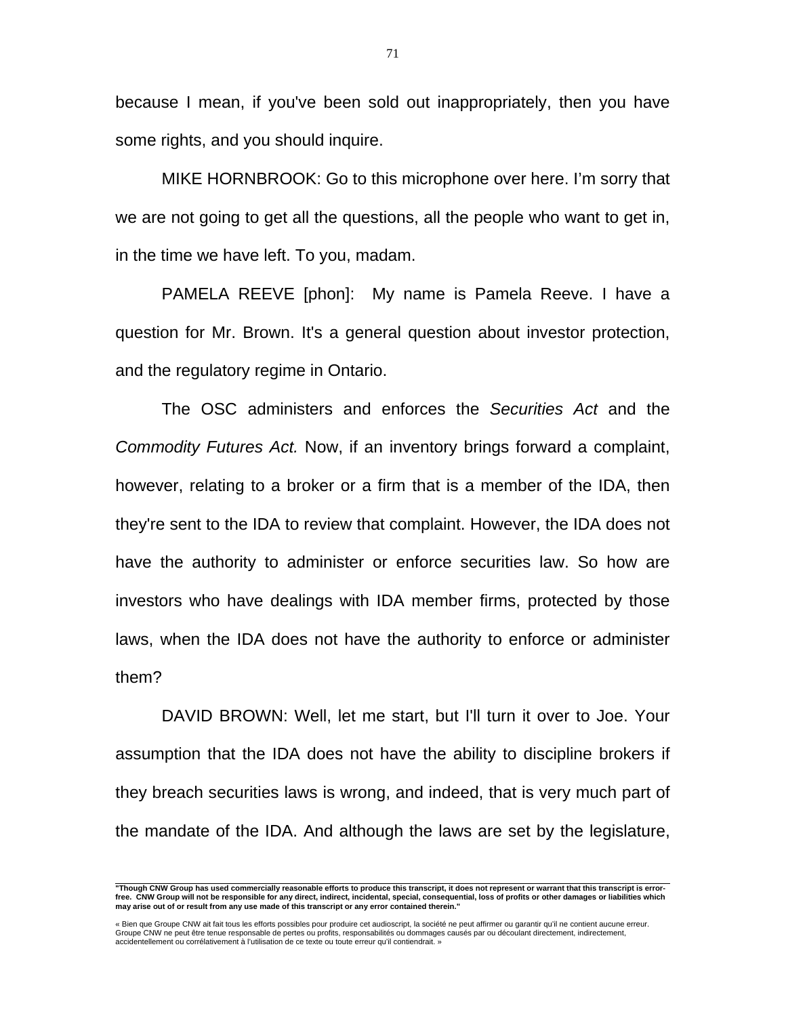because I mean, if you've been sold out inappropriately, then you have some rights, and you should inquire.

 MIKE HORNBROOK: Go to this microphone over here. I'm sorry that we are not going to get all the questions, all the people who want to get in, in the time we have left. To you, madam.

 PAMELA REEVE [phon]: My name is Pamela Reeve. I have a question for Mr. Brown. It's a general question about investor protection, and the regulatory regime in Ontario.

 The OSC administers and enforces the *Securities Act* and the *Commodity Futures Act.* Now, if an inventory brings forward a complaint, however, relating to a broker or a firm that is a member of the IDA, then they're sent to the IDA to review that complaint. However, the IDA does not have the authority to administer or enforce securities law. So how are investors who have dealings with IDA member firms, protected by those laws, when the IDA does not have the authority to enforce or administer them?

 DAVID BROWN: Well, let me start, but I'll turn it over to Joe. Your assumption that the IDA does not have the ability to discipline brokers if they breach securities laws is wrong, and indeed, that is very much part of the mandate of the IDA. And although the laws are set by the legislature,

 **"Though CNW Group has used commercially reasonable efforts to produce this transcript, it does not represent or warrant that this transcript is errorfree. CNW Group will not be responsible for any direct, indirect, incidental, special, consequential, loss of profits or other damages or liabilities which may arise out of or result from any use made of this transcript or any error contained therein."** 

<sup>«</sup> Bien que Groupe CNW ait fait tous les efforts possibles pour produire cet audioscript, la société ne peut affirmer ou garantir qu'il ne contient aucune erreur.<br>Groupe CNW ne peut être tenue responsable de pertes ou profi accidentellement ou corrélativement à l'utilisation de ce texte ou toute erreur qu'il contiendrait. »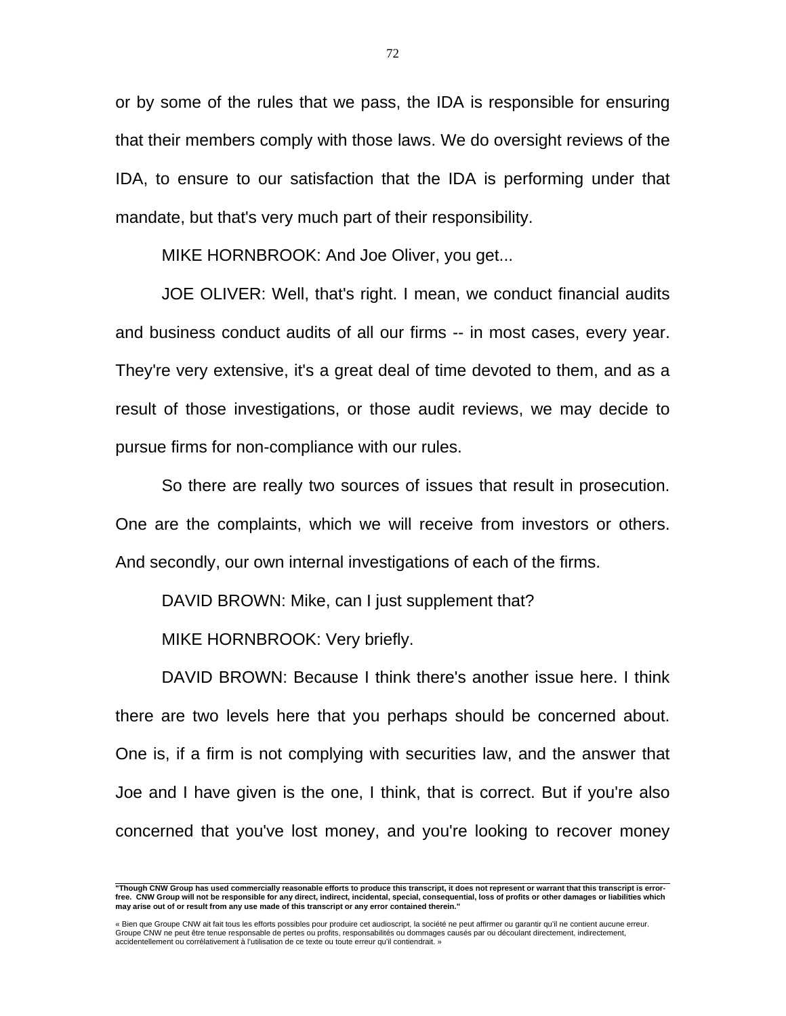or by some of the rules that we pass, the IDA is responsible for ensuring that their members comply with those laws. We do oversight reviews of the IDA, to ensure to our satisfaction that the IDA is performing under that mandate, but that's very much part of their responsibility.

MIKE HORNBROOK: And Joe Oliver, you get...

 JOE OLIVER: Well, that's right. I mean, we conduct financial audits and business conduct audits of all our firms -- in most cases, every year. They're very extensive, it's a great deal of time devoted to them, and as a result of those investigations, or those audit reviews, we may decide to pursue firms for non-compliance with our rules.

 So there are really two sources of issues that result in prosecution. One are the complaints, which we will receive from investors or others. And secondly, our own internal investigations of each of the firms.

DAVID BROWN: Mike, can I just supplement that?

MIKE HORNBROOK: Very briefly.

 DAVID BROWN: Because I think there's another issue here. I think there are two levels here that you perhaps should be concerned about. One is, if a firm is not complying with securities law, and the answer that Joe and I have given is the one, I think, that is correct. But if you're also concerned that you've lost money, and you're looking to recover money

 **"Though CNW Group has used commercially reasonable efforts to produce this transcript, it does not represent or warrant that this transcript is errorfree. CNW Group will not be responsible for any direct, indirect, incidental, special, consequential, loss of profits or other damages or liabilities which may arise out of or result from any use made of this transcript or any error contained therein."** 

<sup>«</sup> Bien que Groupe CNW ait fait tous les efforts possibles pour produire cet audioscript, la société ne peut affirmer ou garantir qu'il ne contient aucune erreur. Groupe CNW ne peut être tenue responsable de pertes ou profits, responsabilités ou dommages causés par ou découlant directement, indirectement, accidentellement ou corrélativement à l'utilisation de ce texte ou toute erreur qu'il contiendrait. »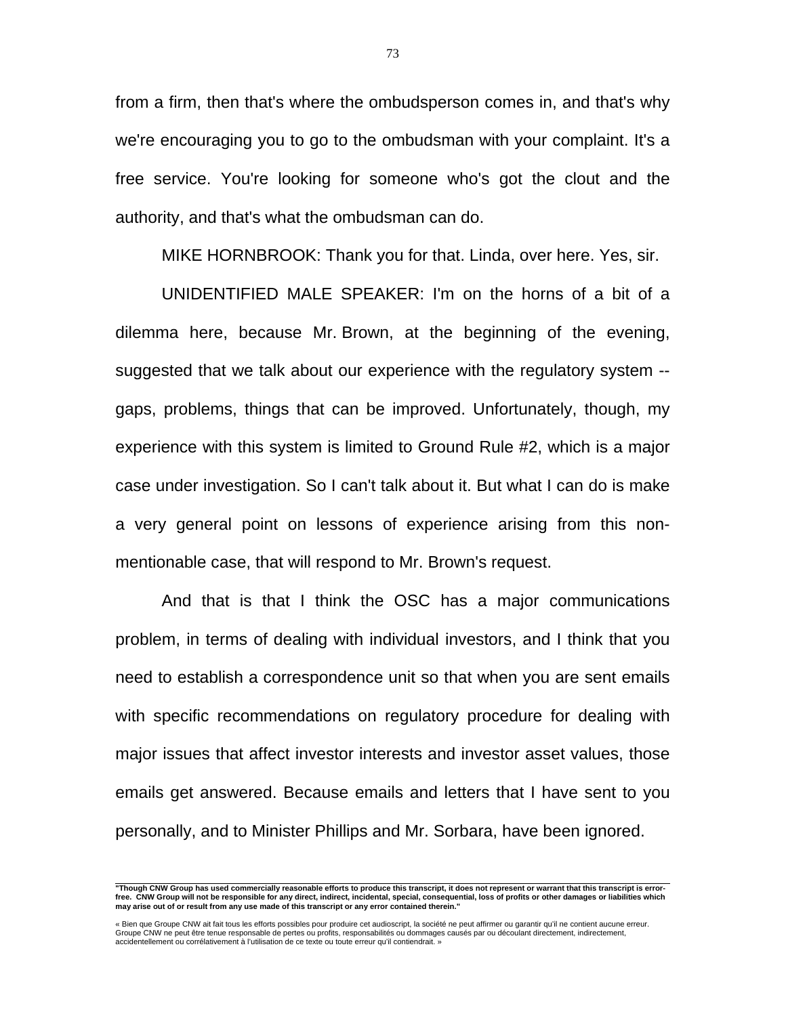from a firm, then that's where the ombudsperson comes in, and that's why we're encouraging you to go to the ombudsman with your complaint. It's a free service. You're looking for someone who's got the clout and the authority, and that's what the ombudsman can do.

MIKE HORNBROOK: Thank you for that. Linda, over here. Yes, sir.

 UNIDENTIFIED MALE SPEAKER: I'm on the horns of a bit of a dilemma here, because Mr. Brown, at the beginning of the evening, suggested that we talk about our experience with the regulatory system - gaps, problems, things that can be improved. Unfortunately, though, my experience with this system is limited to Ground Rule #2, which is a major case under investigation. So I can't talk about it. But what I can do is make a very general point on lessons of experience arising from this nonmentionable case, that will respond to Mr. Brown's request.

 And that is that I think the OSC has a major communications problem, in terms of dealing with individual investors, and I think that you need to establish a correspondence unit so that when you are sent emails with specific recommendations on regulatory procedure for dealing with major issues that affect investor interests and investor asset values, those emails get answered. Because emails and letters that I have sent to you personally, and to Minister Phillips and Mr. Sorbara, have been ignored.

 **"Though CNW Group has used commercially reasonable efforts to produce this transcript, it does not represent or warrant that this transcript is errorfree. CNW Group will not be responsible for any direct, indirect, incidental, special, consequential, loss of profits or other damages or liabilities which may arise out of or result from any use made of this transcript or any error contained therein."** 

<sup>«</sup> Bien que Groupe CNW ait fait tous les efforts possibles pour produire cet audioscript, la société ne peut affirmer ou garantir qu'il ne contient aucune erreur.<br>Groupe CNW ne peut être tenue responsable de pertes ou profi accidentellement ou corrélativement à l'utilisation de ce texte ou toute erreur qu'il contiendrait. »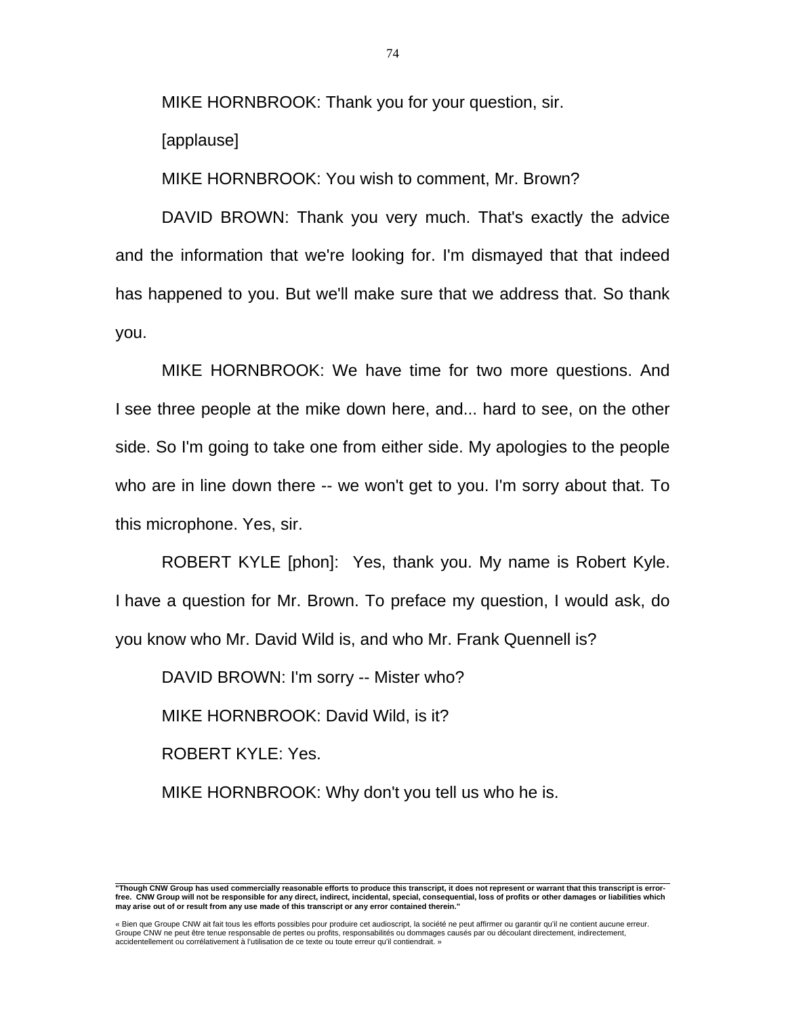MIKE HORNBROOK: Thank you for your question, sir.

[applause]

MIKE HORNBROOK: You wish to comment, Mr. Brown?

 DAVID BROWN: Thank you very much. That's exactly the advice and the information that we're looking for. I'm dismayed that that indeed has happened to you. But we'll make sure that we address that. So thank you.

 MIKE HORNBROOK: We have time for two more questions. And I see three people at the mike down here, and... hard to see, on the other side. So I'm going to take one from either side. My apologies to the people who are in line down there -- we won't get to you. I'm sorry about that. To this microphone. Yes, sir.

 ROBERT KYLE [phon]: Yes, thank you. My name is Robert Kyle. I have a question for Mr. Brown. To preface my question, I would ask, do you know who Mr. David Wild is, and who Mr. Frank Quennell is?

DAVID BROWN: I'm sorry -- Mister who?

MIKE HORNBROOK: David Wild, is it?

ROBERT KYLE: Yes.

MIKE HORNBROOK: Why don't you tell us who he is.

 **"Though CNW Group has used commercially reasonable efforts to produce this transcript, it does not represent or warrant that this transcript is errorfree. CNW Group will not be responsible for any direct, indirect, incidental, special, consequential, loss of profits or other damages or liabilities which may arise out of or result from any use made of this transcript or any error contained therein."** 

<sup>«</sup> Bien que Groupe CNW ait fait tous les efforts possibles pour produire cet audioscript, la société ne peut affirmer ou garantir qu'il ne contient aucune erreur. Groupe CNW ne peut être tenue responsable de pertes ou profits, responsabilités ou dommages causés par ou découlant directement, indirectement, accidentellement ou corrélativement à l'utilisation de ce texte ou toute erreur qu'il contiendrait. »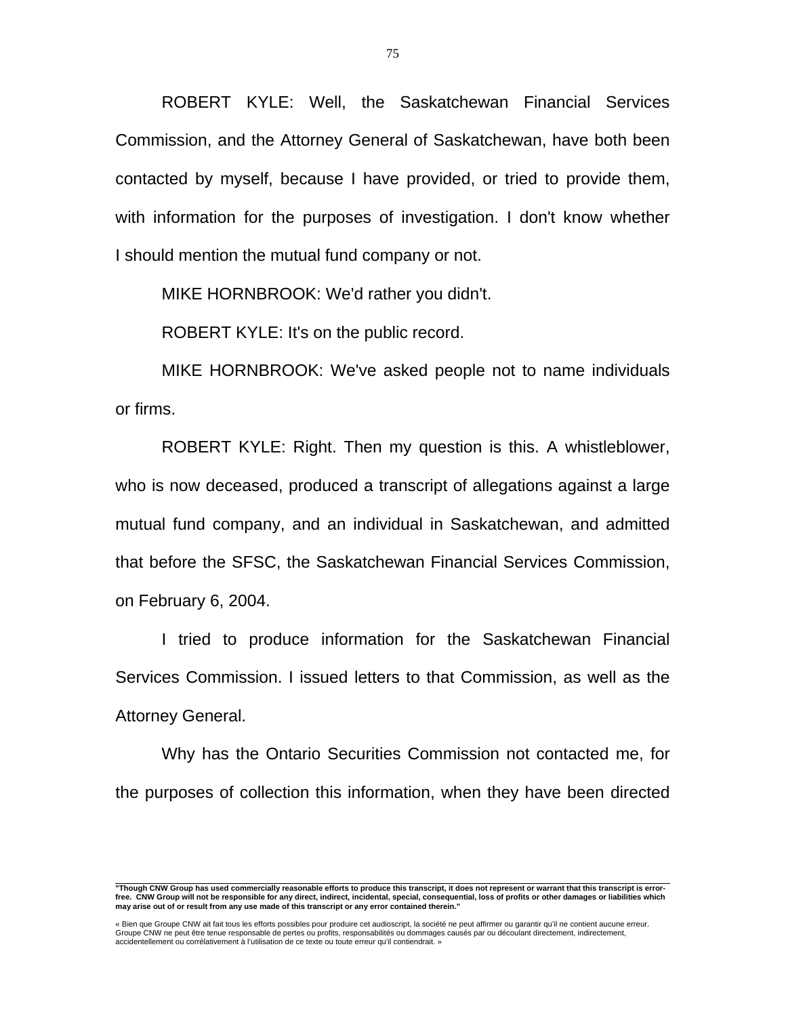ROBERT KYLE: Well, the Saskatchewan Financial Services Commission, and the Attorney General of Saskatchewan, have both been contacted by myself, because I have provided, or tried to provide them, with information for the purposes of investigation. I don't know whether I should mention the mutual fund company or not.

MIKE HORNBROOK: We'd rather you didn't.

ROBERT KYLE: It's on the public record.

 MIKE HORNBROOK: We've asked people not to name individuals or firms.

 ROBERT KYLE: Right. Then my question is this. A whistleblower, who is now deceased, produced a transcript of allegations against a large mutual fund company, and an individual in Saskatchewan, and admitted that before the SFSC, the Saskatchewan Financial Services Commission, on February 6, 2004.

 I tried to produce information for the Saskatchewan Financial Services Commission. I issued letters to that Commission, as well as the Attorney General.

 Why has the Ontario Securities Commission not contacted me, for the purposes of collection this information, when they have been directed

 **"Though CNW Group has used commercially reasonable efforts to produce this transcript, it does not represent or warrant that this transcript is errorfree. CNW Group will not be responsible for any direct, indirect, incidental, special, consequential, loss of profits or other damages or liabilities which may arise out of or result from any use made of this transcript or any error contained therein."** 

<sup>«</sup> Bien que Groupe CNW ait fait tous les efforts possibles pour produire cet audioscript, la société ne peut affirmer ou garantir qu'il ne contient aucune erreur.<br>Groupe CNW ne peut être tenue responsable de pertes ou profi accidentellement ou corrélativement à l'utilisation de ce texte ou toute erreur qu'il contiendrait. »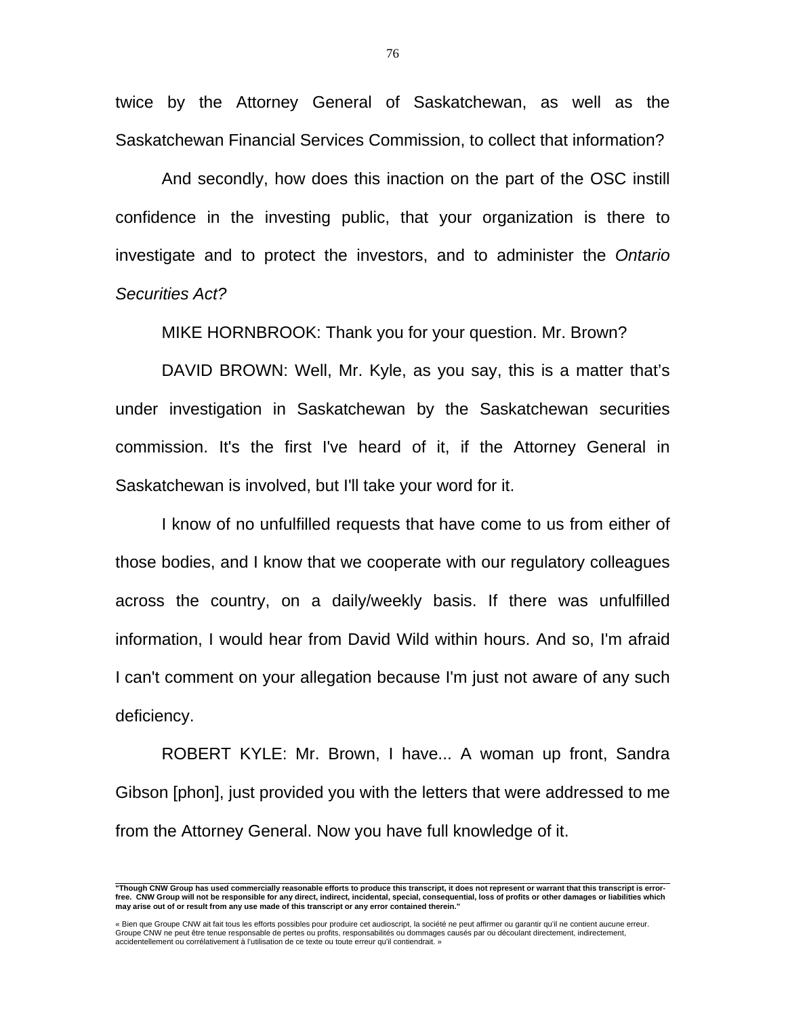twice by the Attorney General of Saskatchewan, as well as the Saskatchewan Financial Services Commission, to collect that information?

 And secondly, how does this inaction on the part of the OSC instill confidence in the investing public, that your organization is there to investigate and to protect the investors, and to administer the *Ontario Securities Act?*

MIKE HORNBROOK: Thank you for your question. Mr. Brown?

 DAVID BROWN: Well, Mr. Kyle, as you say, this is a matter that's under investigation in Saskatchewan by the Saskatchewan securities commission. It's the first I've heard of it, if the Attorney General in Saskatchewan is involved, but I'll take your word for it.

 I know of no unfulfilled requests that have come to us from either of those bodies, and I know that we cooperate with our regulatory colleagues across the country, on a daily/weekly basis. If there was unfulfilled information, I would hear from David Wild within hours. And so, I'm afraid I can't comment on your allegation because I'm just not aware of any such deficiency.

 ROBERT KYLE: Mr. Brown, I have... A woman up front, Sandra Gibson [phon], just provided you with the letters that were addressed to me from the Attorney General. Now you have full knowledge of it.

 **"Though CNW Group has used commercially reasonable efforts to produce this transcript, it does not represent or warrant that this transcript is errorfree. CNW Group will not be responsible for any direct, indirect, incidental, special, consequential, loss of profits or other damages or liabilities which may arise out of or result from any use made of this transcript or any error contained therein."** 

<sup>«</sup> Bien que Groupe CNW ait fait tous les efforts possibles pour produire cet audioscript, la société ne peut affirmer ou garantir qu'il ne contient aucune erreur.<br>Groupe CNW ne peut être tenue responsable de pertes ou profi accidentellement ou corrélativement à l'utilisation de ce texte ou toute erreur qu'il contiendrait. »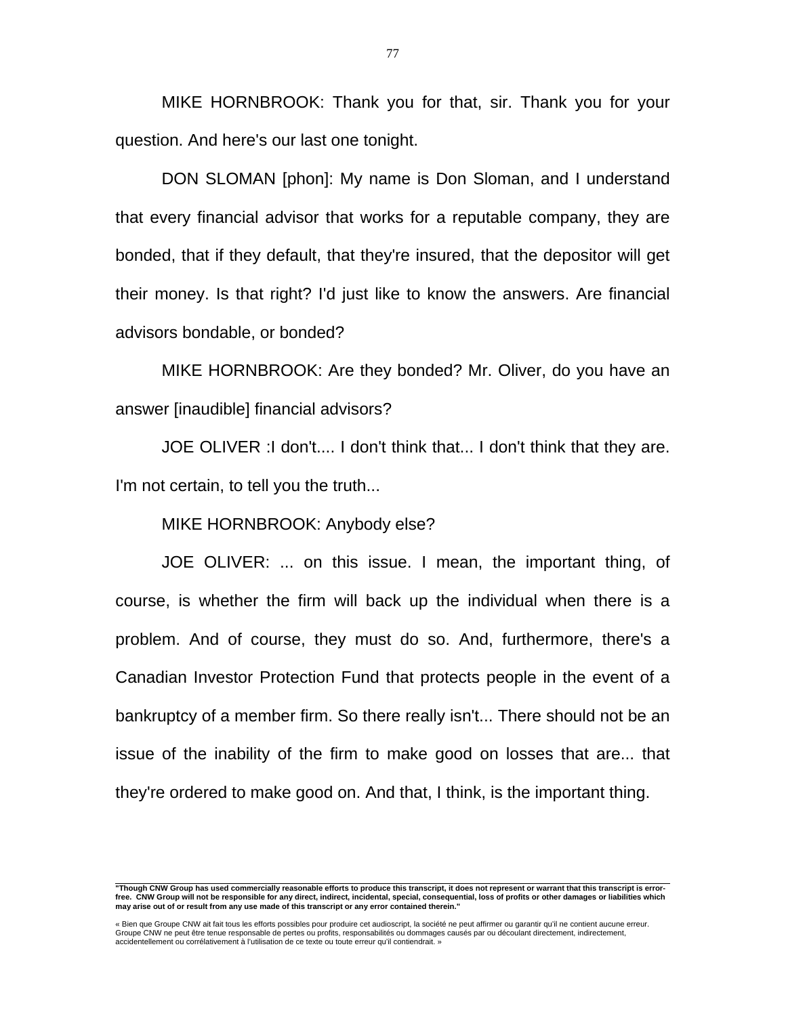MIKE HORNBROOK: Thank you for that, sir. Thank you for your question. And here's our last one tonight.

 DON SLOMAN [phon]: My name is Don Sloman, and I understand that every financial advisor that works for a reputable company, they are bonded, that if they default, that they're insured, that the depositor will get their money. Is that right? I'd just like to know the answers. Are financial advisors bondable, or bonded?

 MIKE HORNBROOK: Are they bonded? Mr. Oliver, do you have an answer [inaudible] financial advisors?

 JOE OLIVER :I don't.... I don't think that... I don't think that they are. I'm not certain, to tell you the truth...

MIKE HORNBROOK: Anybody else?

 JOE OLIVER: ... on this issue. I mean, the important thing, of course, is whether the firm will back up the individual when there is a problem. And of course, they must do so. And, furthermore, there's a Canadian Investor Protection Fund that protects people in the event of a bankruptcy of a member firm. So there really isn't... There should not be an issue of the inability of the firm to make good on losses that are... that they're ordered to make good on. And that, I think, is the important thing.

 **"Though CNW Group has used commercially reasonable efforts to produce this transcript, it does not represent or warrant that this transcript is errorfree. CNW Group will not be responsible for any direct, indirect, incidental, special, consequential, loss of profits or other damages or liabilities which may arise out of or result from any use made of this transcript or any error contained therein."** 

<sup>«</sup> Bien que Groupe CNW ait fait tous les efforts possibles pour produire cet audioscript, la société ne peut affirmer ou garantir qu'il ne contient aucune erreur.<br>Groupe CNW ne peut être tenue responsable de pertes ou profi accidentellement ou corrélativement à l'utilisation de ce texte ou toute erreur qu'il contiendrait. »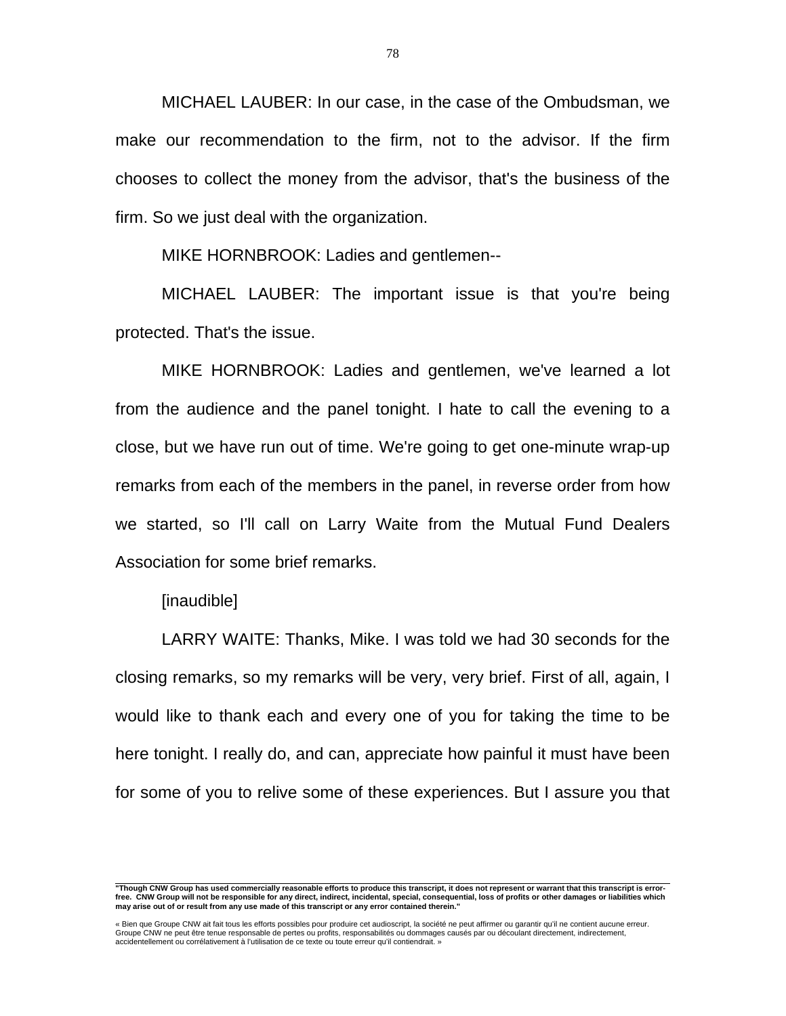MICHAEL LAUBER: In our case, in the case of the Ombudsman, we make our recommendation to the firm, not to the advisor. If the firm chooses to collect the money from the advisor, that's the business of the firm. So we just deal with the organization.

MIKE HORNBROOK: Ladies and gentlemen--

 MICHAEL LAUBER: The important issue is that you're being protected. That's the issue.

 MIKE HORNBROOK: Ladies and gentlemen, we've learned a lot from the audience and the panel tonight. I hate to call the evening to a close, but we have run out of time. We're going to get one-minute wrap-up remarks from each of the members in the panel, in reverse order from how we started, so I'll call on Larry Waite from the Mutual Fund Dealers Association for some brief remarks.

[inaudible]

 LARRY WAITE: Thanks, Mike. I was told we had 30 seconds for the closing remarks, so my remarks will be very, very brief. First of all, again, I would like to thank each and every one of you for taking the time to be here tonight. I really do, and can, appreciate how painful it must have been for some of you to relive some of these experiences. But I assure you that

 **"Though CNW Group has used commercially reasonable efforts to produce this transcript, it does not represent or warrant that this transcript is errorfree. CNW Group will not be responsible for any direct, indirect, incidental, special, consequential, loss of profits or other damages or liabilities which may arise out of or result from any use made of this transcript or any error contained therein."** 

<sup>«</sup> Bien que Groupe CNW ait fait tous les efforts possibles pour produire cet audioscript, la société ne peut affirmer ou garantir qu'il ne contient aucune erreur.<br>Groupe CNW ne peut être tenue responsable de pertes ou profi accidentellement ou corrélativement à l'utilisation de ce texte ou toute erreur qu'il contiendrait. »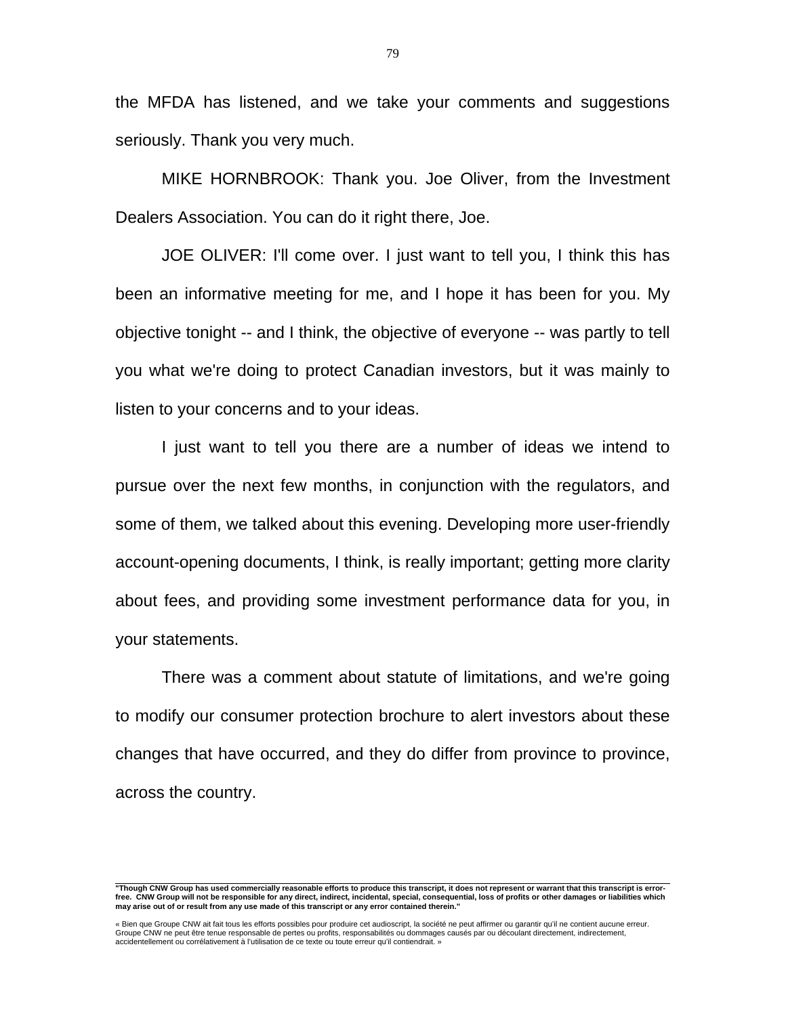the MFDA has listened, and we take your comments and suggestions seriously. Thank you very much.

 MIKE HORNBROOK: Thank you. Joe Oliver, from the Investment Dealers Association. You can do it right there, Joe.

 JOE OLIVER: I'll come over. I just want to tell you, I think this has been an informative meeting for me, and I hope it has been for you. My objective tonight -- and I think, the objective of everyone -- was partly to tell you what we're doing to protect Canadian investors, but it was mainly to listen to your concerns and to your ideas.

 I just want to tell you there are a number of ideas we intend to pursue over the next few months, in conjunction with the regulators, and some of them, we talked about this evening. Developing more user-friendly account-opening documents, I think, is really important; getting more clarity about fees, and providing some investment performance data for you, in your statements.

 There was a comment about statute of limitations, and we're going to modify our consumer protection brochure to alert investors about these changes that have occurred, and they do differ from province to province, across the country.

 **"Though CNW Group has used commercially reasonable efforts to produce this transcript, it does not represent or warrant that this transcript is errorfree. CNW Group will not be responsible for any direct, indirect, incidental, special, consequential, loss of profits or other damages or liabilities which may arise out of or result from any use made of this transcript or any error contained therein."** 

<sup>«</sup> Bien que Groupe CNW ait fait tous les efforts possibles pour produire cet audioscript, la société ne peut affirmer ou garantir qu'il ne contient aucune erreur.<br>Groupe CNW ne peut être tenue responsable de pertes ou profi accidentellement ou corrélativement à l'utilisation de ce texte ou toute erreur qu'il contiendrait. »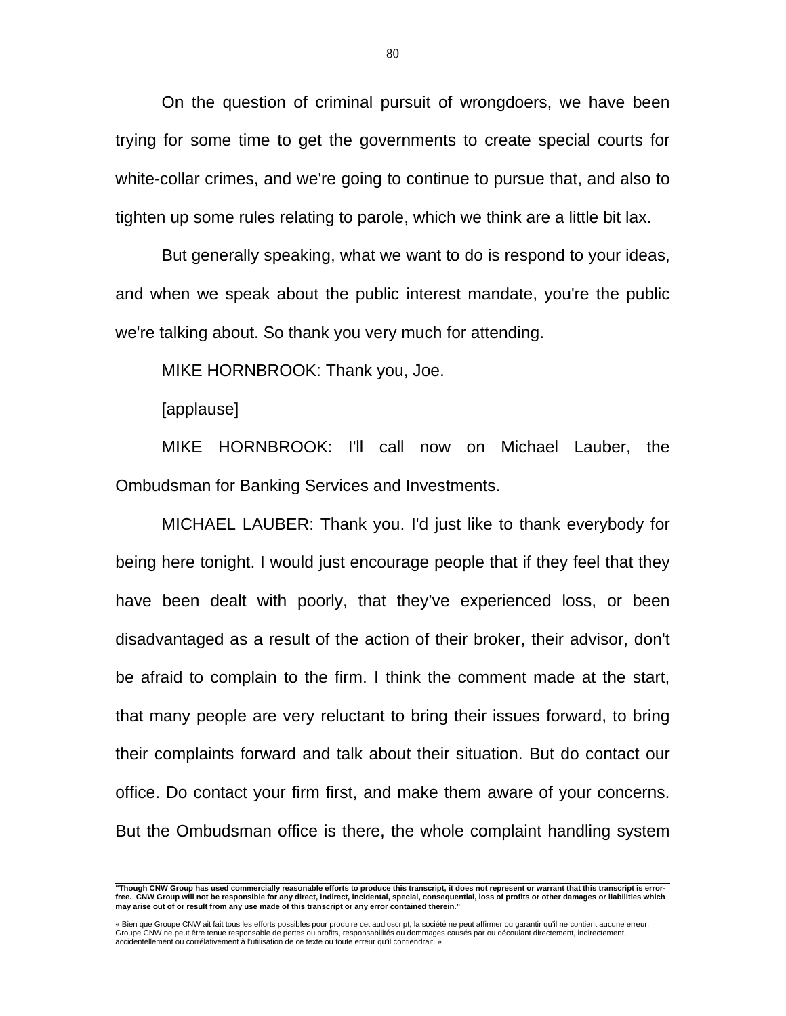On the question of criminal pursuit of wrongdoers, we have been trying for some time to get the governments to create special courts for white-collar crimes, and we're going to continue to pursue that, and also to tighten up some rules relating to parole, which we think are a little bit lax.

 But generally speaking, what we want to do is respond to your ideas, and when we speak about the public interest mandate, you're the public we're talking about. So thank you very much for attending.

MIKE HORNBROOK: Thank you, Joe.

[applause]

 MIKE HORNBROOK: I'll call now on Michael Lauber, the Ombudsman for Banking Services and Investments.

 MICHAEL LAUBER: Thank you. I'd just like to thank everybody for being here tonight. I would just encourage people that if they feel that they have been dealt with poorly, that they've experienced loss, or been disadvantaged as a result of the action of their broker, their advisor, don't be afraid to complain to the firm. I think the comment made at the start, that many people are very reluctant to bring their issues forward, to bring their complaints forward and talk about their situation. But do contact our office. Do contact your firm first, and make them aware of your concerns. But the Ombudsman office is there, the whole complaint handling system

 **"Though CNW Group has used commercially reasonable efforts to produce this transcript, it does not represent or warrant that this transcript is errorfree. CNW Group will not be responsible for any direct, indirect, incidental, special, consequential, loss of profits or other damages or liabilities which may arise out of or result from any use made of this transcript or any error contained therein."** 

<sup>«</sup> Bien que Groupe CNW ait fait tous les efforts possibles pour produire cet audioscript, la société ne peut affirmer ou garantir qu'il ne contient aucune erreur.<br>Groupe CNW ne peut être tenue responsable de pertes ou profi accidentellement ou corrélativement à l'utilisation de ce texte ou toute erreur qu'il contiendrait. »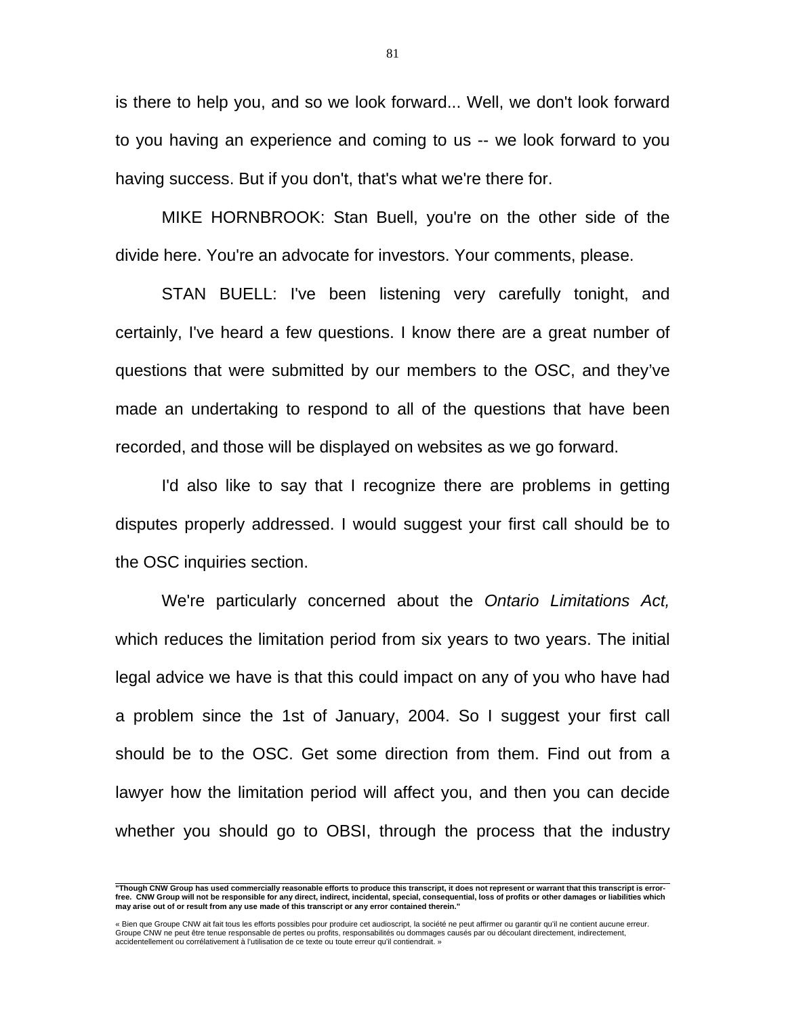is there to help you, and so we look forward... Well, we don't look forward to you having an experience and coming to us -- we look forward to you having success. But if you don't, that's what we're there for.

 MIKE HORNBROOK: Stan Buell, you're on the other side of the divide here. You're an advocate for investors. Your comments, please.

 STAN BUELL: I've been listening very carefully tonight, and certainly, I've heard a few questions. I know there are a great number of questions that were submitted by our members to the OSC, and they've made an undertaking to respond to all of the questions that have been recorded, and those will be displayed on websites as we go forward.

 I'd also like to say that I recognize there are problems in getting disputes properly addressed. I would suggest your first call should be to the OSC inquiries section.

 We're particularly concerned about the *Ontario Limitations Act,*  which reduces the limitation period from six years to two years. The initial legal advice we have is that this could impact on any of you who have had a problem since the 1st of January, 2004. So I suggest your first call should be to the OSC. Get some direction from them. Find out from a lawyer how the limitation period will affect you, and then you can decide whether you should go to OBSI, through the process that the industry

 **"Though CNW Group has used commercially reasonable efforts to produce this transcript, it does not represent or warrant that this transcript is errorfree. CNW Group will not be responsible for any direct, indirect, incidental, special, consequential, loss of profits or other damages or liabilities which may arise out of or result from any use made of this transcript or any error contained therein."** 

<sup>«</sup> Bien que Groupe CNW ait fait tous les efforts possibles pour produire cet audioscript, la société ne peut affirmer ou garantir qu'il ne contient aucune erreur.<br>Groupe CNW ne peut être tenue responsable de pertes ou profi accidentellement ou corrélativement à l'utilisation de ce texte ou toute erreur qu'il contiendrait. »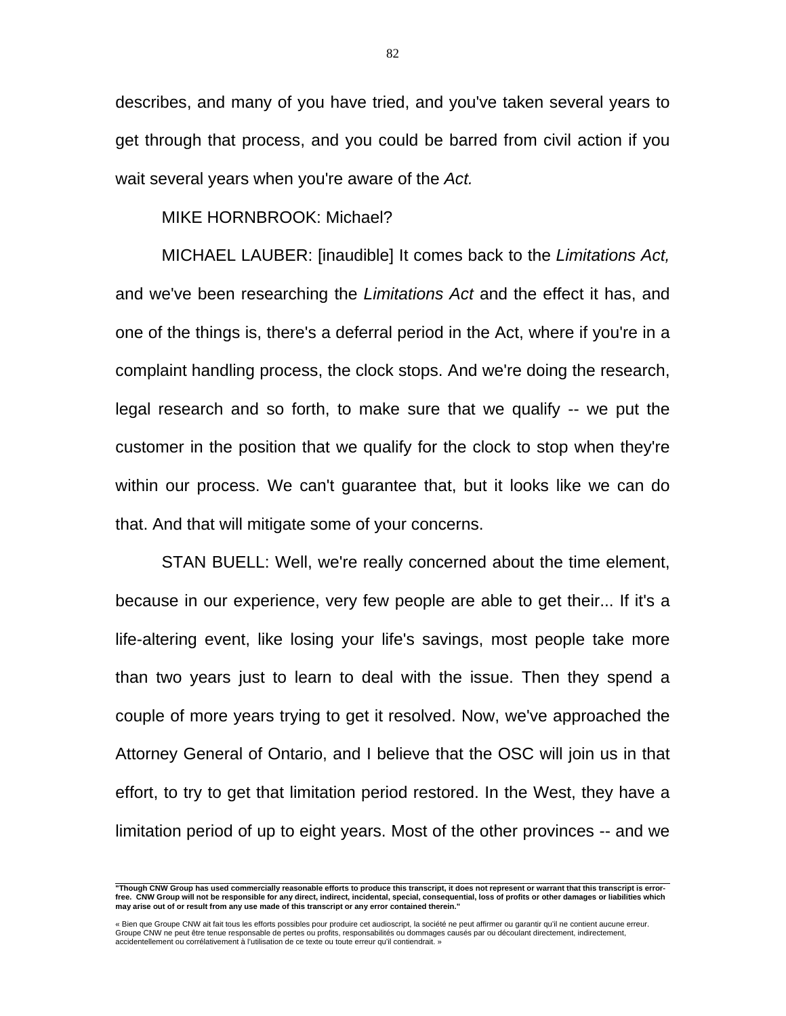describes, and many of you have tried, and you've taken several years to get through that process, and you could be barred from civil action if you wait several years when you're aware of the *Act.* 

## MIKE HORNBROOK: Michael?

 MICHAEL LAUBER: [inaudible] It comes back to the *Limitations Act,* and we've been researching the *Limitations Act* and the effect it has, and one of the things is, there's a deferral period in the Act, where if you're in a complaint handling process, the clock stops. And we're doing the research, legal research and so forth, to make sure that we qualify -- we put the customer in the position that we qualify for the clock to stop when they're within our process. We can't guarantee that, but it looks like we can do that. And that will mitigate some of your concerns.

 STAN BUELL: Well, we're really concerned about the time element, because in our experience, very few people are able to get their... If it's a life-altering event, like losing your life's savings, most people take more than two years just to learn to deal with the issue. Then they spend a couple of more years trying to get it resolved. Now, we've approached the Attorney General of Ontario, and I believe that the OSC will join us in that effort, to try to get that limitation period restored. In the West, they have a limitation period of up to eight years. Most of the other provinces -- and we

82

 **"Though CNW Group has used commercially reasonable efforts to produce this transcript, it does not represent or warrant that this transcript is errorfree. CNW Group will not be responsible for any direct, indirect, incidental, special, consequential, loss of profits or other damages or liabilities which may arise out of or result from any use made of this transcript or any error contained therein."** 

<sup>«</sup> Bien que Groupe CNW ait fait tous les efforts possibles pour produire cet audioscript, la société ne peut affirmer ou garantir qu'il ne contient aucune erreur. Groupe CNW ne peut être tenue responsable de pertes ou profits, responsabilités ou dommages causés par ou découlant directement, indirectement, accidentellement ou corrélativement à l'utilisation de ce texte ou toute erreur qu'il contiendrait. »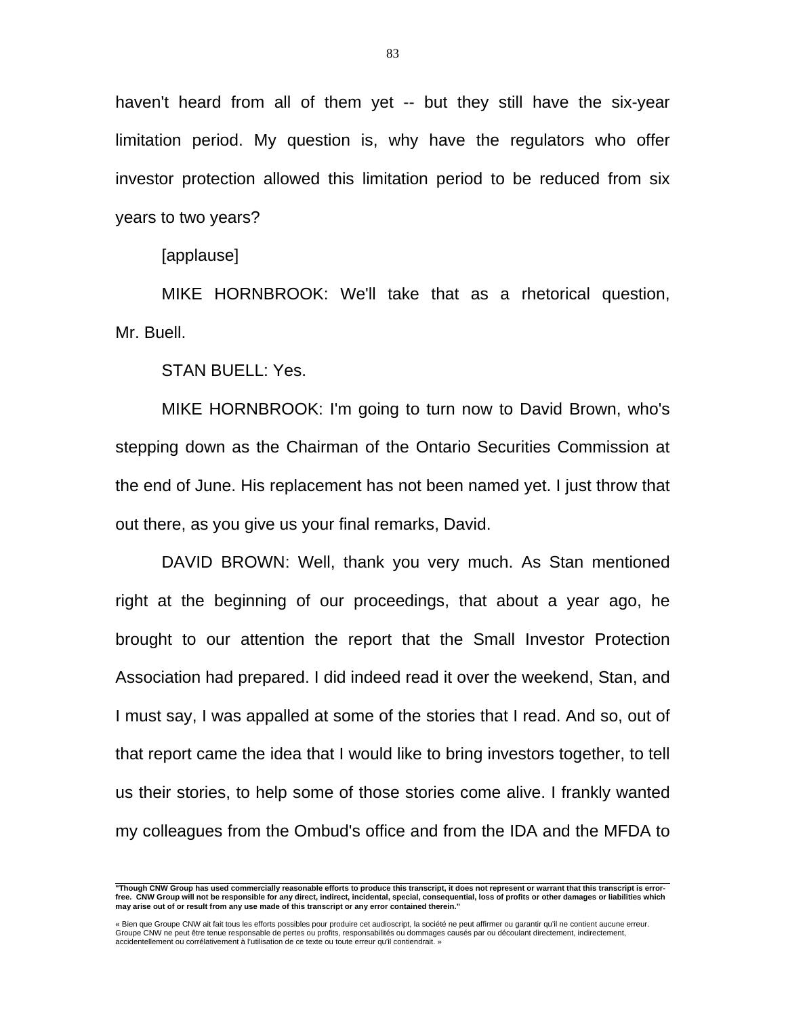haven't heard from all of them yet -- but they still have the six-year limitation period. My question is, why have the regulators who offer investor protection allowed this limitation period to be reduced from six years to two years?

[applause]

 MIKE HORNBROOK: We'll take that as a rhetorical question, Mr. Buell.

STAN BUELL: Yes.

 MIKE HORNBROOK: I'm going to turn now to David Brown, who's stepping down as the Chairman of the Ontario Securities Commission at the end of June. His replacement has not been named yet. I just throw that out there, as you give us your final remarks, David.

 DAVID BROWN: Well, thank you very much. As Stan mentioned right at the beginning of our proceedings, that about a year ago, he brought to our attention the report that the Small Investor Protection Association had prepared. I did indeed read it over the weekend, Stan, and I must say, I was appalled at some of the stories that I read. And so, out of that report came the idea that I would like to bring investors together, to tell us their stories, to help some of those stories come alive. I frankly wanted my colleagues from the Ombud's office and from the IDA and the MFDA to

 **"Though CNW Group has used commercially reasonable efforts to produce this transcript, it does not represent or warrant that this transcript is errorfree. CNW Group will not be responsible for any direct, indirect, incidental, special, consequential, loss of profits or other damages or liabilities which may arise out of or result from any use made of this transcript or any error contained therein."** 

<sup>«</sup> Bien que Groupe CNW ait fait tous les efforts possibles pour produire cet audioscript, la société ne peut affirmer ou garantir qu'il ne contient aucune erreur.<br>Groupe CNW ne peut être tenue responsable de pertes ou profi accidentellement ou corrélativement à l'utilisation de ce texte ou toute erreur qu'il contiendrait. »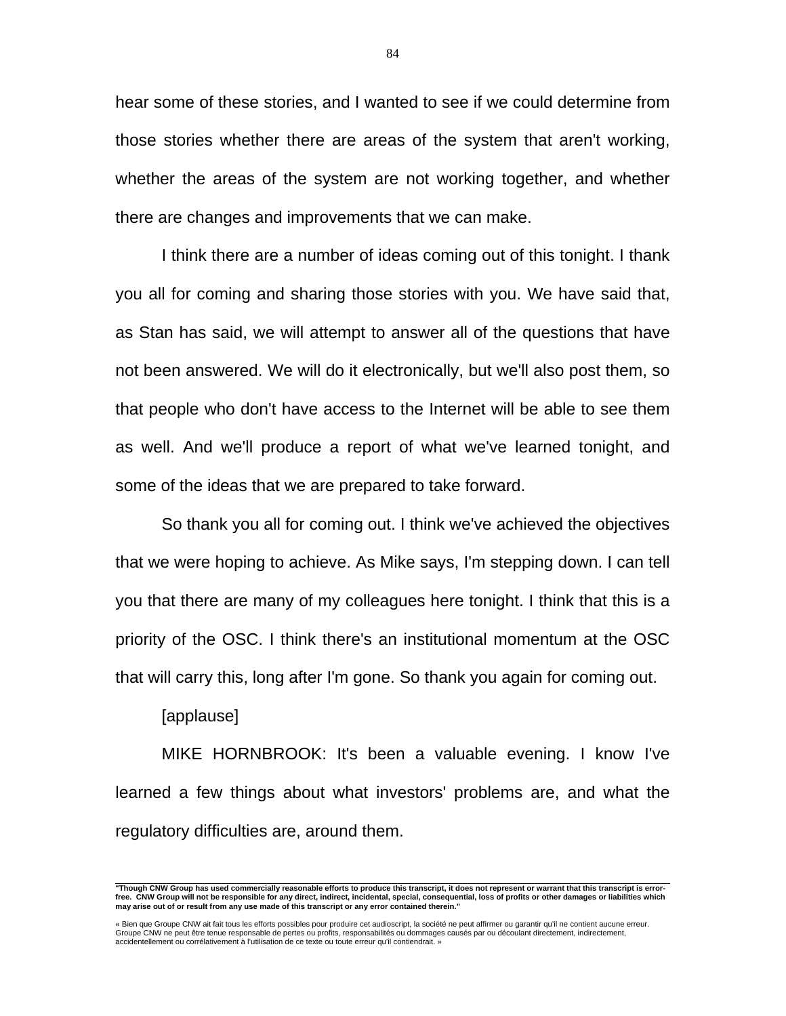hear some of these stories, and I wanted to see if we could determine from those stories whether there are areas of the system that aren't working, whether the areas of the system are not working together, and whether there are changes and improvements that we can make.

 I think there are a number of ideas coming out of this tonight. I thank you all for coming and sharing those stories with you. We have said that, as Stan has said, we will attempt to answer all of the questions that have not been answered. We will do it electronically, but we'll also post them, so that people who don't have access to the Internet will be able to see them as well. And we'll produce a report of what we've learned tonight, and some of the ideas that we are prepared to take forward.

 So thank you all for coming out. I think we've achieved the objectives that we were hoping to achieve. As Mike says, I'm stepping down. I can tell you that there are many of my colleagues here tonight. I think that this is a priority of the OSC. I think there's an institutional momentum at the OSC that will carry this, long after I'm gone. So thank you again for coming out.

## [applause]

 MIKE HORNBROOK: It's been a valuable evening. I know I've learned a few things about what investors' problems are, and what the regulatory difficulties are, around them.

 **"Though CNW Group has used commercially reasonable efforts to produce this transcript, it does not represent or warrant that this transcript is errorfree. CNW Group will not be responsible for any direct, indirect, incidental, special, consequential, loss of profits or other damages or liabilities which may arise out of or result from any use made of this transcript or any error contained therein."** 

<sup>«</sup> Bien que Groupe CNW ait fait tous les efforts possibles pour produire cet audioscript, la société ne peut affirmer ou garantir qu'il ne contient aucune erreur.<br>Groupe CNW ne peut être tenue responsable de pertes ou profi accidentellement ou corrélativement à l'utilisation de ce texte ou toute erreur qu'il contiendrait. »